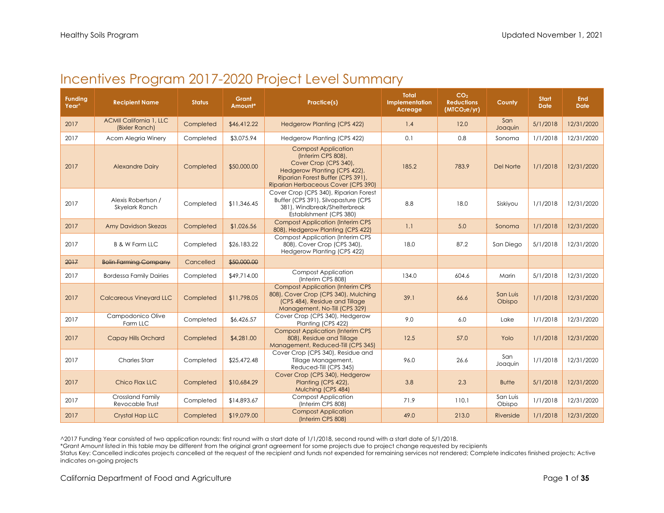## Incentives Program 2017-2020 Project Level Summary

| <b>Funding</b><br>Year^ | <b>Recipient Name</b>                            | <b>Status</b> | Grant<br>Amount* | Practice(s)                                                                                                                                                                           | <b>Total</b><br>Implementation<br>Acreage | CO <sub>2</sub><br><b>Reductions</b><br>(MTCO <sub>2</sub> e/yr) | County             | <b>Start</b><br><b>Date</b> | End<br><b>Date</b> |
|-------------------------|--------------------------------------------------|---------------|------------------|---------------------------------------------------------------------------------------------------------------------------------------------------------------------------------------|-------------------------------------------|------------------------------------------------------------------|--------------------|-----------------------------|--------------------|
| 2017                    | <b>ACMII California 1, LLC</b><br>(Bixler Ranch) | Completed     | \$46,412.22      | <b>Hedgerow Planting (CPS 422)</b>                                                                                                                                                    | 1.4                                       | 12.0                                                             | San<br>Joaquin     | 5/1/2018                    | 12/31/2020         |
| 2017                    | Acorn Alegria Winery                             | Completed     | \$3,075.94       | Hedgerow Planting (CPS 422)                                                                                                                                                           | 0.1                                       | 0.8                                                              | Sonoma             | 1/1/2018                    | 12/31/2020         |
| 2017                    | <b>Alexandre Dairy</b>                           | Completed     | \$50,000.00      | <b>Compost Application</b><br>(Interim CPS 808),<br>Cover Crop (CPS 340),<br>Hedgerow Planting (CPS 422),<br>Riparian Forest Buffer (CPS 391),<br>Riparian Herbaceous Cover (CPS 390) | 185.2                                     | 783.9                                                            | Del Norte          | 1/1/2018                    | 12/31/2020         |
| 2017                    | Alexis Robertson /<br>Skyelark Ranch             | Completed     | \$11,346.45      | Cover Crop (CPS 340), Riparian Forest<br>Buffer (CPS 391), Silvopasture (CPS<br>381), Windbreak/Shelterbreak<br>Establishment (CPS 380)                                               | 8.8                                       | 18.0                                                             | Siskiyou           | 1/1/2018                    | 12/31/2020         |
| 2017                    | Amy Davidson Skezas                              | Completed     | \$1,026.56       | <b>Compost Application (Interim CPS</b><br>808), Hedgerow Planting (CPS 422)                                                                                                          | 1.1                                       | 5.0                                                              | Sonoma             | 1/1/2018                    | 12/31/2020         |
| 2017                    | <b>B &amp; W Farm LLC</b>                        | Completed     | \$26,183.22      | <b>Compost Application (Interim CPS</b><br>808), Cover Crop (CPS 340),<br>Hedgerow Planting (CPS 422)                                                                                 | 18.0                                      | 87.2                                                             | San Diego          | 5/1/2018                    | 12/31/2020         |
| 2017                    | <b>Bolin Farming Company</b>                     | Cancelled     | \$50,000.00      |                                                                                                                                                                                       |                                           |                                                                  |                    |                             |                    |
| 2017                    | <b>Bordessa Family Dairies</b>                   | Completed     | \$49,714.00      | <b>Compost Application</b><br>(Interim CPS 808)                                                                                                                                       | 134.0                                     | 604.6                                                            | Marin              | 5/1/2018                    | 12/31/2020         |
| 2017                    | <b>Calcareous Vineyard LLC</b>                   | Completed     | \$11,798.05      | <b>Compost Application (Interim CPS</b><br>808), Cover Crop (CPS 340), Mulching<br>(CPS 484), Residue and Tillage<br>Management, No-Till (CPS 329)                                    | 39.1                                      | 66.6                                                             | San Luis<br>Obispo | 1/1/2018                    | 12/31/2020         |
| 2017                    | Campodonico Olive<br>Farm LLC                    | Completed     | \$6,426.57       | Cover Crop (CPS 340), Hedgerow<br>Planting (CPS 422)                                                                                                                                  | 9.0                                       | 6.0                                                              | Lake               | 1/1/2018                    | 12/31/2020         |
| 2017                    | <b>Capay Hills Orchard</b>                       | Completed     | \$4,281.00       | <b>Compost Application (Interim CPS</b><br>808), Residue and Tillage<br>Management, Reduced-Till (CPS 345)                                                                            | 12.5                                      | 57.0                                                             | Yolo               | 1/1/2018                    | 12/31/2020         |
| 2017                    | <b>Charles Starr</b>                             | Completed     | \$25,472.48      | Cover Crop (CPS 340), Residue and<br>Tillage Management,<br>Reduced-Till (CPS 345)                                                                                                    | 96.0                                      | 26.6                                                             | San<br>Joaquin     | 1/1/2018                    | 12/31/2020         |
| 2017                    | Chico Flax LLC                                   | Completed     | \$10,684.29      | Cover Crop (CPS 340), Hedgerow<br>Planting (CPS 422),<br>Mulching (CPS 484)                                                                                                           | 3.8                                       | 2.3                                                              | <b>Butte</b>       | 5/1/2018                    | 12/31/2020         |
| 2017                    | <b>Crossland Family</b><br>Revocable Trust       | Completed     | \$14,893.67      | <b>Compost Application</b><br>(Interim CPS 808)                                                                                                                                       | 71.9                                      | 110.1                                                            | San Luis<br>Obispo | 1/1/2018                    | 12/31/2020         |
| 2017                    | <b>Crystal Hap LLC</b>                           | Completed     | \$19,079.00      | <b>Compost Application</b><br>(Interim CPS 808)                                                                                                                                       | 49.0                                      | 213.0                                                            | Riverside          | 1/1/2018                    | 12/31/2020         |

^2017 Funding Year consisted of two application rounds: first round with a start date of 1/1/2018, second round with a start date of 5/1/2018.

\*Grant Amount listed in this table may be different from the original grant agreement for some projects due to project change requested by recipients

Status Key: Cancelled indicates projects cancelled at the request of the recipient and funds not expended for remaining services not rendered; Complete indicates finished projects; Active indicates on-going projects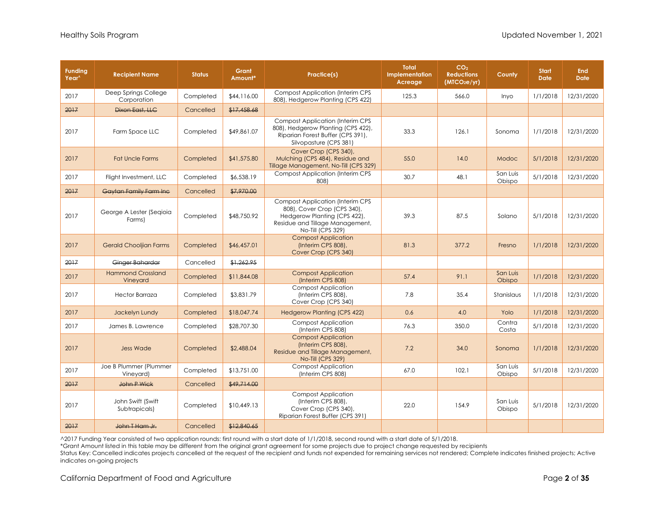| <b>Funding</b><br>Year^ | <b>Recipient Name</b>                | <b>Status</b> | Grant<br>Amount* | Practice(s)                                                                                                                                                    | <b>Total</b><br><b>Implementation</b><br>Acreage | CO <sub>2</sub><br><b>Reductions</b><br>(MTCO <sub>2</sub> e/yr) | County             | <b>Start</b><br><b>Date</b> | <b>End</b><br><b>Date</b> |
|-------------------------|--------------------------------------|---------------|------------------|----------------------------------------------------------------------------------------------------------------------------------------------------------------|--------------------------------------------------|------------------------------------------------------------------|--------------------|-----------------------------|---------------------------|
| 2017                    | Deep Springs College<br>Corporation  | Completed     | \$44,116.00      | <b>Compost Application (Interim CPS</b><br>808), Hedgerow Planting (CPS 422)                                                                                   | 125.3                                            | 566.0                                                            | Inyo               | 1/1/2018                    | 12/31/2020                |
| 2017                    | Dixon East, LLC                      | Cancelled     | \$17,458,68      |                                                                                                                                                                |                                                  |                                                                  |                    |                             |                           |
| 2017                    | Farm Space LLC                       | Completed     | \$49,861.07      | <b>Compost Application (Interim CPS</b><br>808), Hedgerow Planting (CPS 422),<br>Riparian Forest Buffer (CPS 391),<br>Silvopasture (CPS 381)                   | 33.3                                             | 126.1                                                            | Sonoma             | 1/1/2018                    | 12/31/2020                |
| 2017                    | <b>Fat Uncle Farms</b>               | Completed     | \$41,575.80      | Cover Crop (CPS 340),<br>Mulching (CPS 484), Residue and<br>Tillage Management, No-Till (CPS 329)                                                              | 55.0                                             | 14.0                                                             | Modoc              | 5/1/2018                    | 12/31/2020                |
| 2017                    | Flight Investment, LLC               | Completed     | \$6,538.19       | <b>Compost Application (Interim CPS</b><br>808)                                                                                                                | 30.7                                             | 48.1                                                             | San Luis<br>Obispo | 5/1/2018                    | 12/31/2020                |
| 2017                    | Gaytan Family Farm Inc               | Cancelled     | \$7,970.00       |                                                                                                                                                                |                                                  |                                                                  |                    |                             |                           |
| 2017                    | George A Lester (Segioia<br>Farms)   | Completed     | \$48,750.92      | <b>Compost Application (Interim CPS</b><br>808), Cover Crop (CPS 340),<br>Hedgerow Planting (CPS 422),<br>Residue and Tillage Management,<br>No-Till (CPS 329) | 39.3                                             | 87.5                                                             | Solano             | 5/1/2018                    | 12/31/2020                |
| 2017                    | <b>Gerald Chooljian Farms</b>        | Completed     | \$46,457.01      | <b>Compost Application</b><br>(Interim CPS 808),<br>Cover Crop (CPS 340)                                                                                       | 81.3                                             | 377.2                                                            | Fresno             | 1/1/2018                    | 12/31/2020                |
| 2017                    | Ginger Bahardar                      | Cancelled     | \$1,262.95       |                                                                                                                                                                |                                                  |                                                                  |                    |                             |                           |
| 2017                    | <b>Hammond Crossland</b><br>Vineyard | Completed     | \$11,844.08      | <b>Compost Application</b><br>(Interim CPS 808)                                                                                                                | 57.4                                             | 91.1                                                             | San Luis<br>Obispo | 1/1/2018                    | 12/31/2020                |
| 2017                    | <b>Hector Barraza</b>                | Completed     | \$3,831.79       | <b>Compost Application</b><br>(Interim CPS 808),<br>Cover Crop (CPS 340)                                                                                       | 7.8                                              | 35.4                                                             | Stanislaus         | 1/1/2018                    | 12/31/2020                |
| 2017                    | Jackelyn Lundy                       | Completed     | \$18,047.74      | <b>Hedgerow Planting (CPS 422)</b>                                                                                                                             | 0.6                                              | 4.0                                                              | Yolo               | 1/1/2018                    | 12/31/2020                |
| 2017                    | James B. Lawrence                    | Completed     | \$28,707.30      | <b>Compost Application</b><br>(Interim CPS 808)                                                                                                                | 76.3                                             | 350.0                                                            | Contra<br>Costa    | 5/1/2018                    | 12/31/2020                |
| 2017                    | <b>Jess Wade</b>                     | Completed     | \$2,488.04       | <b>Compost Application</b><br>(Interim CPS 808),<br>Residue and Tillage Management,<br>No-Till (CPS 329)                                                       | 7.2                                              | 34.0                                                             | Sonoma             | 1/1/2018                    | 12/31/2020                |
| 2017                    | Joe B Plummer (Plummer<br>Vineyard)  | Completed     | \$13,751.00      | <b>Compost Application</b><br>(Interim CPS 808)                                                                                                                | 67.0                                             | 102.1                                                            | San Luis<br>Obispo | 5/1/2018                    | 12/31/2020                |
| 2017                    | John P Wick                          | Cancelled     | \$49,714.00      |                                                                                                                                                                |                                                  |                                                                  |                    |                             |                           |
| 2017                    | John Swift (Swift<br>Subtrapicals)   | Completed     | \$10,449.13      | <b>Compost Application</b><br>(Interim CPS 808),<br>Cover Crop (CPS 340),<br>Riparian Forest Buffer (CPS 391)                                                  | 22.0                                             | 154.9                                                            | San Luis<br>Obispo | 5/1/2018                    | 12/31/2020                |
| 2017                    | John T Ham Jr.                       | Cancelled     | \$12,840.65      |                                                                                                                                                                |                                                  |                                                                  |                    |                             |                           |

\*Grant Amount listed in this table may be different from the original grant agreement for some projects due to project change requested by recipients

Status Key: Cancelled indicates projects cancelled at the request of the recipient and funds not expended for remaining services not rendered; Complete indicates finished projects; Active indicates on-going projects

California Department of Food and Agriculture **Page 2** of 35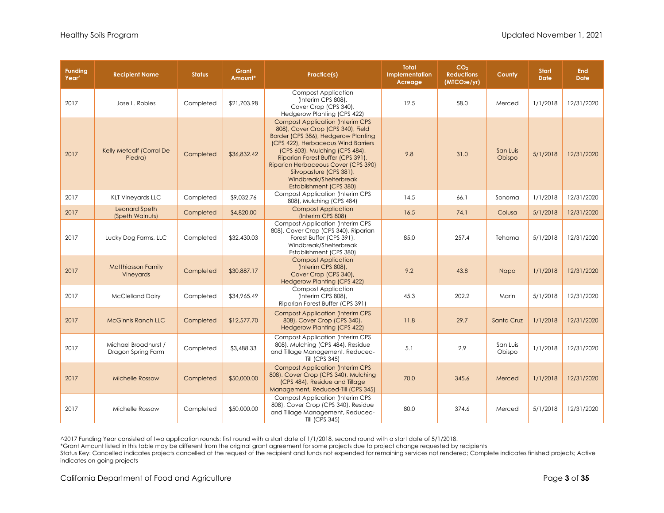| <b>Funding</b><br>Year <sup>^</sup> | <b>Recipient Name</b>                      | <b>Status</b> | Grant<br>Amount* | Practice(s)                                                                                                                                                                                                                                                                                                                                              | <b>Total</b><br>Implementation<br>Acreage | CO <sub>2</sub><br><b>Reductions</b><br>(MTCO <sub>2</sub> e/yr) | County             | <b>Start</b><br><b>Date</b> | <b>End</b><br><b>Date</b> |
|-------------------------------------|--------------------------------------------|---------------|------------------|----------------------------------------------------------------------------------------------------------------------------------------------------------------------------------------------------------------------------------------------------------------------------------------------------------------------------------------------------------|-------------------------------------------|------------------------------------------------------------------|--------------------|-----------------------------|---------------------------|
| 2017                                | Jose L. Robles                             | Completed     | \$21,703.98      | <b>Compost Application</b><br>(Interim CPS 808),<br>Cover Crop (CPS 340),<br>Hedgerow Planting (CPS 422)                                                                                                                                                                                                                                                 | 12.5                                      | 58.0                                                             | Merced             | 1/1/2018                    | 12/31/2020                |
| 2017                                | Kelly Metcalf (Corral De<br>Piedra)        | Completed     | \$36,832.42      | <b>Compost Application (Interim CPS</b><br>808), Cover Crop (CPS 340), Field<br>Border (CPS 386), Hedgerow Planting<br>(CPS 422), Herbaceous Wind Barriers<br>(CPS 603), Mulching (CPS 484),<br>Riparian Forest Buffer (CPS 391),<br>Riparian Herbaceous Cover (CPS 390)<br>Silvopasture (CPS 381),<br>Windbreak/Shelterbreak<br>Establishment (CPS 380) | 9.8                                       | 31.0                                                             | San Luis<br>Obispo | 5/1/2018                    | 12/31/2020                |
| 2017                                | <b>KLT Vineyards LLC</b>                   | Completed     | \$9,032.76       | <b>Compost Application (Interim CPS</b><br>808), Mulching (CPS 484)                                                                                                                                                                                                                                                                                      | 14.5                                      | 66.1                                                             | Sonoma             | 1/1/2018                    | 12/31/2020                |
| 2017                                | <b>Leonard Speth</b><br>(Speth Walnuts)    | Completed     | \$4,820.00       | <b>Compost Application</b><br>(Interim CPS 808)                                                                                                                                                                                                                                                                                                          | 16.5                                      | 74.1                                                             | Colusa             | 5/1/2018                    | 12/31/2020                |
| 2017                                | Lucky Dog Farms, LLC                       | Completed     | \$32,430.03      | <b>Compost Application (Interim CPS)</b><br>808), Cover Crop (CPS 340), Riparian<br>Forest Buffer (CPS 391),<br>Windbreak/Shelterbreak<br>Establishment (CPS 380)                                                                                                                                                                                        | 85.0                                      | 257.4                                                            | Tehama             | 5/1/2018                    | 12/31/2020                |
| 2017                                | <b>Matthiasson Family</b><br>Vineyards     | Completed     | \$30,887.17      | <b>Compost Application</b><br>(Interim CPS 808),<br>Cover Crop (CPS 340),<br>Hedgerow Planting (CPS 422)                                                                                                                                                                                                                                                 | 9.2                                       | 43.8                                                             | Napa               | 1/1/2018                    | 12/31/2020                |
| 2017                                | <b>McClelland Dairy</b>                    | Completed     | \$34,965.49      | <b>Compost Application</b><br>(Interim CPS 808),<br>Riparian Forest Buffer (CPS 391)                                                                                                                                                                                                                                                                     | 45.3                                      | 202.2                                                            | Marin              | 5/1/2018                    | 12/31/2020                |
| 2017                                | <b>McGinnis Ranch LLC</b>                  | Completed     | \$12,577.70      | <b>Compost Application (Interim CPS</b><br>808), Cover Crop (CPS 340),<br><b>Hedgerow Planting (CPS 422)</b>                                                                                                                                                                                                                                             | 11.8                                      | 29.7                                                             | Santa Cruz         | 1/1/2018                    | 12/31/2020                |
| 2017                                | Michael Broadhurst /<br>Dragon Spring Farm | Completed     | \$3,488.33       | <b>Compost Application (Interim CPS)</b><br>808), Mulching (CPS 484), Residue<br>and Tillage Management, Reduced-<br>Till (CPS 345)                                                                                                                                                                                                                      | 5.1                                       | 2.9                                                              | San Luis<br>Obispo | 1/1/2018                    | 12/31/2020                |
| 2017                                | <b>Michelle Rossow</b>                     | Completed     | \$50,000.00      | <b>Compost Application (Interim CPS)</b><br>808), Cover Crop (CPS 340), Mulching<br>(CPS 484), Residue and Tillage<br>Management, Reduced-Till (CPS 345)                                                                                                                                                                                                 | 70.0                                      | 345.6                                                            | Merced             | 1/1/2018                    | 12/31/2020                |
| 2017                                | Michelle Rossow                            | Completed     | \$50,000.00      | <b>Compost Application (Interim CPS</b><br>808), Cover Crop (CPS 340), Residue<br>and Tillage Management, Reduced-<br>Till (CPS 345)                                                                                                                                                                                                                     | 80.0                                      | 374.6                                                            | Merced             | 5/1/2018                    | 12/31/2020                |

\*Grant Amount listed in this table may be different from the original grant agreement for some projects due to project change requested by recipients

Status Key: Cancelled indicates projects cancelled at the request of the recipient and funds not expended for remaining services not rendered; Complete indicates finished projects; Active indicates on-going projects

California Department of Food and Agriculture Page **3** of **35**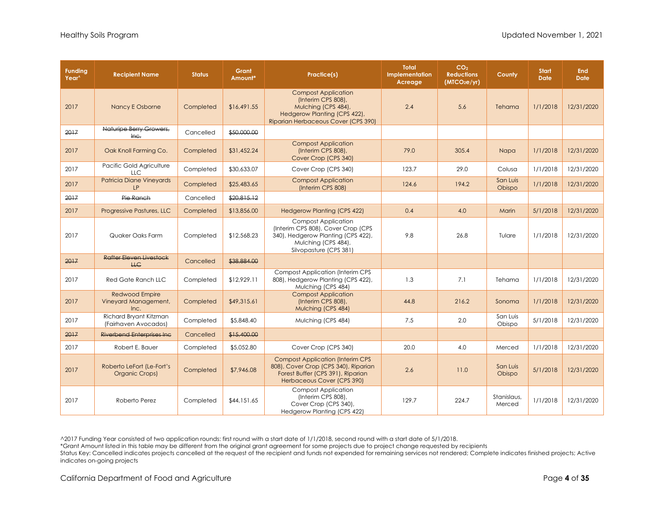| <b>Funding</b><br>Year <sup>^</sup> | <b>Recipient Name</b>                                 | <b>Status</b> | Grant<br>Amount* | Practice(s)                                                                                                                                             | <b>Total</b><br>Implementation<br>Acreage | CO <sub>2</sub><br><b>Reductions</b><br>(MICO <sub>2</sub> e/yr) | County                | <b>Start</b><br><b>Date</b> | <b>End</b><br><b>Date</b> |
|-------------------------------------|-------------------------------------------------------|---------------|------------------|---------------------------------------------------------------------------------------------------------------------------------------------------------|-------------------------------------------|------------------------------------------------------------------|-----------------------|-----------------------------|---------------------------|
| 2017                                | Nancy E Osborne                                       | Completed     | \$16,491.55      | <b>Compost Application</b><br>(Interim CPS 808),<br>Mulching (CPS 484),<br>Hedgerow Planting (CPS 422),<br>Riparian Herbaceous Cover (CPS 390)          | 2.4                                       | 5.6                                                              | Tehama                | 1/1/2018                    | 12/31/2020                |
| 2017                                | Naturipe Berry Growers,<br>$he$                       | Cancelled     | \$50,000.00      |                                                                                                                                                         |                                           |                                                                  |                       |                             |                           |
| 2017                                | Oak Knoll Farming Co.                                 | Completed     | \$31,452.24      | <b>Compost Application</b><br>(Interim CPS 808),<br>Cover Crop (CPS 340)                                                                                | 79.0                                      | 305.4                                                            | Napa                  | 1/1/2018                    | 12/31/2020                |
| 2017                                | Pacific Gold Agriculture<br>LLC                       | Completed     | \$30,633.07      | Cover Crop (CPS 340)                                                                                                                                    | 123.7                                     | 29.0                                                             | Colusa                | 1/1/2018                    | 12/31/2020                |
| 2017                                | <b>Patricia Diane Vineyards</b><br>LP                 | Completed     | \$25,483.65      | <b>Compost Application</b><br>(Interim CPS 808)                                                                                                         | 124.6                                     | 194.2                                                            | San Luis<br>Obispo    | 1/1/2018                    | 12/31/2020                |
| 2017                                | Pie Ranch                                             | Cancelled     | \$20.815.12      |                                                                                                                                                         |                                           |                                                                  |                       |                             |                           |
| 2017                                | Progressive Pastures, LLC                             | Completed     | \$13,856.00      | <b>Hedgerow Planting (CPS 422)</b>                                                                                                                      | 0.4                                       | 4.0                                                              | Marin                 | 5/1/2018                    | 12/31/2020                |
| 2017                                | Quaker Oaks Farm                                      | Completed     | \$12,568.23      | <b>Compost Application</b><br>(Interim CPS 808), Cover Crop (CPS<br>340), Hedgerow Planting (CPS 422),<br>Mulching (CPS 484),<br>Silvopasture (CPS 381) | 9.8                                       | 26.8                                                             | Tulare                | 1/1/2018                    | 12/31/2020                |
| 2017                                | <b>Rafter Eleven Livestock</b><br><b>HC</b>           | Cancelled     | \$38,884.00      |                                                                                                                                                         |                                           |                                                                  |                       |                             |                           |
| 2017                                | <b>Red Gate Ranch LLC</b>                             | Completed     | \$12,929.11      | <b>Compost Application (Interim CPS)</b><br>808), Hedgerow Planting (CPS 422),<br>Mulching (CPS 484)                                                    | 1.3                                       | 7.1                                                              | Tehama                | 1/1/2018                    | 12/31/2020                |
| 2017                                | <b>Redwood Empire</b><br>Vineyard Management,<br>Inc. | Completed     | \$49,315.61      | <b>Compost Application</b><br>(Interim CPS 808),<br>Mulching (CPS 484)                                                                                  | 44.8                                      | 216.2                                                            | Sonoma                | 1/1/2018                    | 12/31/2020                |
| 2017                                | Richard Bryant Kitzman<br>(Fairhaven Avocados)        | Completed     | \$5,848.40       | Mulching (CPS 484)                                                                                                                                      | 7.5                                       | 2.0                                                              | San Luis<br>Obispo    | 5/1/2018                    | 12/31/2020                |
| 2017                                | <b>Riverbend Enterprises Inc.</b>                     | Cancelled     | \$15,400.00      |                                                                                                                                                         |                                           |                                                                  |                       |                             |                           |
| 2017                                | Robert E. Bauer                                       | Completed     | \$5,052.80       | Cover Crop (CPS 340)                                                                                                                                    | 20.0                                      | 4.0                                                              | Merced                | 1/1/2018                    | 12/31/2020                |
| 2017                                | Roberto LeFort (Le-Fort's<br>Organic Crops)           | Completed     | \$7,946.08       | <b>Compost Application (Interim CPS</b><br>808), Cover Crop (CPS 340), Riparian<br>Forest Buffer (CPS 391), Riparian<br>Herbaceous Cover (CPS 390)      | 2.6                                       | 11.0                                                             | San Luis<br>Obispo    | 5/1/2018                    | 12/31/2020                |
| 2017                                | Roberto Perez                                         | Completed     | \$44,151.65      | <b>Compost Application</b><br>(Interim CPS 808),<br>Cover Crop (CPS 340),<br>Hedgerow Planting (CPS 422)                                                | 129.7                                     | 224.7                                                            | Stanislaus,<br>Merced | 1/1/2018                    | 12/31/2020                |

\*Grant Amount listed in this table may be different from the original grant agreement for some projects due to project change requested by recipients

Status Key: Cancelled indicates projects cancelled at the request of the recipient and funds not expended for remaining services not rendered; Complete indicates finished projects; Active indicates on-going projects

California Department of Food and Agriculture **Page 4** of 35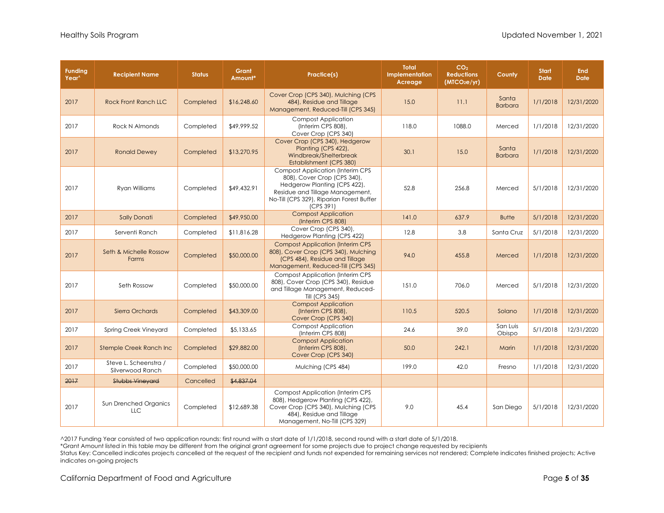| <b>Funding</b><br>Year <sup>^</sup> | <b>Recipient Name</b>                      | <b>Status</b> | Grant<br>Amount* | <b>Practice(s)</b>                                                                                                                                                                                  | <b>Total</b><br>Implementation<br>Acreage | CO <sub>2</sub><br><b>Reductions</b><br>(MICO <sub>2</sub> e/yr) | County                  | <b>Start</b><br><b>Date</b> | <b>End</b><br><b>Date</b> |
|-------------------------------------|--------------------------------------------|---------------|------------------|-----------------------------------------------------------------------------------------------------------------------------------------------------------------------------------------------------|-------------------------------------------|------------------------------------------------------------------|-------------------------|-----------------------------|---------------------------|
| 2017                                | <b>Rock Front Ranch LLC</b>                | Completed     | \$16,248.60      | Cover Crop (CPS 340), Mulching (CPS<br>484), Residue and Tillage<br>Management, Reduced-Till (CPS 345)                                                                                              | 15.0                                      | 11.1                                                             | Santa<br><b>Barbara</b> | 1/1/2018                    | 12/31/2020                |
| 2017                                | <b>Rock N Almonds</b>                      | Completed     | \$49,999.52      | <b>Compost Application</b><br>(Interim CPS 808),<br>Cover Crop (CPS 340)                                                                                                                            | 118.0                                     | 1088.0                                                           | Merced                  | 1/1/2018                    | 12/31/2020                |
| 2017                                | <b>Ronald Dewey</b>                        | Completed     | \$13,270.95      | Cover Crop (CPS 340), Hedgerow<br>Planting (CPS 422),<br>Windbreak/Shelterbreak<br>Establishment (CPS 380)                                                                                          | 30.1                                      | 15.0                                                             | Santa<br><b>Barbara</b> | 1/1/2018                    | 12/31/2020                |
| 2017                                | <b>Ryan Williams</b>                       | Completed     | \$49,432.91      | <b>Compost Application (Interim CPS</b><br>808), Cover Crop (CPS 340),<br>Hedgerow Planting (CPS 422),<br>Residue and Tillage Management,<br>No-Till (CPS 329), Riparian Forest Buffer<br>(CPS 391) | 52.8                                      | 256.8                                                            | Merced                  | 5/1/2018                    | 12/31/2020                |
| 2017                                | <b>Sally Donati</b>                        | Completed     | \$49,950.00      | <b>Compost Application</b><br>(Interim CPS 808)                                                                                                                                                     | 141.0                                     | 637.9                                                            | <b>Butte</b>            | 5/1/2018                    | 12/31/2020                |
| 2017                                | Serventi Ranch                             | Completed     | \$11,816.28      | Cover Crop (CPS 340),<br>Hedgerow Planting (CPS 422)                                                                                                                                                | 12.8                                      | 3.8                                                              | Santa Cruz              | 5/1/2018                    | 12/31/2020                |
| 2017                                | Seth & Michelle Rossow<br><b>Farms</b>     | Completed     | \$50,000.00      | <b>Compost Application (Interim CPS</b><br>808), Cover Crop (CPS 340), Mulching<br>(CPS 484), Residue and Tillage<br>Management, Reduced-Till (CPS 345)                                             | 94.0                                      | 455.8                                                            | Merced                  | 1/1/2018                    | 12/31/2020                |
| 2017                                | Seth Rossow                                | Completed     | \$50,000.00      | <b>Compost Application (Interim CPS</b><br>808), Cover Crop (CPS 340), Residue<br>and Tillage Management, Reduced-<br>Till (CPS 345)                                                                | 151.0                                     | 706.0                                                            | Merced                  | 5/1/2018                    | 12/31/2020                |
| 2017                                | Sierra Orchards                            | Completed     | \$43,309.00      | <b>Compost Application</b><br>(Interim CPS 808),<br>Cover Crop (CPS 340)                                                                                                                            | 110.5                                     | 520.5                                                            | Solano                  | 1/1/2018                    | 12/31/2020                |
| 2017                                | <b>Spring Creek Vineyard</b>               | Completed     | \$5,133.65       | <b>Compost Application</b><br>(Interim CPS 808)                                                                                                                                                     | 24.6                                      | 39.0                                                             | San Luis<br>Obispo      | 5/1/2018                    | 12/31/2020                |
| 2017                                | Stemple Creek Ranch Inc                    | Completed     | \$29,882.00      | <b>Compost Application</b><br>(Interim CPS 808),<br>Cover Crop (CPS 340)                                                                                                                            | 50.0                                      | 242.1                                                            | Marin                   | 1/1/2018                    | 12/31/2020                |
| 2017                                | Steve L. Scheenstra /<br>Silverwood Ranch  | Completed     | \$50,000,00      | Mulching (CPS 484)                                                                                                                                                                                  | 199.0                                     | 42.0                                                             | Fresno                  | 1/1/2018                    | 12/31/2020                |
| 2017                                | <b>Stubbs Vineyard</b>                     | Cancelled     | \$4,837,04       |                                                                                                                                                                                                     |                                           |                                                                  |                         |                             |                           |
| 2017                                | <b>Sun Drenched Organics</b><br><b>LLC</b> | Completed     | \$12,689.38      | <b>Compost Application (Interim CPS)</b><br>808), Hedgerow Planting (CPS 422),<br>Cover Crop (CPS 340), Mulching (CPS<br>484), Residue and Tillage<br>Management, No-Till (CPS 329)                 | 9.0                                       | 45.4                                                             | San Diego               | 5/1/2018                    | 12/31/2020                |

\*Grant Amount listed in this table may be different from the original grant agreement for some projects due to project change requested by recipients

Status Key: Cancelled indicates projects cancelled at the request of the recipient and funds not expended for remaining services not rendered; Complete indicates finished projects; Active indicates on-going projects

California Department of Food and Agriculture **Page 5** of 35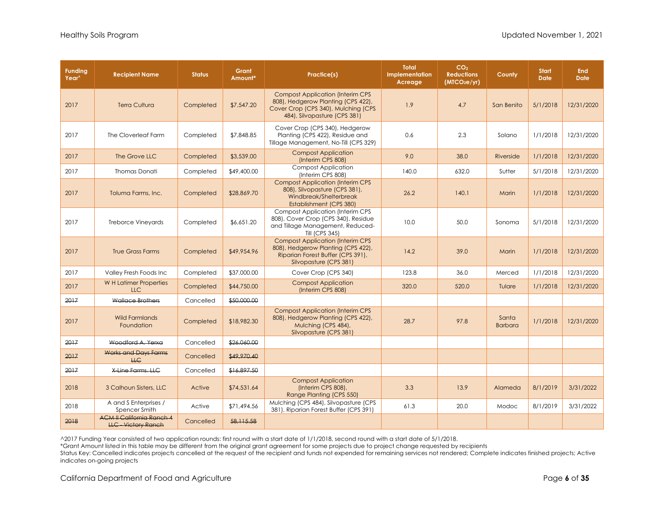| <b>Funding</b><br>Year <sup>^</sup> | <b>Recipient Name</b>                                          | <b>Status</b> | Grant<br>Amount* | Practice(s)                                                                                                                                          | <b>Total</b><br>Implementation<br>Acreage | CO <sub>2</sub><br><b>Reductions</b><br>(MTCO <sub>2</sub> e/yr) | County                  | <b>Start</b><br><b>Date</b> | <b>End</b><br><b>Date</b> |
|-------------------------------------|----------------------------------------------------------------|---------------|------------------|------------------------------------------------------------------------------------------------------------------------------------------------------|-------------------------------------------|------------------------------------------------------------------|-------------------------|-----------------------------|---------------------------|
| 2017                                | <b>Terra Cultura</b>                                           | Completed     | \$7,547.20       | <b>Compost Application (Interim CPS</b><br>808), Hedgerow Planting (CPS 422),<br>Cover Crop (CPS 340), Mulching (CPS<br>484), Silvopasture (CPS 381) | 1.9                                       | 4.7                                                              | San Benito              | 5/1/2018                    | 12/31/2020                |
| 2017                                | The Cloverleaf Farm                                            | Completed     | \$7,848.85       | Cover Crop (CPS 340), Hedgerow<br>Planting (CPS 422), Residue and<br>Tillage Management, No-Till (CPS 329)                                           | 0.6                                       | 2.3                                                              | Solano                  | 1/1/2018                    | 12/31/2020                |
| 2017                                | The Grove LLC                                                  | Completed     | \$3,539.00       | <b>Compost Application</b><br>(Interim CPS 808)                                                                                                      | 9.0                                       | 38.0                                                             | Riverside               | 1/1/2018                    | 12/31/2020                |
| 2017                                | <b>Thomas Donati</b>                                           | Completed     | \$49,400.00      | <b>Compost Application</b><br>(Interim CPS 808)                                                                                                      | 140.0                                     | 632.0                                                            | Sutter                  | 5/1/2018                    | 12/31/2020                |
| 2017                                | Toluma Farms, Inc.                                             | Completed     | \$28,869.70      | <b>Compost Application (Interim CPS</b><br>808), Silvopasture (CPS 381),<br>Windbreak/Shelterbreak<br>Establishment (CPS 380)                        | 26.2                                      | 140.1                                                            | Marin                   | 1/1/2018                    | 12/31/2020                |
| 2017                                | <b>Treborce Vineyards</b>                                      | Completed     | \$6,651.20       | <b>Compost Application (Interim CPS</b><br>808), Cover Crop (CPS 340), Residue<br>and Tillage Management, Reduced-<br>Till (CPS 345)                 | 10.0                                      | 50.0                                                             | Sonoma                  | 5/1/2018                    | 12/31/2020                |
| 2017                                | True Grass Farms                                               | Completed     | \$49,954.96      | <b>Compost Application (Interim CPS)</b><br>808), Hedgerow Planting (CPS 422),<br>Riparian Forest Buffer (CPS 391),<br>Silvopasture (CPS 381)        | 14.2                                      | 39.0                                                             | Marin                   | 1/1/2018                    | 12/31/2020                |
| 2017                                | Valley Fresh Foods Inc                                         | Completed     | \$37,000.00      | Cover Crop (CPS 340)                                                                                                                                 | 123.8                                     | 36.0                                                             | Merced                  | 1/1/2018                    | 12/31/2020                |
| 2017                                | W H Latimer Properties<br><b>LLC</b>                           | Completed     | \$44,750.00      | <b>Compost Application</b><br>(Interim CPS 808)                                                                                                      | 320.0                                     | 520.0                                                            | Tulare                  | 1/1/2018                    | 12/31/2020                |
| 2017                                | Wallace Brothers                                               | Cancelled     | \$50,000,00      |                                                                                                                                                      |                                           |                                                                  |                         |                             |                           |
| 2017                                | <b>Wild Farmlands</b><br>Foundation                            | Completed     | \$18,982.30      | <b>Compost Application (Interim CPS)</b><br>808), Hedgerow Planting (CPS 422),<br>Mulching (CPS 484),<br>Silvopasture (CPS 381)                      | 28.7                                      | 97.8                                                             | Santa<br><b>Barbara</b> | 1/1/2018                    | 12/31/2020                |
| 2017                                | Woodford A. Yerxa                                              | Cancelled     | \$26,060.00      |                                                                                                                                                      |                                           |                                                                  |                         |                             |                           |
| 2017                                | <b>Works and Days Farms</b><br><b>HC</b>                       | Cancelled     | \$49,970.40      |                                                                                                                                                      |                                           |                                                                  |                         |                             |                           |
| 2017                                | X-Line Farms, LLC                                              | Cancelled     | \$16,897.50      |                                                                                                                                                      |                                           |                                                                  |                         |                             |                           |
| 2018                                | 3 Calhoun Sisters, LLC                                         | Active        | \$74,531.64      | <b>Compost Application</b><br>(Interim CPS 808),<br>Range Planting (CPS 550)                                                                         | 3.3                                       | 13.9                                                             | Alameda                 | 8/1/2019                    | 3/31/2022                 |
| 2018                                | A and S Enterprises /<br>Spencer Smith                         | Active        | \$71,494.56      | Mulching (CPS 484), Silvopasture (CPS<br>381), Riparian Forest Buffer (CPS 391)                                                                      | 61.3                                      | 20.0                                                             | Modoc                   | 8/1/2019                    | 3/31/2022                 |
| 2018                                | <b>ACM II California Ranch 4</b><br><b>LLC - Victory Ranch</b> | Cancelled     | 58,115.58        |                                                                                                                                                      |                                           |                                                                  |                         |                             |                           |

\*Grant Amount listed in this table may be different from the original grant agreement for some projects due to project change requested by recipients

Status Key: Cancelled indicates projects cancelled at the request of the recipient and funds not expended for remaining services not rendered; Complete indicates finished projects; Active indicates on-going projects

California Department of Food and Agriculture **Page 6** of 35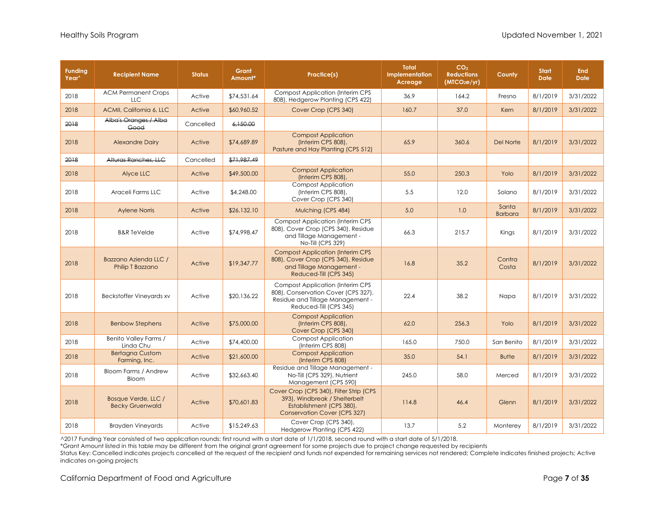| <b>Funding</b><br>Year <sup>^</sup> | <b>Recipient Name</b>                         | <b>Status</b> | Grant<br>Amount* | Practice(s)                                                                                                                                  | <b>Total</b><br>Implementation<br>Acreage | CO <sub>2</sub><br><b>Reductions</b><br>(MICO <sub>2</sub> e/yr) | County                  | <b>Start</b><br><b>Date</b> | <b>End</b><br><b>Date</b> |
|-------------------------------------|-----------------------------------------------|---------------|------------------|----------------------------------------------------------------------------------------------------------------------------------------------|-------------------------------------------|------------------------------------------------------------------|-------------------------|-----------------------------|---------------------------|
| 2018                                | <b>ACM Permanent Crops</b><br><b>LLC</b>      | Active        | \$74,531.64      | <b>Compost Application (Interim CPS)</b><br>808), Hedgerow Planting (CPS 422)                                                                | 36.9                                      | 164.2                                                            | Fresno                  | 8/1/2019                    | 3/31/2022                 |
| 2018                                | ACMII, California 6, LLC                      | Active        | \$60,960.52      | Cover Crop (CPS 340)                                                                                                                         | 160.7                                     | 37.0                                                             | Kern                    | 8/1/2019                    | 3/31/2022                 |
| 2018                                | Alba's Oranges / Alba<br>Good                 | Cancelled     | 6.150.00         |                                                                                                                                              |                                           |                                                                  |                         |                             |                           |
| 2018                                | <b>Alexandre Dairy</b>                        | Active        | \$74,689.89      | <b>Compost Application</b><br>(Interim CPS 808),<br>Pasture and Hay Planting (CPS 512)                                                       | 65.9                                      | 360.6                                                            | Del Norte               | 8/1/2019                    | 3/31/2022                 |
| 2018                                | Alturas Ranches, LLC                          | Cancelled     | \$71,987.49      |                                                                                                                                              |                                           |                                                                  |                         |                             |                           |
| 2018                                | Alyce LLC                                     | Active        | \$49,500.00      | <b>Compost Application</b><br>(Interim CPS 808),                                                                                             | 55.0                                      | 250.3                                                            | Yolo                    | 8/1/2019                    | 3/31/2022                 |
| 2018                                | Araceli Farms LLC                             | Active        | \$4,248.00       | <b>Compost Application</b><br>(Interim CPS 808),<br>Cover Crop (CPS 340)                                                                     | 5.5                                       | 12.0                                                             | Solano                  | 8/1/2019                    | 3/31/2022                 |
| 2018                                | <b>Aylene Norris</b>                          | Active        | \$26,132.10      | Mulching (CPS 484)                                                                                                                           | 5.0                                       | 1.0                                                              | Santa<br><b>Barbara</b> | 8/1/2019                    | 3/31/2022                 |
| 2018                                | <b>B&amp;R TeVelde</b>                        | Active        | \$74,998.47      | <b>Compost Application (Interim CPS</b><br>808), Cover Crop (CPS 340), Residue<br>and Tillage Management -<br>No-Till (CPS 329)              | 66.3                                      | 215.7                                                            | Kings                   | 8/1/2019                    | 3/31/2022                 |
| 2018                                | Bazzano Azienda LLC /<br>Philip T Bazzano     | Active        | \$19,347.77      | <b>Compost Application (Interim CPS</b><br>808), Cover Crop (CPS 340), Residue<br>and Tillage Management -<br>Reduced-Till (CPS 345)         | 16.8                                      | 35.2                                                             | Contra<br>Costa         | 8/1/2019                    | 3/31/2022                 |
| 2018                                | <b>Beckstoffer Vineyards xv</b>               | Active        | \$20,136.22      | <b>Compost Application (Interim CPS</b><br>808), Conservation Cover (CPS 327),<br>Residue and Tillage Management -<br>Reduced-Till (CPS 345) | 22.4                                      | 38.2                                                             | Napa                    | 8/1/2019                    | 3/31/2022                 |
| 2018                                | <b>Benbow Stephens</b>                        | Active        | \$75,000.00      | <b>Compost Application</b><br>(Interim CPS 808),<br>Cover Crop (CPS 340)                                                                     | 62.0                                      | 256.3                                                            | Yolo                    | 8/1/2019                    | 3/31/2022                 |
| 2018                                | Benito Valley Farms /<br>Linda Chu            | Active        | \$74,400.00      | <b>Compost Application</b><br>(Interim CPS 808)                                                                                              | 165.0                                     | 750.0                                                            | San Benito              | 8/1/2019                    | 3/31/2022                 |
| 2018                                | <b>Bertagna Custom</b><br>Farming, Inc.       | Active        | \$21,600.00      | <b>Compost Application</b><br>(Interim CPS 808)                                                                                              | 35.0                                      | 54.1                                                             | <b>Butte</b>            | 8/1/2019                    | 3/31/2022                 |
| 2018                                | Bloom Farms / Andrew<br>Bloom                 | Active        | \$32,663.40      | Residue and Tillage Management -<br>No-Till (CPS 329), Nutrient<br>Management (CPS 590)                                                      | 245.0                                     | 58.0                                                             | Merced                  | 8/1/2019                    | 3/31/2022                 |
| 2018                                | Bosque Verde, LLC /<br><b>Becky Gruenwald</b> | Active        | \$70,601.83      | Cover Crop (CPS 340), Filter Strip (CPS<br>393), Windbreak / Shelterbelt<br>Establishment (CPS 380),<br><b>Conservation Cover (CPS 327)</b>  | 114.8                                     | 46.4                                                             | Glenn                   | 8/1/2019                    | 3/31/2022                 |
| 2018                                | <b>Brayden Vineyards</b>                      | Active        | \$15,249.63      | Cover Crop (CPS 340),<br>Hedgerow Planting (CPS 422)                                                                                         | 13.7                                      | 5.2                                                              | Monterey                | 8/1/2019                    | 3/31/2022                 |

\*Grant Amount listed in this table may be different from the original grant agreement for some projects due to project change requested by recipients

Status Key: Cancelled indicates projects cancelled at the request of the recipient and funds not expended for remaining services not rendered; Complete indicates finished projects; Active indicates on-going projects

California Department of Food and Agriculture **Page 7** of 35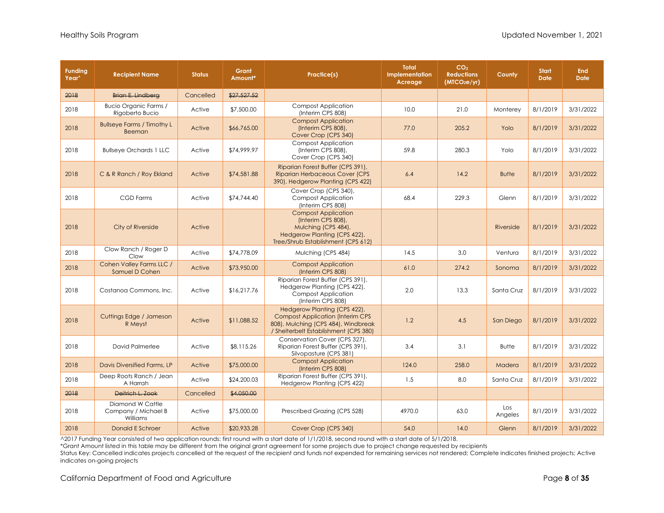| <b>Funding</b><br>Year <sup>^</sup> | <b>Recipient Name</b>                               | <b>Status</b> | Grant<br>Amount* | Practice(s)                                                                                                                                              | <b>Total</b><br>Implementation<br>Acreage | CO <sub>2</sub><br><b>Reductions</b><br>(MTCO <sub>2</sub> e/yr) | County         | <b>Start</b><br><b>Date</b> | <b>End</b><br><b>Date</b> |
|-------------------------------------|-----------------------------------------------------|---------------|------------------|----------------------------------------------------------------------------------------------------------------------------------------------------------|-------------------------------------------|------------------------------------------------------------------|----------------|-----------------------------|---------------------------|
| 2018                                | Brian E. Lindberg                                   | Cancelled     | \$27,527.52      |                                                                                                                                                          |                                           |                                                                  |                |                             |                           |
| 2018                                | Bucio Organic Farms /<br>Rigoberto Bucio            | Active        | \$7,500.00       | <b>Compost Application</b><br>(Interim CPS 808)                                                                                                          | 10.0                                      | 21.0                                                             | Monterey       | 8/1/2019                    | 3/31/2022                 |
| 2018                                | <b>Bullseye Farms / Timothy L</b><br><b>Beeman</b>  | Active        | \$66,765.00      | <b>Compost Application</b><br>(Interim CPS 808),<br>Cover Crop (CPS 340)                                                                                 | 77.0                                      | 205.2                                                            | Yolo           | 8/1/2019                    | 3/31/2022                 |
| 2018                                | <b>Bullseye Orchards 1 LLC</b>                      | Active        | \$74,999.97      | <b>Compost Application</b><br>(Interim CPS 808),<br>Cover Crop (CPS 340)                                                                                 | 59.8                                      | 280.3                                                            | Yolo           | 8/1/2019                    | 3/31/2022                 |
| 2018                                | C & R Ranch / Roy Ekland                            | Active        | \$74,581.88      | Riparian Forest Buffer (CPS 391),<br><b>Riparian Herbaceous Cover (CPS</b><br>390), Hedgerow Planting (CPS 422)                                          | 6.4                                       | 14.2                                                             | <b>Butte</b>   | 8/1/2019                    | 3/31/2022                 |
| 2018                                | <b>CGD Farms</b>                                    | Active        | \$74,744.40      | Cover Crop (CPS 340),<br><b>Compost Application</b><br>(Interim CPS 808)                                                                                 | 68.4                                      | 229.3                                                            | Glenn          | 8/1/2019                    | 3/31/2022                 |
| 2018                                | City of Riverside                                   | Active        |                  | <b>Compost Application</b><br>(Interim CPS 808),<br>Mulching (CPS 484),<br>Hedgerow Planting (CPS 422),<br>Tree/Shrub Establishment (CPS 612)            |                                           |                                                                  | Riverside      | 8/1/2019                    | 3/31/2022                 |
| 2018                                | Clow Ranch / Roger D<br>Clow                        | Active        | \$74,778.09      | Mulching (CPS 484)                                                                                                                                       | 14.5                                      | 3.0                                                              | Ventura        | 8/1/2019                    | 3/31/2022                 |
| 2018                                | Cohen Valley Farms LLC /<br>Samuel D Cohen          | Active        | \$73,950.00      | <b>Compost Application</b><br>(Interim CPS 808)                                                                                                          | 61.0                                      | 274.2                                                            | Sonoma         | 8/1/2019                    | 3/31/2022                 |
| 2018                                | Costanoa Commons, Inc.                              | Active        | \$16,217.76      | Riparian Forest Buffer (CPS 391),<br>Hedgerow Planting (CPS 422),<br><b>Compost Application</b><br>(Interim CPS 808)                                     | 2.0                                       | 13.3                                                             | Santa Cruz     | 8/1/2019                    | 3/31/2022                 |
| 2018                                | Cuttings Edge / Jameson<br>R Meyst                  | Active        | \$11,088.52      | Hedgerow Planting (CPS 422),<br><b>Compost Application (Interim CPS)</b><br>808), Mulching (CPS 484), Windbreak<br>/ Shelterbelt Establishment (CPS 380) | 1.2                                       | 4.5                                                              | San Diego      | 8/1/2019                    | 3/31/2022                 |
| 2018                                | David Palmerlee                                     | Active        | \$8,115.26       | Conservation Cover (CPS 327),<br>Riparian Forest Buffer (CPS 391),<br>Silvopasture (CPS 381)                                                             | 3.4                                       | 3.1                                                              | <b>Butte</b>   | 8/1/2019                    | 3/31/2022                 |
| 2018                                | Davis Diversified Farms, LP                         | Active        | \$75,000.00      | <b>Compost Application</b><br>(Interim CPS 808)                                                                                                          | 124.0                                     | 258.0                                                            | Madera         | 8/1/2019                    | 3/31/2022                 |
| 2018                                | Deep Roots Ranch / Jean<br>A Harrah                 | Active        | \$24,200.03      | Riparian Forest Buffer (CPS 391),<br>Hedgerow Planting (CPS 422)                                                                                         | 1.5                                       | 8.0                                                              | Santa Cruz     | 8/1/2019                    | 3/31/2022                 |
| 2018                                | Deitrich L. Zook                                    | Cancelled     | \$4,050.00       |                                                                                                                                                          |                                           |                                                                  |                |                             |                           |
| 2018                                | Diamond W Cattle<br>Company / Michael B<br>Williams | Active        | \$75,000.00      | Prescribed Grazing (CPS 528)                                                                                                                             | 4970.0                                    | 63.0                                                             | Los<br>Angeles | 8/1/2019                    | 3/31/2022                 |
| 2018                                | <b>Donald E Schroer</b>                             | Active        | \$20,933.28      | Cover Crop (CPS 340)                                                                                                                                     | 54.0                                      | 14.0                                                             | Glenn          | 8/1/2019                    | 3/31/2022                 |

\*Grant Amount listed in this table may be different from the original grant agreement for some projects due to project change requested by recipients

Status Key: Cancelled indicates projects cancelled at the request of the recipient and funds not expended for remaining services not rendered; Complete indicates finished projects; Active indicates on-going projects

California Department of Food and Agriculture **Page 8** of 35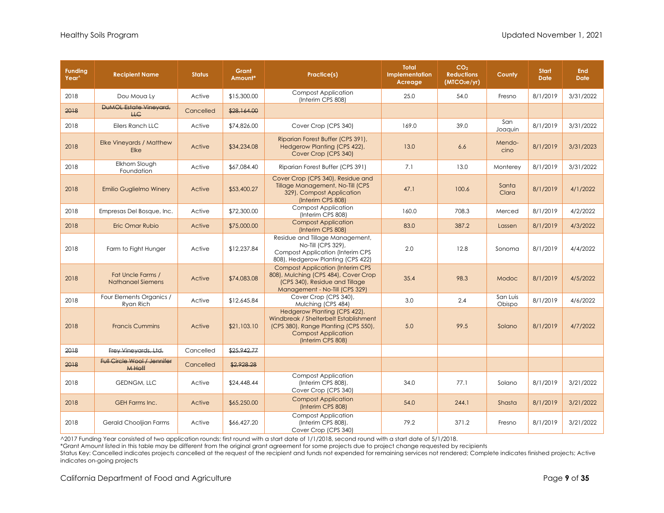| <b>Funding</b><br>Year <sup>^</sup> | <b>Recipient Name</b>                               | <b>Status</b> | Grant<br>Amount* | Practice(s)                                                                                                                                                      | <b>Total</b><br><b>Implementation</b><br>Acreage | CO <sub>2</sub><br><b>Reductions</b><br>(MTCO <sub>2</sub> e/yr) | County             | <b>Start</b><br><b>Date</b> | End<br><b>Date</b> |
|-------------------------------------|-----------------------------------------------------|---------------|------------------|------------------------------------------------------------------------------------------------------------------------------------------------------------------|--------------------------------------------------|------------------------------------------------------------------|--------------------|-----------------------------|--------------------|
| 2018                                | Dou Moua Ly                                         | Active        | \$15,300,00      | <b>Compost Application</b><br>(Interim CPS 808)                                                                                                                  | 25.0                                             | 54.0                                                             | Fresno             | 8/1/2019                    | 3/31/2022          |
| 2018                                | <b>DUMOL Estate Vineyard,</b><br>H G                | Cancelled     | \$28,164.00      |                                                                                                                                                                  |                                                  |                                                                  |                    |                             |                    |
| 2018                                | Eilers Ranch LLC                                    | Active        | \$74,826.00      | Cover Crop (CPS 340)                                                                                                                                             | 169.0                                            | 39.0                                                             | San<br>Joaquin     | 8/1/2019                    | 3/31/2022          |
| 2018                                | Elke Vineyards / Matthew<br><b>Elke</b>             | Active        | \$34,234.08      | Riparian Forest Buffer (CPS 391),<br>Hedgerow Planting (CPS 422),<br>Cover Crop (CPS 340)                                                                        | 13.0                                             | 6.6                                                              | Mendo-<br>cino     | 8/1/2019                    | 3/31/2023          |
| 2018                                | Elkhorn Slough<br>Foundation                        | Active        | \$67,084.40      | Riparian Forest Buffer (CPS 391)                                                                                                                                 | 7.1                                              | 13.0                                                             | Monterey           | 8/1/2019                    | 3/31/2022          |
| 2018                                | <b>Emilio Guglielmo Winery</b>                      | Active        | \$53,400.27      | Cover Crop (CPS 340), Residue and<br>Tillage Management, No-Till (CPS)<br>329), Compost Application<br>(Interim CPS 808)                                         | 47.1                                             | 100.6                                                            | Santa<br>Clara     | 8/1/2019                    | 4/1/2022           |
| 2018                                | Empresas Del Bosque, Inc.                           | Active        | \$72,300.00      | <b>Compost Application</b><br>(Interim CPS 808)                                                                                                                  | 160.0                                            | 708.3                                                            | Merced             | 8/1/2019                    | 4/2/2022           |
| 2018                                | Eric Omar Rubio                                     | Active        | \$75,000.00      | <b>Compost Application</b><br>(Interim CPS 808)                                                                                                                  | 83.0                                             | 387.2                                                            | Lassen             | 8/1/2019                    | 4/3/2022           |
| 2018                                | Farm to Fight Hunger                                | Active        | \$12,237.84      | Residue and Tillage Management,<br>No-Till (CPS 329),<br><b>Compost Application (Interim CPS</b><br>808), Hedgerow Planting (CPS 422)                            | 2.0                                              | 12.8                                                             | Sonoma             | 8/1/2019                    | 4/4/2022           |
| 2018                                | Fat Uncle Farms /<br>Nathanael Siemens              | Active        | \$74,083.08      | <b>Compost Application (Interim CPS)</b><br>808), Mulching (CPS 484), Cover Crop<br>(CPS 340), Residue and Tillage<br>Management - No-Till (CPS 329)             | 35.4                                             | 98.3                                                             | Modoc              | 8/1/2019                    | 4/5/2022           |
| 2018                                | Four Elements Organics /<br>Ryan Rich               | Active        | \$12,645.84      | Cover Crop (CPS 340),<br>Mulching (CPS 484)                                                                                                                      | 3.0                                              | 2.4                                                              | San Luis<br>Obispo | 8/1/2019                    | 4/6/2022           |
| 2018                                | <b>Francis Cummins</b>                              | Active        | \$21,103.10      | Hedgerow Planting (CPS 422),<br>Windbreak / Shelterbelt Establishment<br>(CPS 380), Range Planting (CPS 550),<br><b>Compost Application</b><br>(Interim CPS 808) | 5.0                                              | 99.5                                                             | Solano             | 8/1/2019                    | 4/7/2022           |
| 2018                                | Frey Vineyards, Ltd.                                | Cancelled     | \$25,942,77      |                                                                                                                                                                  |                                                  |                                                                  |                    |                             |                    |
| 2018                                | <b>Full Circle Wool / Jennifer</b><br><b>M Hoff</b> | Cancelled     | \$2,928.28       |                                                                                                                                                                  |                                                  |                                                                  |                    |                             |                    |
| 2018                                | <b>GEDNGM, LLC</b>                                  | Active        | \$24,448.44      | <b>Compost Application</b><br>(Interim CPS 808),<br>Cover Crop (CPS 340)                                                                                         | 34.0                                             | 77.1                                                             | Solano             | 8/1/2019                    | 3/21/2022          |
| 2018                                | GEH Farms Inc.                                      | Active        | \$65,250.00      | <b>Compost Application</b><br>(Interim CPS 808)                                                                                                                  | 54.0                                             | 244.1                                                            | Shasta             | 8/1/2019                    | 3/21/2022          |
| 2018                                | Gerald Chooljian Farms                              | Active        | \$66,427.20      | <b>Compost Application</b><br>(Interim CPS 808),<br>Cover Crop (CPS 340)                                                                                         | 79.2                                             | 371.2                                                            | Fresno             | 8/1/2019                    | 3/21/2022          |

\*Grant Amount listed in this table may be different from the original grant agreement for some projects due to project change requested by recipients

Status Key: Cancelled indicates projects cancelled at the request of the recipient and funds not expended for remaining services not rendered; Complete indicates finished projects; Active indicates on-going projects

California Department of Food and Agriculture **Page 9** of 35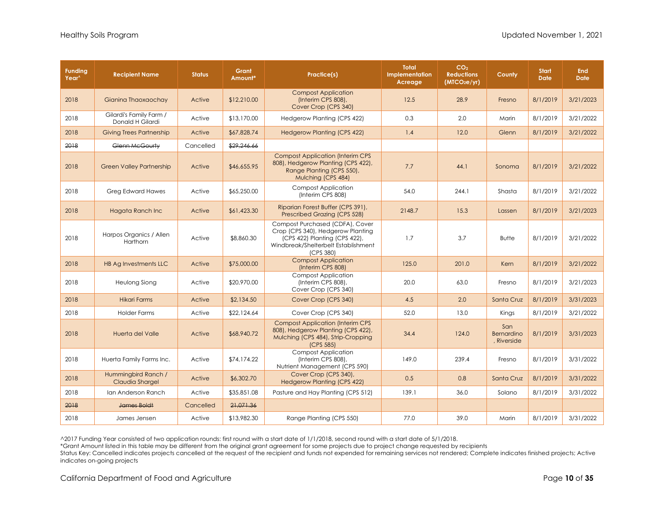| <b>Funding</b><br>Year <sup>^</sup> | <b>Recipient Name</b>                       | <b>Status</b> | Grant<br>Amount* | Practice(s)                                                                                                                                               | <b>Total</b><br>Implementation<br>Acreage | CO <sub>2</sub><br><b>Reductions</b><br>(MTCO <sub>2</sub> e/yr) | County                           | <b>Start</b><br><b>Date</b> | End<br><b>Date</b> |
|-------------------------------------|---------------------------------------------|---------------|------------------|-----------------------------------------------------------------------------------------------------------------------------------------------------------|-------------------------------------------|------------------------------------------------------------------|----------------------------------|-----------------------------|--------------------|
| 2018                                | Gianina Thaoxaochay                         | Active        | \$12,210.00      | <b>Compost Application</b><br>(Interim CPS 808),<br>Cover Crop (CPS 340)                                                                                  | 12.5                                      | 28.9                                                             | Fresno                           | 8/1/2019                    | 3/21/2023          |
| 2018                                | Gilardi's Family Farm /<br>Donald H Gilardi | Active        | \$13,170.00      | Hedgerow Planting (CPS 422)                                                                                                                               | 0.3                                       | 2.0                                                              | Marin                            | 8/1/2019                    | 3/21/2022          |
| 2018                                | <b>Giving Trees Partnership</b>             | Active        | \$67,828.74      | <b>Hedgerow Planting (CPS 422)</b>                                                                                                                        | 1.4                                       | 12.0                                                             | Glenn                            | 8/1/2019                    | 3/21/2022          |
| 2018                                | Glenn McGourty                              | Cancelled     | \$29,246.66      |                                                                                                                                                           |                                           |                                                                  |                                  |                             |                    |
| 2018                                | <b>Green Valley Partnership</b>             | Active        | \$46,655.95      | <b>Compost Application (Interim CPS)</b><br>808), Hedgerow Planting (CPS 422),<br>Range Planting (CPS 550),<br>Mulching (CPS 484)                         | 7.7                                       | 44.1                                                             | Sonoma                           | 8/1/2019                    | 3/21/2022          |
| 2018                                | Greg Edward Hawes                           | Active        | \$65,250.00      | <b>Compost Application</b><br>(Interim CPS 808)                                                                                                           | 54.0                                      | 244.1                                                            | Shasta                           | 8/1/2019                    | 3/21/2022          |
| 2018                                | <b>Hagata Ranch Inc</b>                     | Active        | \$61,423.30      | Riparian Forest Buffer (CPS 391),<br>Prescribed Grazing (CPS 528)                                                                                         | 2148.7                                    | 15.3                                                             | Lassen                           | 8/1/2019                    | 3/21/2023          |
| 2018                                | Harpos Organics / Allen<br>Harthorn         | Active        | \$8,860.30       | Compost Purchased (CDFA), Cover<br>Crop (CPS 340), Hedgerow Planting<br>(CPS 422) Planting (CPS 422),<br>Windbreak/Shelterbelt Establishment<br>(CPS 380) | 1.7                                       | 3.7                                                              | <b>Butte</b>                     | 8/1/2019                    | 3/21/2022          |
| 2018                                | HB Ag Investments LLC                       | Active        | \$75,000.00      | <b>Compost Application</b><br>(Interim CPS 808)                                                                                                           | 125.0                                     | 201.0                                                            | Kern                             | 8/1/2019                    | 3/21/2022          |
| 2018                                | Heulong Siong                               | Active        | \$20,970.00      | <b>Compost Application</b><br>(Interim CPS 808),<br>Cover Crop (CPS 340)                                                                                  | 20.0                                      | 63.0                                                             | Fresno                           | 8/1/2019                    | 3/21/2023          |
| 2018                                | <b>Hikari Farms</b>                         | Active        | \$2,134.50       | Cover Crop (CPS 340)                                                                                                                                      | 4.5                                       | 2.0                                                              | Santa Cruz                       | 8/1/2019                    | 3/31/2023          |
| 2018                                | <b>Holder Farms</b>                         | Active        | \$22,124.64      | Cover Crop (CPS 340)                                                                                                                                      | 52.0                                      | 13.0                                                             | Kings                            | 8/1/2019                    | 3/21/2022          |
| 2018                                | Huerta del Valle                            | Active        | \$68,940.72      | <b>Compost Application (Interim CPS)</b><br>808), Hedgerow Planting (CPS 422),<br>Mulching (CPS 484), Strip-Cropping<br>(CPS 585)                         | 34.4                                      | 124.0                                                            | San<br>Bernardino<br>, Riverside | 8/1/2019                    | 3/31/2023          |
| 2018                                | Huerta Family Farms Inc.                    | Active        | \$74,174.22      | <b>Compost Application</b><br>(Interim CPS 808),<br>Nutrient Management (CPS 590)                                                                         | 149.0                                     | 239.4                                                            | Fresno                           | 8/1/2019                    | 3/31/2022          |
| 2018                                | Hummingbird Ranch /<br>Claudia Shargel      | Active        | \$6,302.70       | Cover Crop (CPS 340),<br><b>Hedgerow Planting (CPS 422)</b>                                                                                               | 0.5                                       | 0.8                                                              | Santa Cruz                       | 8/1/2019                    | 3/31/2022          |
| 2018                                | Ian Anderson Ranch                          | Active        | \$35,851.08      | Pasture and Hay Planting (CPS 512)                                                                                                                        | 139.1                                     | 36.0                                                             | Solano                           | 8/1/2019                    | 3/31/2022          |
| 2018                                | James Boldt                                 | Cancelled     | 21.071.36        |                                                                                                                                                           |                                           |                                                                  |                                  |                             |                    |
| 2018                                | James Jensen                                | Active        | \$13,982.30      | Range Planting (CPS 550)                                                                                                                                  | 77.0                                      | 39.0                                                             | Marin                            | 8/1/2019                    | 3/31/2022          |

\*Grant Amount listed in this table may be different from the original grant agreement for some projects due to project change requested by recipients

Status Key: Cancelled indicates projects cancelled at the request of the recipient and funds not expended for remaining services not rendered; Complete indicates finished projects; Active indicates on-going projects

California Department of Food and Agriculture **Page 10** of 35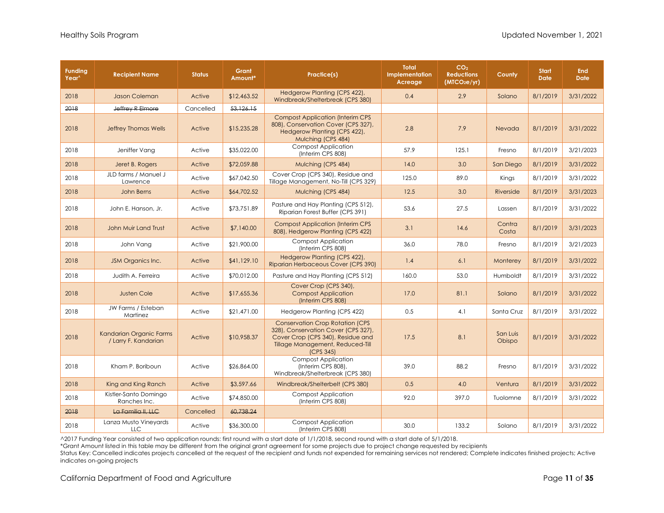| <b>Funding</b><br>Year <sup>^</sup> | <b>Recipient Name</b>                           | <b>Status</b> | Grant<br>Amount* | Practice(s)                                                                                                                                                         | <b>Total</b><br>Implementation<br>Acreage | CO <sub>2</sub><br><b>Reductions</b><br>(MTCO <sub>2</sub> e/yr) | County             | <b>Start</b><br><b>Date</b> | <b>End</b><br><b>Date</b> |
|-------------------------------------|-------------------------------------------------|---------------|------------------|---------------------------------------------------------------------------------------------------------------------------------------------------------------------|-------------------------------------------|------------------------------------------------------------------|--------------------|-----------------------------|---------------------------|
| 2018                                | Jason Coleman                                   | Active        | \$12,463.52      | Hedgerow Planting (CPS 422),<br>Windbreak/Shelterbreak (CPS 380)                                                                                                    | 0.4                                       | 2.9                                                              | Solano             | 8/1/2019                    | 3/31/2022                 |
| 2018                                | Jeffrey R Elmore                                | Cancelled     | 53,126.15        |                                                                                                                                                                     |                                           |                                                                  |                    |                             |                           |
| 2018                                | <b>Jeffrey Thomas Wells</b>                     | Active        | \$15,235.28      | <b>Compost Application (Interim CPS)</b><br>808), Conservation Cover (CPS 327),<br>Hedgerow Planting (CPS 422),<br>Mulching (CPS 484)                               | 2.8                                       | 7.9                                                              | Nevada             | 8/1/2019                    | 3/31/2022                 |
| 2018                                | Jeniffer Vang                                   | Active        | \$35,022.00      | <b>Compost Application</b><br>(Interim CPS 808)                                                                                                                     | 57.9                                      | 125.1                                                            | Fresno             | 8/1/2019                    | 3/21/2023                 |
| 2018                                | Jeret B. Rogers                                 | Active        | \$72,059.88      | Mulching (CPS 484)                                                                                                                                                  | 14.0                                      | 3.0                                                              | San Diego          | 8/1/2019                    | 3/31/2022                 |
| 2018                                | JLD farms / Manuel J<br>Lawrence                | Active        | \$67,042.50      | Cover Crop (CPS 340), Residue and<br>Tillage Management, No-Till (CPS 329)                                                                                          | 125.0                                     | 89.0                                                             | Kings              | 8/1/2019                    | 3/31/2022                 |
| 2018                                | John Berns                                      | Active        | \$64,702.52      | Mulching (CPS 484)                                                                                                                                                  | 12.5                                      | 3.0                                                              | Riverside          | 8/1/2019                    | 3/31/2023                 |
| 2018                                | John E. Hanson, Jr.                             | Active        | \$73,751.89      | Pasture and Hay Planting (CPS 512),<br>Riparian Forest Buffer (CPS 391)                                                                                             | 53.6                                      | 27.5                                                             | Lassen             | 8/1/2019                    | 3/31/2022                 |
| 2018                                | John Muir Land Trust                            | Active        | \$7,140.00       | <b>Compost Application (Interim CPS</b><br>808), Hedgerow Planting (CPS 422)                                                                                        | 3.1                                       | 14.6                                                             | Contra<br>Costa    | 8/1/2019                    | 3/31/2023                 |
| 2018                                | John Vang                                       | Active        | \$21,900.00      | <b>Compost Application</b><br>(Interim CPS 808)                                                                                                                     | 36.0                                      | 78.0                                                             | Fresno             | 8/1/2019                    | 3/21/2023                 |
| 2018                                | JSM Organics Inc.                               | Active        | \$41,129.10      | Hedgerow Planting (CPS 422),<br>Riparian Herbaceous Cover (CPS 390)                                                                                                 | 1.4                                       | 6.1                                                              | Monterey           | 8/1/2019                    | 3/31/2022                 |
| 2018                                | Judith A. Ferreira                              | Active        | \$70,012.00      | Pasture and Hay Planting (CPS 512)                                                                                                                                  | 160.0                                     | 53.0                                                             | Humboldt           | 8/1/2019                    | 3/31/2022                 |
| 2018                                | <b>Justen Cole</b>                              | Active        | \$17,655.36      | Cover Crop (CPS 340),<br><b>Compost Application</b><br>(Interim CPS 808)                                                                                            | 17.0                                      | 81.1                                                             | Solano             | 8/1/2019                    | 3/31/2022                 |
| 2018                                | JW Farms / Esteban<br>Martinez                  | Active        | \$21,471.00      | Hedgerow Planting (CPS 422)                                                                                                                                         | 0.5                                       | 4.1                                                              | Santa Cruz         | 8/1/2019                    | 3/31/2022                 |
| 2018                                | Kandarian Organic Farms<br>/ Larry F. Kandarian | Active        | \$10,958.37      | <b>Conservation Crop Rotation (CPS</b><br>328), Conservation Cover (CPS 327),<br>Cover Crop (CPS 340), Residue and<br>Tillage Management, Reduced-Till<br>(CPS 345) | 17.5                                      | 8.1                                                              | San Luis<br>Obispo | 8/1/2019                    | 3/31/2022                 |
| 2018                                | Kham P. Boriboun                                | Active        | \$26,864.00      | <b>Compost Application</b><br>(Interim CPS 808).<br>Windbreak/Shelterbreak (CPS 380)                                                                                | 39.0                                      | 88.2                                                             | Fresno             | 8/1/2019                    | 3/31/2022                 |
| 2018                                | King and King Ranch                             | Active        | \$3,597.66       | Windbreak/Shelterbelt (CPS 380)                                                                                                                                     | 0.5                                       | 4.0                                                              | Ventura            | 8/1/2019                    | 3/31/2022                 |
| 2018                                | Kistler-Santo Domingo<br>Ranches Inc.           | Active        | \$74,850.00      | <b>Compost Application</b><br>(Interim CPS 808)                                                                                                                     | 92.0                                      | 397.0                                                            | Tuolomne           | 8/1/2019                    | 3/31/2022                 |
| 2018                                | La Familia II, LLC                              | Cancelled     | 60,738,24        |                                                                                                                                                                     |                                           |                                                                  |                    |                             |                           |
| 2018                                | Lanza Musto Vineyards<br><b>LLC</b>             | Active        | \$36,300.00      | <b>Compost Application</b><br>(Interim CPS 808)                                                                                                                     | 30.0                                      | 133.2                                                            | Solano             | 8/1/2019                    | 3/31/2022                 |

\*Grant Amount listed in this table may be different from the original grant agreement for some projects due to project change requested by recipients

Status Key: Cancelled indicates projects cancelled at the request of the recipient and funds not expended for remaining services not rendered; Complete indicates finished projects; Active indicates on-going projects

California Department of Food and Agriculture **Page 11** of 35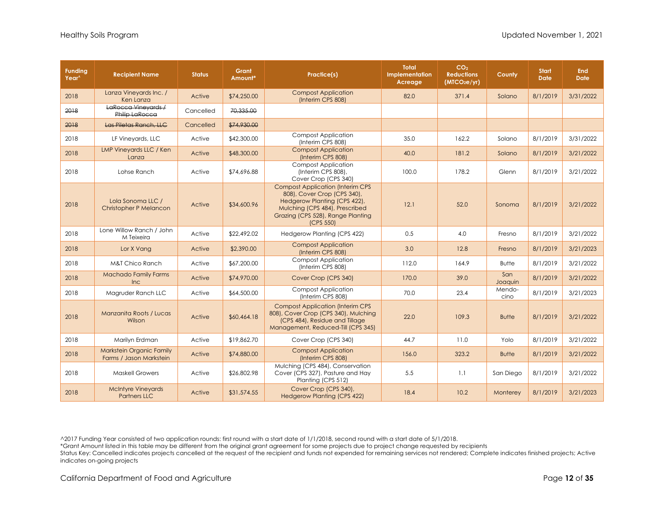| <b>Funding</b><br>Year <sup>^</sup> | <b>Recipient Name</b>                               | <b>Status</b> | <b>Grant</b><br>Amount* | Practice(s)                                                                                                                                                                                       | <b>Total</b><br><b>Implementation</b><br>Acreage | CO <sub>2</sub><br><b>Reductions</b><br>(MTCO <sub>2</sub> e/yr) | County         | <b>Start</b><br><b>Date</b> | <b>End</b><br><b>Date</b> |
|-------------------------------------|-----------------------------------------------------|---------------|-------------------------|---------------------------------------------------------------------------------------------------------------------------------------------------------------------------------------------------|--------------------------------------------------|------------------------------------------------------------------|----------------|-----------------------------|---------------------------|
| 2018                                | Lanza Vineyards Inc. /<br>Ken Lanza                 | Active        | \$74,250.00             | <b>Compost Application</b><br>(Interim CPS 808)                                                                                                                                                   | 82.0                                             | 371.4                                                            | Solano         | 8/1/2019                    | 3/31/2022                 |
| 2018                                | LaRocca Vineyards /<br>Philip LaRocca               | Cancelled     | 70,335.00               |                                                                                                                                                                                                   |                                                  |                                                                  |                |                             |                           |
| 2018                                | Las Piletas Ranch, LLC                              | Cancelled     | \$74,930.00             |                                                                                                                                                                                                   |                                                  |                                                                  |                |                             |                           |
| 2018                                | LF Vineyards, LLC                                   | Active        | \$42,300.00             | <b>Compost Application</b><br>(Interim CPS 808)                                                                                                                                                   | 35.0                                             | 162.2                                                            | Solano         | 8/1/2019                    | 3/31/2022                 |
| 2018                                | LMP Vineyards LLC / Ken<br>Lanza                    | Active        | \$48,300.00             | <b>Compost Application</b><br>(Interim CPS 808)                                                                                                                                                   | 40.0                                             | 181.2                                                            | Solano         | 8/1/2019                    | 3/21/2022                 |
| 2018                                | Lohse Ranch                                         | Active        | \$74,696.88             | <b>Compost Application</b><br>(Interim CPS 808),<br>Cover Crop (CPS 340)                                                                                                                          | 100.0                                            | 178.2                                                            | Glenn          | 8/1/2019                    | 3/21/2022                 |
| 2018                                | Lola Sonoma LLC /<br><b>Christopher P Melancon</b>  | Active        | \$34,600.96             | <b>Compost Application (Interim CPS</b><br>808), Cover Crop (CPS 340),<br>Hedgerow Planting (CPS 422),<br>Mulching (CPS 484), Prescribed<br>Grazing (CPS 528), Range Planting<br><b>ICPS 550)</b> | 12.1                                             | 52.0                                                             | Sonoma         | 8/1/2019                    | 3/21/2022                 |
| 2018                                | Lone Willow Ranch / John<br>M Teixeira              | Active        | \$22,492.02             | Hedgerow Planting (CPS 422)                                                                                                                                                                       | 0.5                                              | 4.0                                                              | Fresno         | 8/1/2019                    | 3/21/2022                 |
| 2018                                | Lor X Vang                                          | Active        | \$2,390.00              | <b>Compost Application</b><br>(Interim CPS 808)                                                                                                                                                   | 3.0                                              | 12.8                                                             | Fresno         | 8/1/2019                    | 3/21/2023                 |
| 2018                                | <b>M&amp;T Chico Ranch</b>                          | Active        | \$67,200.00             | <b>Compost Application</b><br>(Interim CPS 808)                                                                                                                                                   | 112.0                                            | 164.9                                                            | <b>Butte</b>   | 8/1/2019                    | 3/21/2022                 |
| 2018                                | <b>Machado Family Farms</b><br>Inc                  | Active        | \$74,970.00             | Cover Crop (CPS 340)                                                                                                                                                                              | 170.0                                            | 39.0                                                             | San<br>Joaquin | 8/1/2019                    | 3/21/2022                 |
| 2018                                | Magruder Ranch LLC                                  | Active        | \$64,500.00             | <b>Compost Application</b><br>(Interim CPS 808)                                                                                                                                                   | 70.0                                             | 23.4                                                             | Mendo-<br>cino | 8/1/2019                    | 3/21/2023                 |
| 2018                                | Manzanita Roots / Lucas<br>Wilson                   | Active        | \$60,464.18             | <b>Compost Application (Interim CPS</b><br>808), Cover Crop (CPS 340), Mulching<br>(CPS 484), Residue and Tillage<br>Management, Reduced-Till (CPS 345)                                           | 22.0                                             | 109.3                                                            | <b>Butte</b>   | 8/1/2019                    | 3/21/2022                 |
| 2018                                | Marilyn Erdman                                      | Active        | \$19,862.70             | Cover Crop (CPS 340)                                                                                                                                                                              | 44.7                                             | 11.0                                                             | Yolo           | 8/1/2019                    | 3/21/2022                 |
| 2018                                | Markstein Organic Family<br>Farms / Jason Markstein | Active        | \$74,880.00             | <b>Compost Application</b><br>(Interim CPS 808)                                                                                                                                                   | 156.0                                            | 323.2                                                            | <b>Butte</b>   | 8/1/2019                    | 3/21/2022                 |
| 2018                                | <b>Maskell Growers</b>                              | Active        | \$26,802.98             | Mulching (CPS 484), Conservation<br>Cover (CPS 327), Pasture and Hay<br>Planting (CPS 512)                                                                                                        | 5.5                                              | 1.1                                                              | San Diego      | 8/1/2019                    | 3/21/2022                 |
| 2018                                | <b>McIntyre Vineyards</b><br><b>Partners LLC</b>    | Active        | \$31,574.55             | Cover Crop (CPS 340),<br><b>Hedgerow Planting (CPS 422)</b>                                                                                                                                       | 18.4                                             | 10.2                                                             | Monterey       | 8/1/2019                    | 3/21/2023                 |

\*Grant Amount listed in this table may be different from the original grant agreement for some projects due to project change requested by recipients

Status Key: Cancelled indicates projects cancelled at the request of the recipient and funds not expended for remaining services not rendered; Complete indicates finished projects; Active indicates on-going projects

California Department of Food and Agriculture **Page 12** of **35 Page 12** of **35**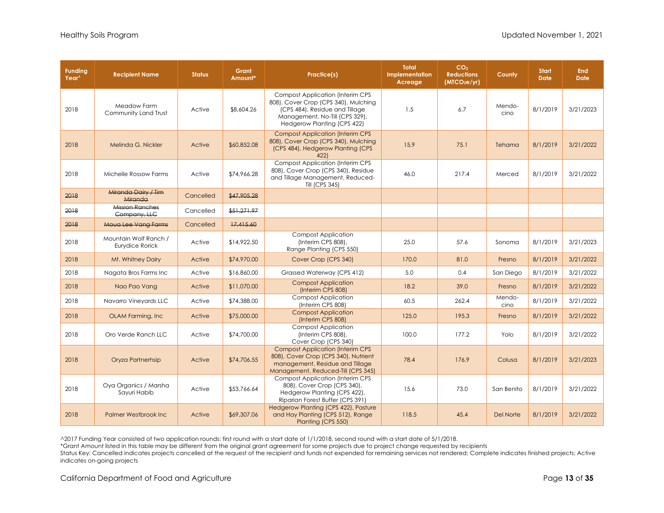| <b>Funding</b><br>Year <sup>^</sup> | <b>Recipient Name</b>                    | <b>Status</b> | Grant<br>Amount* | Practice(s)                                                                                                                                                                         | <b>Total</b><br>Implementation<br>Acreage | CO <sub>2</sub><br><b>Reductions</b><br>(MTCO <sub>2</sub> e/yr) | County         | <b>Start</b><br><b>Date</b> | <b>End</b><br><b>Date</b> |
|-------------------------------------|------------------------------------------|---------------|------------------|-------------------------------------------------------------------------------------------------------------------------------------------------------------------------------------|-------------------------------------------|------------------------------------------------------------------|----------------|-----------------------------|---------------------------|
| 2018                                | Meadow Farm<br>Community Land Trust      | Active        | \$8,604.26       | <b>Compost Application (Interim CPS)</b><br>808), Cover Crop (CPS 340), Mulching<br>(CPS 484), Residue and Tillage<br>Management, No-Till (CPS 329),<br>Hedgerow Planting (CPS 422) | 1.5                                       | 6.7                                                              | Mendo-<br>cino | 8/1/2019                    | 3/21/2023                 |
| 2018                                | Melinda G. Nickler                       | Active        | \$60,852.08      | <b>Compost Application (Interim CPS</b><br>808), Cover Crop (CPS 340), Mulching<br>(CPS 484), Hedgerow Planting (CPS<br>4221                                                        | 15.9                                      | 75.1                                                             | Tehama         | 8/1/2019                    | 3/21/2022                 |
| 2018                                | Michelle Rossow Farms                    | Active        | \$74,966.28      | <b>Compost Application (Interim CPS</b><br>808), Cover Crop (CPS 340), Residue<br>and Tillage Management, Reduced-<br>Till (CPS 345)                                                | 46.0                                      | 217.4                                                            | Merced         | 8/1/2019                    | 3/21/2022                 |
| 2018                                | Miranda Dairy / Tim<br>Miranda           | Cancelled     | \$47,905.28      |                                                                                                                                                                                     |                                           |                                                                  |                |                             |                           |
| 2018                                | Mission Ranches<br>Company, LLC          | Cancelled     | \$51,271.97      |                                                                                                                                                                                     |                                           |                                                                  |                |                             |                           |
| 2018                                | Moua Lee Vang Farms                      | Cancelled     | 17,415,60        |                                                                                                                                                                                     |                                           |                                                                  |                |                             |                           |
| 2018                                | Mountain Wolf Ranch /<br>Eurydice Rorick | Active        | \$14,922.50      | <b>Compost Application</b><br>(Interim CPS 808),<br>Range Planting (CPS 550)                                                                                                        | 25.0                                      | 57.6                                                             | Sonoma         | 8/1/2019                    | 3/21/2023                 |
| 2018                                | Mt. Whitney Dairy                        | Active        | \$74,970.00      | Cover Crop (CPS 340)                                                                                                                                                                | 170.0                                     | 81.0                                                             | Fresno         | 8/1/2019                    | 3/21/2022                 |
| 2018                                | Nagata Bros Farms Inc                    | Active        | \$16,860.00      | Grassed Waterway (CPS 412)                                                                                                                                                          | 5.0                                       | 0.4                                                              | San Diego      | 8/1/2019                    | 3/21/2022                 |
| 2018                                | Nao Pao Vang                             | Active        | \$11,070.00      | <b>Compost Application</b><br>(Interim CPS 808)                                                                                                                                     | 18.2                                      | 39.0                                                             | Fresno         | 8/1/2019                    | 3/21/2022                 |
| 2018                                | Navarro Vineyards LLC                    | Active        | \$74,388.00      | <b>Compost Application</b><br>(Interim CPS 808)                                                                                                                                     | 60.5                                      | 262.4                                                            | Mendo-<br>cino | 8/1/2019                    | 3/21/2022                 |
| 2018                                | OLAM Farming, Inc.                       | Active        | \$75,000.00      | <b>Compost Application</b><br>(Interim CPS 808)                                                                                                                                     | 125.0                                     | 195.3                                                            | Fresno         | 8/1/2019                    | 3/21/2022                 |
| 2018                                | Oro Verde Ranch LLC                      | Active        | \$74,700.00      | <b>Compost Application</b><br>(Interim CPS 808),<br>Cover Crop (CPS 340)                                                                                                            | 100.0                                     | 177.2                                                            | Yolo           | 8/1/2019                    | 3/21/2022                 |
| 2018                                | Oryza Partnerhsip                        | Active        | \$74,706.55      | <b>Compost Application (Interim CPS)</b><br>808), Cover Crop (CPS 340), Nutrient<br>management, Residue and Tillage<br>Management, Reduced-Till (CPS 345)                           | 78.4                                      | 176.9                                                            | Colusa         | 8/1/2019                    | 3/21/2023                 |
| 2018                                | Oya Organics / Marsha<br>Sayuri Habib    | Active        | \$53,766.64      | <b>Compost Application (Interim CPS</b><br>808), Cover Crop (CPS 340),<br>Hedgerow Planting (CPS 422),<br>Riparian Forest Buffer (CPS 391)                                          | 15.6                                      | 73.0                                                             | San Benito     | 8/1/2019                    | 3/21/2022                 |
| 2018                                | <b>Palmer Westbrook Inc.</b>             | Active        | \$69,307.06      | Hedgerow Planting (CPS 422), Pasture<br>and Hay Planting (CPS 512), Range<br>Planting (CPS 550)                                                                                     | 118.5                                     | 45.4                                                             | Del Norte      | 8/1/2019                    | 3/21/2022                 |

\*Grant Amount listed in this table may be different from the original grant agreement for some projects due to project change requested by recipients

Status Key: Cancelled indicates projects cancelled at the request of the recipient and funds not expended for remaining services not rendered; Complete indicates finished projects; Active indicates on-going projects

California Department of Food and Agriculture **Page 13** of **35** Oriental Agriculture Page 13 of **35**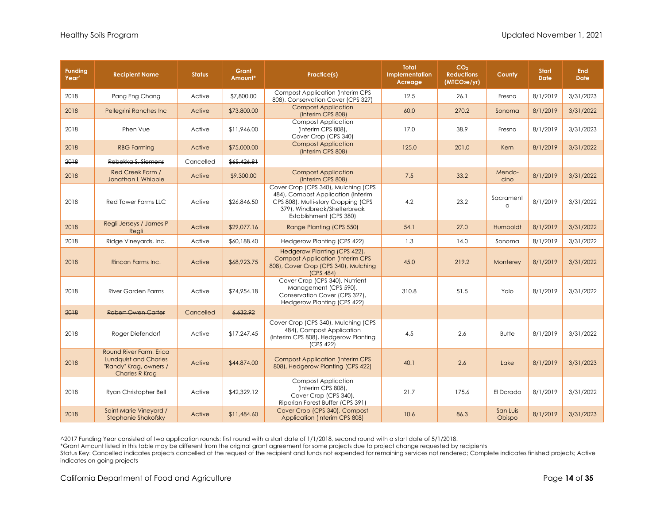| <b>Funding</b><br>Year <sup>^</sup> | <b>Recipient Name</b>                                                                                      | <b>Status</b> | Grant<br>Amount* | Practice(s)                                                                                                                                                                 | <b>Total</b><br><b>Implementation</b><br>Acreage | CO <sub>2</sub><br><b>Reductions</b><br>(MTCO <sub>2</sub> e/yr) | County               | <b>Start</b><br><b>Date</b> | <b>End</b><br><b>Date</b> |
|-------------------------------------|------------------------------------------------------------------------------------------------------------|---------------|------------------|-----------------------------------------------------------------------------------------------------------------------------------------------------------------------------|--------------------------------------------------|------------------------------------------------------------------|----------------------|-----------------------------|---------------------------|
| 2018                                | Pang Eng Chang                                                                                             | Active        | \$7,800.00       | <b>Compost Application (Interim CPS)</b><br>808), Conservation Cover (CPS 327)                                                                                              | 12.5                                             | 26.1                                                             | Fresno               | 8/1/2019                    | 3/31/2023                 |
| 2018                                | Pellegrini Ranches Inc                                                                                     | Active        | \$73,800.00      | <b>Compost Application</b><br>(Interim CPS 808)                                                                                                                             | 60.0                                             | 270.2                                                            | Sonoma               | 8/1/2019                    | 3/31/2022                 |
| 2018                                | Phen Vue                                                                                                   | Active        | \$11,946.00      | <b>Compost Application</b><br>(Interim CPS 808),<br>Cover Crop (CPS 340)                                                                                                    | 17.0                                             | 38.9                                                             | Fresno               | 8/1/2019                    | 3/31/2023                 |
| 2018                                | <b>RBG Farming</b>                                                                                         | Active        | \$75,000.00      | <b>Compost Application</b><br>(Interim CPS 808)                                                                                                                             | 125.0                                            | 201.0                                                            | Kern                 | 8/1/2019                    | 3/31/2022                 |
| 2018                                | Rebekka S. Siemens                                                                                         | Cancelled     | \$65,426.81      |                                                                                                                                                                             |                                                  |                                                                  |                      |                             |                           |
| 2018                                | Red Creek Farm /<br>Jonathan L Whipple                                                                     | Active        | \$9,300.00       | <b>Compost Application</b><br>(Interim CPS 808)                                                                                                                             | 7.5                                              | 33.2                                                             | Mendo-<br>cino       | 8/1/2019                    | 3/31/2022                 |
| 2018                                | Red Tower Farms LLC                                                                                        | Active        | \$26,846.50      | Cover Crop (CPS 340), Mulching (CPS<br>484), Compost Application (Interim<br>CPS 808), Multi-story Cropping (CPS<br>379), Windbreak/Shelterbreak<br>Establishment (CPS 380) | 4.2                                              | 23.2                                                             | Sacrament<br>$\circ$ | 8/1/2019                    | 3/31/2022                 |
| 2018                                | Regli Jerseys / James P<br>Regli                                                                           | Active        | \$29,077.16      | Range Planting (CPS 550)                                                                                                                                                    | 54.1                                             | 27.0                                                             | Humboldt             | 8/1/2019                    | 3/31/2022                 |
| 2018                                | Ridge Vineyards, Inc.                                                                                      | Active        | \$60,188.40      | Hedgerow Planting (CPS 422)                                                                                                                                                 | 1.3                                              | 14.0                                                             | Sonoma               | 8/1/2019                    | 3/31/2022                 |
| 2018                                | Rincon Farms Inc.                                                                                          | Active        | \$68,923.75      | Hedgerow Planting (CPS 422),<br><b>Compost Application (Interim CPS</b><br>808), Cover Crop (CPS 340), Mulching<br>(CPS 484)                                                | 45.0                                             | 219.2                                                            | Monterey             | 8/1/2019                    | 3/31/2022                 |
| 2018                                | River Garden Farms                                                                                         | Active        | \$74,954.18      | Cover Crop (CPS 340), Nutrient<br>Management (CPS 590),<br>Conservation Cover (CPS 327),<br>Hedgerow Planting (CPS 422)                                                     | 310.8                                            | 51.5                                                             | Yolo                 | 8/1/2019                    | 3/31/2022                 |
| 2018                                | <b>Robert Owen Carter</b>                                                                                  | Cancelled     | 6.632.92         |                                                                                                                                                                             |                                                  |                                                                  |                      |                             |                           |
| 2018                                | Roger Diefendorf                                                                                           | Active        | \$17,247.45      | Cover Crop (CPS 340), Mulching (CPS<br>484), Compost Application<br>(Interim CPS 808), Hedgerow Planting<br>(CPS 422)                                                       | 4.5                                              | 2.6                                                              | <b>Butte</b>         | 8/1/2019                    | 3/31/2022                 |
| 2018                                | Round River Farm, Erica<br><b>Lundquist and Charles</b><br>"Randy" Krag, owners /<br><b>Charles R Krag</b> | Active        | \$44,874.00      | <b>Compost Application (Interim CPS</b><br>808), Hedgerow Planting (CPS 422)                                                                                                | 40.1                                             | 2.6                                                              | Lake                 | 8/1/2019                    | 3/31/2023                 |
| 2018                                | Ryan Christopher Bell                                                                                      | Active        | \$42,329.12      | <b>Compost Application</b><br>(Interim CPS 808),<br>Cover Crop (CPS 340),<br>Riparian Forest Buffer (CPS 391)                                                               | 21.7                                             | 175.6                                                            | El Dorado            | 8/1/2019                    | 3/31/2022                 |
| 2018                                | Saint Marie Vineyard /<br><b>Stephanie Shakofsky</b>                                                       | Active        | \$11,484.60      | Cover Crop (CPS 340), Compost<br>Application (Interim CPS 808)                                                                                                              | 10.6                                             | 86.3                                                             | San Luis<br>Obispo   | 8/1/2019                    | 3/31/2023                 |

\*Grant Amount listed in this table may be different from the original grant agreement for some projects due to project change requested by recipients

Status Key: Cancelled indicates projects cancelled at the request of the recipient and funds not expended for remaining services not rendered; Complete indicates finished projects; Active indicates on-going projects

California Department of Food and Agriculture **Page 14** of **35** Page 14 of **35**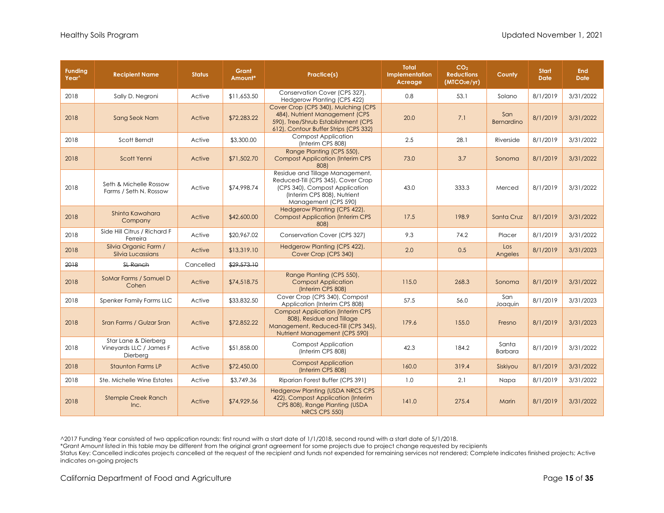| <b>Funding</b><br>Year <sup>^</sup> | <b>Recipient Name</b>                                       | <b>Status</b> | Grant<br>Amount* | Practice(s)                                                                                                                                                    | <b>Total</b><br>Implementation<br>Acreage | CO <sub>2</sub><br><b>Reductions</b><br>(MICO <sub>2</sub> e/yr) | County                  | <b>Start</b><br><b>Date</b> | <b>End</b><br><b>Date</b> |
|-------------------------------------|-------------------------------------------------------------|---------------|------------------|----------------------------------------------------------------------------------------------------------------------------------------------------------------|-------------------------------------------|------------------------------------------------------------------|-------------------------|-----------------------------|---------------------------|
| 2018                                | Sally D. Negroni                                            | Active        | \$11,653.50      | Conservation Cover (CPS 327),<br>Hedgerow Planting (CPS 422)                                                                                                   | 0.8                                       | 53.1                                                             | Solano                  | 8/1/2019                    | 3/31/2022                 |
| 2018                                | Sang Seok Nam                                               | Active        | \$72,283.22      | Cover Crop (CPS 340), Mulching (CPS<br>484), Nutrient Management (CPS<br>590), Tree/Shrub Establishment (CPS<br>612), Contour Buffer Strips (CPS 332)          | 20.0                                      | 7.1                                                              | San<br>Bernardino       | 8/1/2019                    | 3/31/2022                 |
| 2018                                | Scott Berndt                                                | Active        | \$3,300.00       | <b>Compost Application</b><br>(Interim CPS 808)                                                                                                                | 2.5                                       | 28.1                                                             | Riverside               | 8/1/2019                    | 3/31/2022                 |
| 2018                                | Scott Yenni                                                 | Active        | \$71,502.70      | Range Planting (CPS 550),<br><b>Compost Application (Interim CPS</b><br>8081                                                                                   | 73.0                                      | 3.7                                                              | Sonoma                  | 8/1/2019                    | 3/31/2022                 |
| 2018                                | Seth & Michelle Rossow<br>Farms / Seth N. Rossow            | Active        | \$74,998.74      | Residue and Tillage Management,<br>Reduced-Till (CPS 345), Cover Crop<br>(CPS 340), Compost Application<br>(Interim CPS 808), Nutrient<br>Management (CPS 590) | 43.0                                      | 333.3                                                            | Merced                  | 8/1/2019                    | 3/31/2022                 |
| 2018                                | Shinta Kawahara<br>Company                                  | Active        | \$42,600.00      | Hedgerow Planting (CPS 422),<br><b>Compost Application (Interim CPS</b><br>8081                                                                                | 17.5                                      | 198.9                                                            | Santa Cruz              | 8/1/2019                    | 3/31/2022                 |
| 2018                                | Side Hill Citrus / Richard F<br>Ferreira                    | Active        | \$20,967.02      | Conservation Cover (CPS 327)                                                                                                                                   | 9.3                                       | 74.2                                                             | Placer                  | 8/1/2019                    | 3/31/2022                 |
| 2018                                | Silvia Organic Farm /<br>Silvia Lucassians                  | Active        | \$13,319.10      | Hedgerow Planting (CPS 422),<br>Cover Crop (CPS 340)                                                                                                           | 2.0                                       | 0.5                                                              | Los<br>Angeles          | 8/1/2019                    | 3/31/2023                 |
| 2018                                | <b>SL Ranch</b>                                             | Cancelled     | \$29,573.10      |                                                                                                                                                                |                                           |                                                                  |                         |                             |                           |
| 2018                                | SoMar Farms / Samuel D<br>Cohen                             | Active        | \$74,518.75      | Range Planting (CPS 550),<br><b>Compost Application</b><br>(Interim CPS 808)                                                                                   | 115.0                                     | 268.3                                                            | Sonoma                  | 8/1/2019                    | 3/31/2022                 |
| 2018                                | Spenker Family Farms LLC                                    | Active        | \$33,832.50      | Cover Crop (CPS 340), Compost<br>Application (Interim CPS 808)                                                                                                 | 57.5                                      | 56.0                                                             | San<br>Joaquin          | 8/1/2019                    | 3/31/2023                 |
| 2018                                | Sran Farms / Gulzar Sran                                    | Active        | \$72,852.22      | <b>Compost Application (Interim CPS</b><br>808), Residue and Tillage<br>Management, Reduced-Till (CPS 345),<br>Nutrient Management (CPS 590)                   | 179.6                                     | 155.0                                                            | Fresno                  | 8/1/2019                    | 3/31/2023                 |
| 2018                                | Star Lane & Dierberg<br>Vineyards LLC / James F<br>Dierberg | Active        | \$51,858.00      | <b>Compost Application</b><br>(Interim CPS 808)                                                                                                                | 42.3                                      | 184.2                                                            | Santa<br><b>Barbara</b> | 8/1/2019                    | 3/31/2022                 |
| 2018                                | <b>Staunton Farms LP</b>                                    | Active        | \$72,450.00      | <b>Compost Application</b><br>(Interim CPS 808)                                                                                                                | 160.0                                     | 319.4                                                            | Siskivou                | 8/1/2019                    | 3/31/2022                 |
| 2018                                | Ste. Michelle Wine Estates                                  | Active        | \$3,749.36       | Riparian Forest Buffer (CPS 391)                                                                                                                               | 1.0                                       | 2.1                                                              | Napa                    | 8/1/2019                    | 3/31/2022                 |
| 2018                                | <b>Stemple Creek Ranch</b><br>Inc.                          | Active        | \$74,929.56      | <b>Hedgerow Planting (USDA NRCS CPS</b><br>422), Compost Application (Interim<br>CPS 808), Range Planting (USDA<br>NRCS CPS 550)                               | 141.0                                     | 275.4                                                            | Marin                   | 8/1/2019                    | 3/31/2022                 |

\*Grant Amount listed in this table may be different from the original grant agreement for some projects due to project change requested by recipients

Status Key: Cancelled indicates projects cancelled at the request of the recipient and funds not expended for remaining services not rendered; Complete indicates finished projects; Active indicates on-going projects

California Department of Food and Agriculture **Page 15** of 35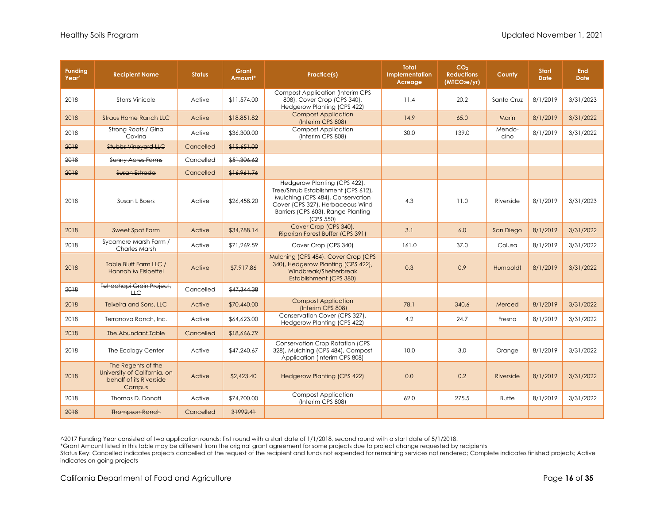| <b>Funding</b><br>Year <sup>^</sup> | <b>Recipient Name</b>                                                                   | <b>Status</b> | Grant<br>Amount* | Practice(s)                                                                                                                                                                                    | <b>Total</b><br>Implementation<br>Acreage | CO <sub>2</sub><br><b>Reductions</b><br>(MTCO <sub>2</sub> e/yr) | County         | <b>Start</b><br><b>Date</b> | <b>End</b><br><b>Date</b> |
|-------------------------------------|-----------------------------------------------------------------------------------------|---------------|------------------|------------------------------------------------------------------------------------------------------------------------------------------------------------------------------------------------|-------------------------------------------|------------------------------------------------------------------|----------------|-----------------------------|---------------------------|
| 2018                                | <b>Storrs Vinicole</b>                                                                  | Active        | \$11,574.00      | <b>Compost Application (Interim CPS</b><br>808), Cover Crop (CPS 340),<br>Hedgerow Planting (CPS 422)                                                                                          | 11.4                                      | 20.2                                                             | Santa Cruz     | 8/1/2019                    | 3/31/2023                 |
| 2018                                | <b>Straus Home Ranch LLC</b>                                                            | Active        | \$18,851.82      | <b>Compost Application</b><br>(Interim CPS 808)                                                                                                                                                | 14.9                                      | 65.0                                                             | Marin          | 8/1/2019                    | 3/31/2022                 |
| 2018                                | Strong Roots / Gina<br>Covina                                                           | Active        | \$36,300.00      | <b>Compost Application</b><br>(Interim CPS 808)                                                                                                                                                | 30.0                                      | 139.0                                                            | Mendo-<br>cino | 8/1/2019                    | 3/31/2022                 |
| 2018                                | <b>Stubbs Vineyard LLC</b>                                                              | Cancelled     | \$15,651.00      |                                                                                                                                                                                                |                                           |                                                                  |                |                             |                           |
| 2018                                | <b>Sunny Acres Farms</b>                                                                | Cancelled     | \$51,306.62      |                                                                                                                                                                                                |                                           |                                                                  |                |                             |                           |
| 2018                                | Susan Estrada                                                                           | Cancelled     | \$16,961.76      |                                                                                                                                                                                                |                                           |                                                                  |                |                             |                           |
| 2018                                | Susan L Boers                                                                           | Active        | \$26,458.20      | Hedgerow Planting (CPS 422),<br>Tree/Shrub Establishment (CPS 612),<br>Mulching (CPS 484), Conservation<br>Cover (CPS 327), Herbaceous Wind<br>Barriers (CPS 603), Range Planting<br>(CPS 550) | 4.3                                       | 11.0                                                             | Riverside      | 8/1/2019                    | 3/31/2023                 |
| 2018                                | Sweet Spot Farm                                                                         | Active        | \$34,788.14      | Cover Crop (CPS 340),<br>Riparian Forest Buffer (CPS 391)                                                                                                                                      | 3.1                                       | 6.0                                                              | San Diego      | 8/1/2019                    | 3/31/2022                 |
| 2018                                | Sycamore Marsh Farm /<br><b>Charles Marsh</b>                                           | Active        | \$71,269.59      | Cover Crop (CPS 340)                                                                                                                                                                           | 161.0                                     | 37.0                                                             | Colusa         | 8/1/2019                    | 3/31/2022                 |
| 2018                                | Table Bluff Farm LLC /<br><b>Hannah M Eisloeffel</b>                                    | Active        | \$7,917.86       | Mulching (CPS 484), Cover Crop (CPS<br>340), Hedgerow Planting (CPS 422),<br>Windbreak/Shelterbreak<br>Establishment (CPS 380)                                                                 | 0.3                                       | 0.9                                                              | Humboldt       | 8/1/2019                    | 3/31/2022                 |
| 2018                                | Tehachapi Grain Project,<br>H C                                                         | Cancelled     | \$47,344.38      |                                                                                                                                                                                                |                                           |                                                                  |                |                             |                           |
| 2018                                | Teixeira and Sons, LLC                                                                  | Active        | \$70,440.00      | <b>Compost Application</b><br>(Interim CPS 808)                                                                                                                                                | 78.1                                      | 340.6                                                            | Merced         | 8/1/2019                    | 3/31/2022                 |
| 2018                                | Terranova Ranch, Inc.                                                                   | Active        | \$64,623.00      | Conservation Cover (CPS 327),<br>Hedgerow Planting (CPS 422)                                                                                                                                   | 4.2                                       | 24.7                                                             | Fresno         | 8/1/2019                    | 3/31/2022                 |
| 2018                                | The Abundant Table                                                                      | Cancelled     | \$18,666.79      |                                                                                                                                                                                                |                                           |                                                                  |                |                             |                           |
| 2018                                | The Ecology Center                                                                      | Active        | \$47,240.67      | <b>Conservation Crop Rotation (CPS</b><br>328), Mulching (CPS 484), Compost<br>Application (Interim CPS 808)                                                                                   | 10.0                                      | 3.0                                                              | Orange         | 8/1/2019                    | 3/31/2022                 |
| 2018                                | The Regents of the<br>University of California, on<br>behalf of its Riverside<br>Campus | Active        | \$2,423.40       | <b>Hedgerow Planting (CPS 422)</b>                                                                                                                                                             | 0.0                                       | 0.2                                                              | Riverside      | 8/1/2019                    | 3/31/2022                 |
| 2018                                | Thomas D. Donati                                                                        | Active        | \$74,700.00      | <b>Compost Application</b><br>(Interim CPS 808)                                                                                                                                                | 62.0                                      | 275.5                                                            | <b>Butte</b>   | 8/1/2019                    | 3/31/2022                 |
| 2018                                | <b>Thompson Ranch</b>                                                                   | Cancelled     | 31992.41         |                                                                                                                                                                                                |                                           |                                                                  |                |                             |                           |

\*Grant Amount listed in this table may be different from the original grant agreement for some projects due to project change requested by recipients

Status Key: Cancelled indicates projects cancelled at the request of the recipient and funds not expended for remaining services not rendered; Complete indicates finished projects; Active indicates on-going projects

California Department of Food and Agriculture **Page 16** of 35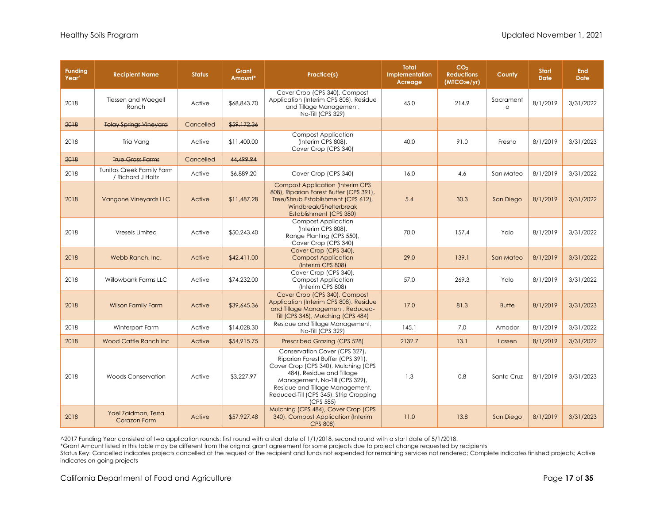| <b>Funding</b><br>Year <sup>^</sup> | <b>Recipient Name</b>                          | <b>Status</b> | Grant<br>Amount* | Practice(s)                                                                                                                                                                                                                                                        | <b>Total</b><br>Implementation<br>Acreage | CO <sub>2</sub><br><b>Reductions</b><br>(MICO <sub>2</sub> e/yr) | County                | <b>Start</b><br><b>Date</b> | <b>End</b><br><b>Date</b> |
|-------------------------------------|------------------------------------------------|---------------|------------------|--------------------------------------------------------------------------------------------------------------------------------------------------------------------------------------------------------------------------------------------------------------------|-------------------------------------------|------------------------------------------------------------------|-----------------------|-----------------------------|---------------------------|
| 2018                                | <b>Tiessen and Waegell</b><br>Ranch            | Active        | \$68,843.70      | Cover Crop (CPS 340), Compost<br>Application (Interim CPS 808), Residue<br>and Tillage Management,<br>No-Till (CPS 329)                                                                                                                                            | 45.0                                      | 214.9                                                            | Sacrament<br>$\Omega$ | 8/1/2019                    | 3/31/2022                 |
| 2018                                | <b>Tolay Springs Vineyard</b>                  | Cancelled     | \$59,172.36      |                                                                                                                                                                                                                                                                    |                                           |                                                                  |                       |                             |                           |
| 2018                                | Tria Vang                                      | Active        | \$11,400.00      | <b>Compost Application</b><br>(Interim CPS 808),<br>Cover Crop (CPS 340)                                                                                                                                                                                           | 40.0                                      | 91.0                                                             | Fresno                | 8/1/2019                    | 3/31/2023                 |
| 2018                                | <b>True Grass Farms</b>                        | Cancelled     | 44.499.94        |                                                                                                                                                                                                                                                                    |                                           |                                                                  |                       |                             |                           |
| 2018                                | Tunitas Creek Family Farm<br>/ Richard J Holtz | Active        | \$6,889.20       | Cover Crop (CPS 340)                                                                                                                                                                                                                                               | 16.0                                      | 4.6                                                              | San Mateo             | 8/1/2019                    | 3/31/2022                 |
| 2018                                | <b>Vangone Vineyards LLC</b>                   | Active        | \$11,487.28      | <b>Compost Application (Interim CPS</b><br>808), Riparian Forest Buffer (CPS 391),<br>Tree/Shrub Establishment (CPS 612),<br>Windbreak/Shelterbreak<br>Establishment (CPS 380)                                                                                     | 5.4                                       | 30.3                                                             | San Diego             | 8/1/2019                    | 3/31/2022                 |
| 2018                                | Vreseis Limited                                | Active        | \$50,243.40      | <b>Compost Application</b><br>(Interim CPS 808),<br>Range Planting (CPS 550),<br>Cover Crop (CPS 340)                                                                                                                                                              | 70.0                                      | 157.4                                                            | Yolo                  | 8/1/2019                    | 3/31/2022                 |
| 2018                                | Webb Ranch, Inc.                               | Active        | \$42,411.00      | Cover Crop (CPS 340),<br><b>Compost Application</b><br>(Interim CPS 808)                                                                                                                                                                                           | 29.0                                      | 139.1                                                            | San Mateo             | 8/1/2019                    | 3/31/2022                 |
| 2018                                | Willowbank Farms LLC                           | Active        | \$74,232.00      | Cover Crop (CPS 340),<br><b>Compost Application</b><br>(Interim CPS 808)                                                                                                                                                                                           | 57.0                                      | 269.3                                                            | Yolo                  | 8/1/2019                    | 3/31/2022                 |
| 2018                                | <b>Wilson Family Farm</b>                      | Active        | \$39,645.36      | Cover Crop (CPS 340), Compost<br>Application (Interim CPS 808), Residue<br>and Tillage Management, Reduced-<br>Till (CPS 345), Mulching (CPS 484)                                                                                                                  | 17.0                                      | 81.3                                                             | <b>Butte</b>          | 8/1/2019                    | 3/31/2023                 |
| 2018                                | Winterport Farm                                | Active        | \$14,028.30      | Residue and Tillage Management,<br>No-Till (CPS 329)                                                                                                                                                                                                               | 145.1                                     | 7.0                                                              | Amador                | 8/1/2019                    | 3/31/2022                 |
| 2018                                | Wood Cattle Ranch Inc                          | Active        | \$54,915.75      | Prescribed Grazing (CPS 528)                                                                                                                                                                                                                                       | 2132.7                                    | 13.1                                                             | Lassen                | 8/1/2019                    | 3/31/2022                 |
| 2018                                | <b>Woods Conservation</b>                      | Active        | \$3,227.97       | Conservation Cover (CPS 327),<br>Riparian Forest Buffer (CPS 391),<br>Cover Crop (CPS 340), Mulching (CPS<br>484), Residue and Tillage<br>Management, No-Till (CPS 329),<br>Residue and Tillage Management,<br>Reduced-Till (CPS 345), Strip Cropping<br>(CPS 585) | 1.3                                       | 0.8                                                              | Santa Cruz            | 8/1/2019                    | 3/31/2023                 |
| 2018                                | Yael Zaidman, Terra<br>Corazon Farm            | Active        | \$57,927.48      | Mulching (CPS 484), Cover Crop (CPS<br>340), Compost Application (Interim<br>CPS 808)                                                                                                                                                                              | 11.0                                      | 13.8                                                             | San Diego             | 8/1/2019                    | 3/31/2023                 |

\*Grant Amount listed in this table may be different from the original grant agreement for some projects due to project change requested by recipients

Status Key: Cancelled indicates projects cancelled at the request of the recipient and funds not expended for remaining services not rendered; Complete indicates finished projects; Active indicates on-going projects

California Department of Food and Agriculture **Page 17** of 35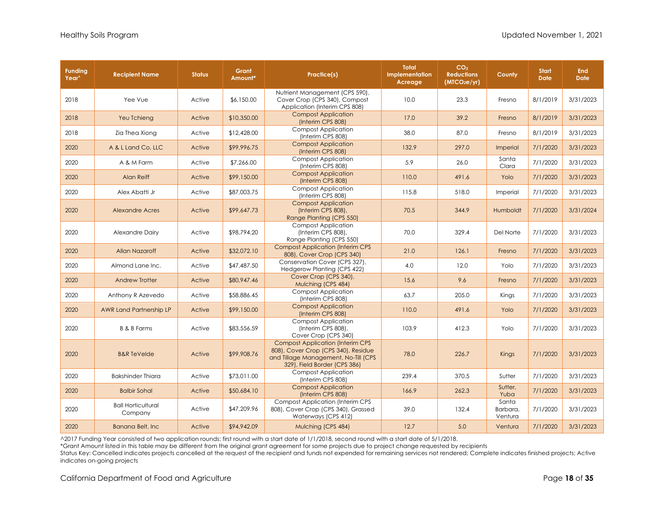| <b>Funding</b><br>Year <sup>^</sup> | <b>Recipient Name</b>                | <b>Status</b> | Grant<br>Amount* | Practice(s)                                                                                                                                             | <b>Total</b><br>Implementation<br>Acreage | CO <sub>2</sub><br><b>Reductions</b><br>(MTCO <sub>2</sub> e/yr) | County                       | <b>Start</b><br><b>Date</b> | <b>End</b><br><b>Date</b> |
|-------------------------------------|--------------------------------------|---------------|------------------|---------------------------------------------------------------------------------------------------------------------------------------------------------|-------------------------------------------|------------------------------------------------------------------|------------------------------|-----------------------------|---------------------------|
| 2018                                | Yee Vue                              | Active        | \$6,150.00       | Nutrient Management (CPS 590),<br>Cover Crop (CPS 340), Compost<br>Application (Interim CPS 808)                                                        | 10.0                                      | 23.3                                                             | Fresno                       | 8/1/2019                    | 3/31/2023                 |
| 2018                                | Yeu Tchieng                          | Active        | \$10,350.00      | <b>Compost Application</b><br>(Interim CPS 808)                                                                                                         | 17.0                                      | 39.2                                                             | Fresno                       | 8/1/2019                    | 3/31/2023                 |
| 2018                                | Zia Thea Xiong                       | Active        | \$12,428.00      | <b>Compost Application</b><br>(Interim CPS 808)                                                                                                         | 38.0                                      | 87.0                                                             | Fresno                       | 8/1/2019                    | 3/31/2023                 |
| 2020                                | A & L Land Co, LLC                   | Active        | \$99,996.75      | <b>Compost Application</b><br>(Interim CPS 808)                                                                                                         | 132.9                                     | 297.0                                                            | Imperial                     | 7/1/2020                    | 3/31/2023                 |
| 2020                                | A & M Farm                           | Active        | \$7,266.00       | <b>Compost Application</b><br>(Interim CPS 808)                                                                                                         | 5.9                                       | 26.0                                                             | Santa<br>Clara               | 7/1/2020                    | 3/31/2023                 |
| 2020                                | Alan Reiff                           | Active        | \$99,150.00      | <b>Compost Application</b><br>(Interim CPS 808)                                                                                                         | 110.0                                     | 491.6                                                            | Yolo                         | 7/1/2020                    | 3/31/2023                 |
| 2020                                | Alex Abatti Jr                       | Active        | \$87,003.75      | <b>Compost Application</b><br>(Interim CPS 808)                                                                                                         | 115.8                                     | 518.0                                                            | Imperial                     | 7/1/2020                    | 3/31/2023                 |
| 2020                                | <b>Alexandre Acres</b>               | Active        | \$99,647.73      | <b>Compost Application</b><br>(Interim CPS 808),<br>Range Planting (CPS 550)                                                                            | 70.5                                      | 344.9                                                            | Humboldt                     | 7/1/2020                    | 3/31/2024                 |
| 2020                                | Alexandre Dairy                      | Active        | \$98,794.20      | <b>Compost Application</b><br>(Interim CPS 808),<br>Range Planting (CPS 550)                                                                            | 70.0                                      | 329.4                                                            | Del Norte                    | 7/1/2020                    | 3/31/2023                 |
| 2020                                | <b>Allan Nazaroff</b>                | Active        | \$32,072.10      | <b>Compost Application (Interim CPS)</b><br>808), Cover Crop (CPS 340)                                                                                  | 21.0                                      | 126.1                                                            | Fresno                       | 7/1/2020                    | 3/31/2023                 |
| 2020                                | Almond Lane Inc.                     | Active        | \$47,487.50      | Conservation Cover (CPS 327),<br>Hedgerow Planting (CPS 422)                                                                                            | 4.0                                       | 12.0                                                             | Yolo                         | 7/1/2020                    | 3/31/2023                 |
| 2020                                | Andrew Trotter                       | Active        | \$80,947.46      | Cover Crop (CPS 340),<br>Mulching (CPS 484)                                                                                                             | 15.6                                      | 9.6                                                              | Fresno                       | 7/1/2020                    | 3/31/2023                 |
| 2020                                | Anthony R Azevedo                    | Active        | \$58,886.45      | <b>Compost Application</b><br>(Interim CPS 808)                                                                                                         | 63.7                                      | 205.0                                                            | Kings                        | 7/1/2020                    | 3/31/2023                 |
| 2020                                | <b>AWR Land Partnership LP</b>       | Active        | \$99,150.00      | <b>Compost Application</b><br>(Interim CPS 808)                                                                                                         | 110.0                                     | 491.6                                                            | Yolo                         | 7/1/2020                    | 3/31/2023                 |
| 2020                                | <b>B &amp; B Farms</b>               | Active        | \$83,556.59      | <b>Compost Application</b><br>(Interim CPS 808),<br>Cover Crop (CPS 340)                                                                                | 103.9                                     | 412.3                                                            | Yolo                         | 7/1/2020                    | 3/31/2023                 |
| 2020                                | <b>B&amp;R</b> TeVelde               | Active        | \$99,908.76      | <b>Compost Application (Interim CPS)</b><br>808), Cover Crop (CPS 340), Residue<br>and Tillage Management, No-Till (CPS<br>329), Field Border (CPS 386) | 78.0                                      | 226.7                                                            | Kings                        | 7/1/2020                    | 3/31/2023                 |
| 2020                                | <b>Bakshinder Thiara</b>             | Active        | \$73,011.00      | <b>Compost Application</b><br>(Interim CPS 808)                                                                                                         | 239.4                                     | 370.5                                                            | Sutter                       | 7/1/2020                    | 3/31/2023                 |
| 2020                                | <b>Balbir Sohal</b>                  | Active        | \$50,684.10      | <b>Compost Application</b><br>(Interim CPS 808)                                                                                                         | 166.9                                     | 262.3                                                            | Sutter,<br>Yuba              | 7/1/2020                    | 3/31/2023                 |
| 2020                                | <b>Ball Horticultural</b><br>Company | Active        | \$47,209.96      | <b>Compost Application (Interim CPS)</b><br>808), Cover Crop (CPS 340), Grassed<br>Waterways (CPS 412)                                                  | 39.0                                      | 132.4                                                            | Santa<br>Barbara,<br>Ventura | 7/1/2020                    | 3/31/2023                 |
| 2020                                | <b>Banana Belt, Inc.</b>             | Active        | \$94,942.09      | Mulching (CPS 484)                                                                                                                                      | 12.7                                      | 5.0                                                              | Ventura                      | 7/1/2020                    | 3/31/2023                 |

\*Grant Amount listed in this table may be different from the original grant agreement for some projects due to project change requested by recipients

Status Key: Cancelled indicates projects cancelled at the request of the recipient and funds not expended for remaining services not rendered; Complete indicates finished projects; Active indicates on-going projects

California Department of Food and Agriculture **Page 18** of **35** and **Page 18** of **35** and **Page 18** of **35** and **Page 18** of **35**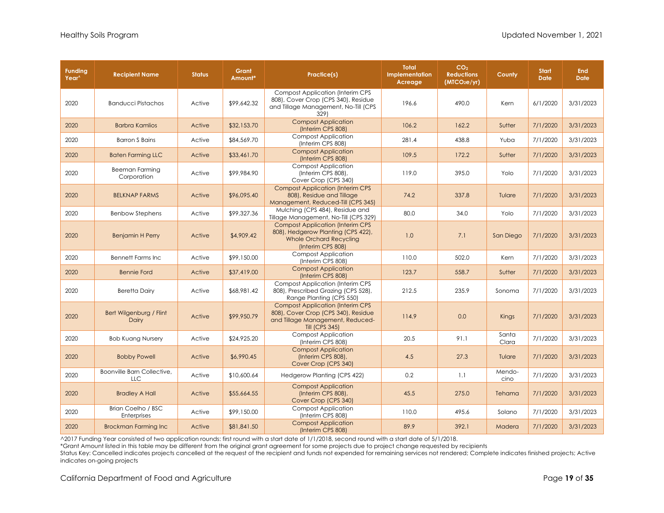| <b>Funding</b><br>Year <sup>^</sup> | <b>Recipient Name</b>                    | <b>Status</b> | Grant<br>Amount* | Practice(s)                                                                                                                                 | <b>Total</b><br>Implementation<br>Acreage | CO <sub>2</sub><br><b>Reductions</b><br>(MICO <sub>2</sub> e/yr) | County         | <b>Start</b><br><b>Date</b> | <b>End</b><br><b>Date</b> |
|-------------------------------------|------------------------------------------|---------------|------------------|---------------------------------------------------------------------------------------------------------------------------------------------|-------------------------------------------|------------------------------------------------------------------|----------------|-----------------------------|---------------------------|
| 2020                                | <b>Banducci Pistachos</b>                | Active        | \$99,642.32      | <b>Compost Application (Interim CPS</b><br>808), Cover Crop (CPS 340), Residue<br>and Tillage Management, No-Till (CPS<br>329)              | 196.6                                     | 490.0                                                            | Kern           | 6/1/2020                    | 3/31/2023                 |
| 2020                                | <b>Barbra Kamlios</b>                    | Active        | \$32,153.70      | <b>Compost Application</b><br>(Interim CPS 808)                                                                                             | 106.2                                     | 162.2                                                            | Sutter         | 7/1/2020                    | 3/31/2023                 |
| 2020                                | <b>Barron S Bains</b>                    | Active        | \$84,569.70      | <b>Compost Application</b><br>(Interim CPS 808)                                                                                             | 281.4                                     | 438.8                                                            | Yuba           | 7/1/2020                    | 3/31/2023                 |
| 2020                                | <b>Baten Farming LLC</b>                 | Active        | \$33,461.70      | <b>Compost Application</b><br>(Interim CPS 808)                                                                                             | 109.5                                     | 172.2                                                            | Sutter         | 7/1/2020                    | 3/31/2023                 |
| 2020                                | Beeman Farming<br>Corporation            | Active        | \$99,984.90      | <b>Compost Application</b><br>(Interim CPS 808),<br>Cover Crop (CPS 340)                                                                    | 119.0                                     | 395.0                                                            | Yolo           | 7/1/2020                    | 3/31/2023                 |
| 2020                                | <b>BELKNAP FARMS</b>                     | Active        | \$96,095.40      | <b>Compost Application (Interim CPS</b><br>808), Residue and Tillage<br>Management, Reduced-Till (CPS 345)                                  | 74.2                                      | 337.8                                                            | Tulare         | 7/1/2020                    | 3/31/2023                 |
| 2020                                | <b>Benbow Stephens</b>                   | Active        | \$99,327.36      | Mulching (CPS 484), Residue and<br>Tillage Management, No-Till (CPS 329)                                                                    | 80.0                                      | 34.0                                                             | Yolo           | 7/1/2020                    | 3/31/2023                 |
| 2020                                | <b>Benjamin H Perry</b>                  | Active        | \$4,909.42       | <b>Compost Application (Interim CPS)</b><br>808), Hedgerow Planting (CPS 422),<br><b>Whole Orchard Recycling</b><br>(Interim CPS 808)       | 1.0                                       | 7.1                                                              | San Diego      | 7/1/2020                    | 3/31/2023                 |
| 2020                                | <b>Bennett Farms Inc</b>                 | Active        | \$99,150.00      | <b>Compost Application</b><br>(Interim CPS 808)                                                                                             | 110.0                                     | 502.0                                                            | Kern           | 7/1/2020                    | 3/31/2023                 |
| 2020                                | <b>Bennie Ford</b>                       | Active        | \$37,419.00      | <b>Compost Application</b><br>(Interim CPS 808)                                                                                             | 123.7                                     | 558.7                                                            | Sutter         | 7/1/2020                    | 3/31/2023                 |
| 2020                                | <b>Beretta Dairy</b>                     | Active        | \$68,981.42      | <b>Compost Application (Interim CPS</b><br>808), Prescribed Grazing (CPS 528),<br>Range Planting (CPS 550)                                  | 212.5                                     | 235.9                                                            | Sonoma         | 7/1/2020                    | 3/31/2023                 |
| 2020                                | Bert Wilgenburg / Flint<br>Dairy         | Active        | \$99,950.79      | <b>Compost Application (Interim CPS</b><br>808), Cover Crop (CPS 340), Residue<br>and Tillage Management, Reduced-<br><b>Till (CPS 345)</b> | 114.9                                     | 0.0                                                              | Kings          | 7/1/2020                    | 3/31/2023                 |
| 2020                                | <b>Bob Kuang Nursery</b>                 | Active        | \$24,925.20      | <b>Compost Application</b><br>(Interim CPS 808)                                                                                             | 20.5                                      | 91.1                                                             | Santa<br>Clara | 7/1/2020                    | 3/31/2023                 |
| 2020                                | <b>Bobby Powell</b>                      | Active        | \$6,990.45       | <b>Compost Application</b><br>(Interim CPS 808),<br>Cover Crop (CPS 340)                                                                    | 4.5                                       | 27.3                                                             | Tulare         | 7/1/2020                    | 3/31/2023                 |
| 2020                                | Boonville Barn Collective,<br><b>LLC</b> | Active        | \$10,600.64      | Hedgerow Planting (CPS 422)                                                                                                                 | 0.2                                       | 1.1                                                              | Mendo-<br>cino | 7/1/2020                    | 3/31/2023                 |
| 2020                                | <b>Bradley A Hall</b>                    | Active        | \$55,664.55      | <b>Compost Application</b><br>(Interim CPS 808),<br>Cover Crop (CPS 340)                                                                    | 45.5                                      | 275.0                                                            | Tehama         | 7/1/2020                    | 3/31/2023                 |
| 2020                                | Brian Coelho / BSC<br><b>Enterprises</b> | Active        | \$99,150.00      | <b>Compost Application</b><br>(Interim CPS 808)                                                                                             | 110.0                                     | 495.6                                                            | Solano         | 7/1/2020                    | 3/31/2023                 |
| 2020                                | <b>Brockman Farming Inc</b>              | Active        | \$81,841.50      | <b>Compost Application</b><br>(Interim CPS 808)                                                                                             | 89.9                                      | 392.1                                                            | Madera         | 7/1/2020                    | 3/31/2023                 |

\*Grant Amount listed in this table may be different from the original grant agreement for some projects due to project change requested by recipients

Status Key: Cancelled indicates projects cancelled at the request of the recipient and funds not expended for remaining services not rendered; Complete indicates finished projects; Active indicates on-going projects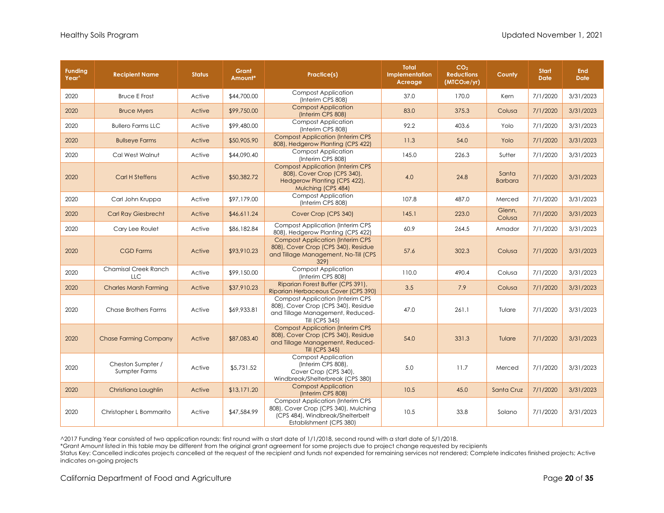| <b>Funding</b><br>Year <sup>^</sup> | <b>Recipient Name</b>              | <b>Status</b> | Grant<br>Amount* | Practice(s)                                                                                                                                     | <b>Total</b><br><b>Implementation</b><br>Acreage | CO <sub>2</sub><br><b>Reductions</b><br>(MTCO <sub>2</sub> e/yr) | County                  | <b>Start</b><br><b>Date</b> | <b>End</b><br><b>Date</b> |
|-------------------------------------|------------------------------------|---------------|------------------|-------------------------------------------------------------------------------------------------------------------------------------------------|--------------------------------------------------|------------------------------------------------------------------|-------------------------|-----------------------------|---------------------------|
| 2020                                | <b>Bruce E Frost</b>               | Active        | \$44,700.00      | <b>Compost Application</b><br>(Interim CPS 808)                                                                                                 | 37.0                                             | 170.0                                                            | Kern                    | 7/1/2020                    | 3/31/2023                 |
| 2020                                | <b>Bruce Myers</b>                 | Active        | \$99,750.00      | <b>Compost Application</b><br>(Interim CPS 808)                                                                                                 | 83.0                                             | 375.3                                                            | Colusa                  | 7/1/2020                    | 3/31/2023                 |
| 2020                                | <b>Bullero Farms LLC</b>           | Active        | \$99,480.00      | <b>Compost Application</b><br>(Interim CPS 808)                                                                                                 | 92.2                                             | 403.6                                                            | Yolo                    | 7/1/2020                    | 3/31/2023                 |
| 2020                                | <b>Bullseye Farms</b>              | Active        | \$50,905.90      | <b>Compost Application (Interim CPS</b><br>808), Hedgerow Planting (CPS 422)                                                                    | 11.3                                             | 54.0                                                             | Yolo                    | 7/1/2020                    | 3/31/2023                 |
| 2020                                | Cal West Walnut                    | Active        | \$44,090.40      | <b>Compost Application</b><br>(Interim CPS 808)                                                                                                 | 145.0                                            | 226.3                                                            | Sutter                  | 7/1/2020                    | 3/31/2023                 |
| 2020                                | <b>Carl H Steffens</b>             | Active        | \$50,382.72      | <b>Compost Application (Interim CPS</b><br>808), Cover Crop (CPS 340),<br>Hedgerow Planting (CPS 422),<br>Mulching (CPS 484)                    | 4.0                                              | 24.8                                                             | Santa<br><b>Barbara</b> | 7/1/2020                    | 3/31/2023                 |
| 2020                                | Carl John Kruppa                   | Active        | \$97,179.00      | <b>Compost Application</b><br>(Interim CPS 808)                                                                                                 | 107.8                                            | 487.0                                                            | Merced                  | 7/1/2020                    | 3/31/2023                 |
| 2020                                | <b>Carl Ray Giesbrecht</b>         | Active        | \$46,611.24      | Cover Crop (CPS 340)                                                                                                                            | 145.1                                            | 223.0                                                            | Glenn,<br>Colusa        | 7/1/2020                    | 3/31/2023                 |
| 2020                                | Cary Lee Roulet                    | Active        | \$86,182.84      | <b>Compost Application (Interim CPS)</b><br>808), Hedgerow Planting (CPS 422)                                                                   | 60.9                                             | 264.5                                                            | Amador                  | 7/1/2020                    | 3/31/2023                 |
| 2020                                | <b>CGD Farms</b>                   | Active        | \$93,910.23      | <b>Compost Application (Interim CPS)</b><br>808), Cover Crop (CPS 340), Residue<br>and Tillage Management, No-Till (CPS<br>329)                 | 57.6                                             | 302.3                                                            | Colusa                  | 7/1/2020                    | 3/31/2023                 |
| 2020                                | <b>Chamisal Creek Ranch</b><br>LLC | Active        | \$99,150.00      | <b>Compost Application</b><br>(Interim CPS 808)                                                                                                 | 110.0                                            | 490.4                                                            | Colusa                  | 7/1/2020                    | 3/31/2023                 |
| 2020                                | <b>Charles Marsh Farming</b>       | Active        | \$37,910.23      | Riparian Forest Buffer (CPS 391),<br>Riparian Herbaceous Cover (CPS 390)                                                                        | 3.5                                              | 7.9                                                              | Colusa                  | 7/1/2020                    | 3/31/2023                 |
| 2020                                | <b>Chase Brothers Farms</b>        | Active        | \$69,933.81      | <b>Compost Application (Interim CPS</b><br>808), Cover Crop (CPS 340), Residue<br>and Tillage Management, Reduced-<br>Till (CPS 345)            | 47.0                                             | 261.1                                                            | Tulare                  | 7/1/2020                    | 3/31/2023                 |
| 2020                                | <b>Chase Farming Company</b>       | Active        | \$87,083.40      | <b>Compost Application (Interim CPS</b><br>808), Cover Crop (CPS 340), Residue<br>and Tillage Management, Reduced-<br><b>Till (CPS 345)</b>     | 54.0                                             | 331.3                                                            | Tulare                  | 7/1/2020                    | 3/31/2023                 |
| 2020                                | Cheston Sumpter /<br>Sumpter Farms | Active        | \$5,731.52       | <b>Compost Application</b><br>(Interim CPS 808),<br>Cover Crop (CPS 340),<br>Windbreak/Shelterbreak (CPS 380)                                   | 5.0                                              | 11.7                                                             | Merced                  | 7/1/2020                    | 3/31/2023                 |
| 2020                                | Christiana Laughlin                | Active        | \$13,171.20      | <b>Compost Application</b><br>(Interim CPS 808)                                                                                                 | 10.5                                             | 45.0                                                             | Santa Cruz              | 7/1/2020                    | 3/31/2023                 |
| 2020                                | Christopher L Bommarito            | Active        | \$47,584.99      | <b>Compost Application (Interim CPS)</b><br>808), Cover Crop (CPS 340), Mulching<br>(CPS 484), Windbreak/Shelterbelt<br>Establishment (CPS 380) | 10.5                                             | 33.8                                                             | Solano                  | 7/1/2020                    | 3/31/2023                 |

\*Grant Amount listed in this table may be different from the original grant agreement for some projects due to project change requested by recipients

Status Key: Cancelled indicates projects cancelled at the request of the recipient and funds not expended for remaining services not rendered; Complete indicates finished projects; Active indicates on-going projects

California Department of Food and Agriculture **Page 20** of **35 Page 20** of **35**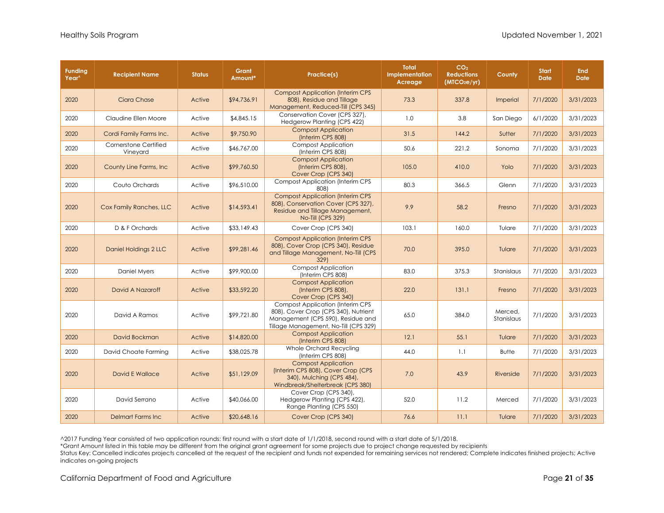| <b>Funding</b><br>Year^ | <b>Recipient Name</b>             | <b>Status</b> | Grant<br>Amount* | Practice(s)                                                                                                                                                    | <b>Total</b><br>Implementation<br>Acreage | CO <sub>2</sub><br><b>Reductions</b><br>(MTCO <sub>2</sub> e/yr) | County                | <b>Start</b><br><b>Date</b> | <b>End</b><br><b>Date</b> |
|-------------------------|-----------------------------------|---------------|------------------|----------------------------------------------------------------------------------------------------------------------------------------------------------------|-------------------------------------------|------------------------------------------------------------------|-----------------------|-----------------------------|---------------------------|
| 2020                    | Ciara Chase                       | Active        | \$94,736.91      | <b>Compost Application (Interim CPS</b><br>808), Residue and Tillage<br>Management, Reduced-Till (CPS 345)                                                     | 73.3                                      | 337.8                                                            | Imperial              | 7/1/2020                    | 3/31/2023                 |
| 2020                    | Claudine Ellen Moore              | Active        | \$4,845.15       | Conservation Cover (CPS 327),<br>Hedgerow Planting (CPS 422)                                                                                                   | 1.0                                       | 3.8                                                              | San Diego             | 6/1/2020                    | 3/31/2023                 |
| 2020                    | Cordi Family Farms Inc.           | Active        | \$9,750.90       | <b>Compost Application</b><br>(Interim CPS 808)                                                                                                                | 31.5                                      | 144.2                                                            | Sutter                | 7/1/2020                    | 3/31/2023                 |
| 2020                    | Cornerstone Certified<br>Vineyard | Active        | \$46,767.00      | <b>Compost Application</b><br>(Interim CPS 808)                                                                                                                | 50.6                                      | 221.2                                                            | Sonoma                | 7/1/2020                    | 3/31/2023                 |
| 2020                    | County Line Farms, Inc.           | Active        | \$99,760.50      | <b>Compost Application</b><br>(Interim CPS 808),<br>Cover Crop (CPS 340)                                                                                       | 105.0                                     | 410.0                                                            | Yolo                  | 7/1/2020                    | 3/31/2023                 |
| 2020                    | Couto Orchards                    | Active        | \$96,510.00      | <b>Compost Application (Interim CPS)</b><br>808)                                                                                                               | 80.3                                      | 366.5                                                            | Glenn                 | 7/1/2020                    | 3/31/2023                 |
| 2020                    | Cox Family Ranches, LLC           | Active        | \$14,593.41      | <b>Compost Application (Interim CPS</b><br>808), Conservation Cover (CPS 327),<br>Residue and Tillage Management,<br>No-Till (CPS 329)                         | 9.9                                       | 58.2                                                             | Fresno                | 7/1/2020                    | 3/31/2023                 |
| 2020                    | D & F Orchards                    | Active        | \$33,149.43      | Cover Crop (CPS 340)                                                                                                                                           | 103.1                                     | 160.0                                                            | Tulare                | 7/1/2020                    | 3/31/2023                 |
| 2020                    | Daniel Holdings 2 LLC             | Active        | \$99,281.46      | <b>Compost Application (Interim CPS</b><br>808), Cover Crop (CPS 340), Residue<br>and Tillage Management, No-Till (CPS<br>3291                                 | 70.0                                      | 395.0                                                            | Tulare                | 7/1/2020                    | 3/31/2023                 |
| 2020                    | Daniel Myers                      | Active        | \$99,900.00      | <b>Compost Application</b><br>(Interim CPS 808)                                                                                                                | 83.0                                      | 375.3                                                            | Stanislaus            | 7/1/2020                    | 3/31/2023                 |
| 2020                    | David A Nazaroff                  | Active        | \$33,592.20      | <b>Compost Application</b><br>(Interim CPS 808),<br>Cover Crop (CPS 340)                                                                                       | 22.0                                      | 131.1                                                            | Fresno                | 7/1/2020                    | 3/31/2023                 |
| 2020                    | David A Ramos                     | Active        | \$99,721.80      | <b>Compost Application (Interim CPS)</b><br>808), Cover Crop (CPS 340), Nutrient<br>Management (CPS 590), Residue and<br>Tillage Management, No-Till (CPS 329) | 65.0                                      | 384.0                                                            | Merced.<br>Stanislaus | 7/1/2020                    | 3/31/2023                 |
| 2020                    | David Bockman                     | Active        | \$14,820.00      | <b>Compost Application</b><br>(Interim CPS 808)                                                                                                                | 12.1                                      | 55.1                                                             | Tulare                | 7/1/2020                    | 3/31/2023                 |
| 2020                    | David Choate Farming              | Active        | \$38,025.78      | Whole Orchard Recycling<br>(Interim CPS 808)                                                                                                                   | 44.0                                      | 1.1                                                              | <b>Butte</b>          | 7/1/2020                    | 3/31/2023                 |
| 2020                    | David E Wallace                   | Active        | \$51,129.09      | <b>Compost Application</b><br>(Interim CPS 808), Cover Crop (CPS<br>340), Mulching (CPS 484),<br>Windbreak/Shelterbreak (CPS 380)                              | 7.0                                       | 43.9                                                             | Riverside             | 7/1/2020                    | 3/31/2023                 |
| 2020                    | David Serrano                     | Active        | \$40,066.00      | Cover Crop (CPS 340),<br>Hedgerow Planting (CPS 422),<br>Range Planting (CPS 550)                                                                              | 52.0                                      | 11.2                                                             | Merced                | 7/1/2020                    | 3/31/2023                 |
| 2020                    | <b>Delmart Farms Inc</b>          | Active        | \$20,648.16      | Cover Crop (CPS 340)                                                                                                                                           | 76.6                                      | 11.1                                                             | Tulare                | 7/1/2020                    | 3/31/2023                 |

\*Grant Amount listed in this table may be different from the original grant agreement for some projects due to project change requested by recipients

Status Key: Cancelled indicates projects cancelled at the request of the recipient and funds not expended for remaining services not rendered; Complete indicates finished projects; Active indicates on-going projects

California Department of Food and Agriculture **Page 21** of **35 Page 21** of **35**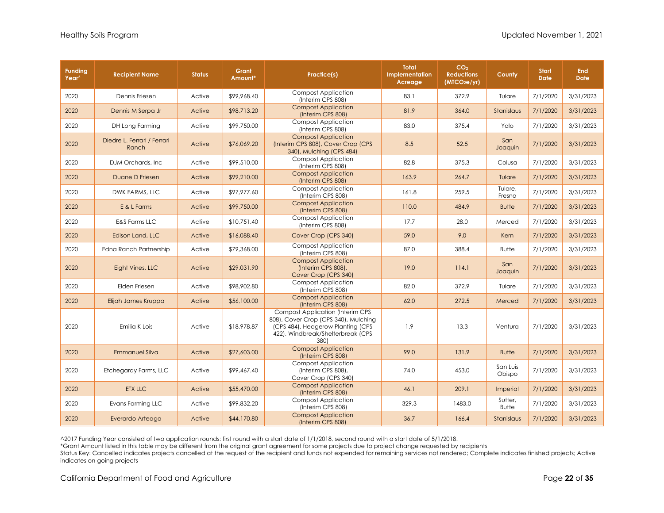| <b>Funding</b><br>Year^ | <b>Recipient Name</b>                | <b>Status</b> | Grant<br>Amount* | Practice(s)                                                                                                                                                       | <b>Total</b><br>Implementation<br>Acreage | CO <sub>2</sub><br><b>Reductions</b><br>(MICO <sub>2</sub> e/yr) | County                  | <b>Start</b><br><b>Date</b> | <b>End</b><br><b>Date</b> |
|-------------------------|--------------------------------------|---------------|------------------|-------------------------------------------------------------------------------------------------------------------------------------------------------------------|-------------------------------------------|------------------------------------------------------------------|-------------------------|-----------------------------|---------------------------|
| 2020                    | Dennis Friesen                       | Active        | \$99,968.40      | <b>Compost Application</b><br>(Interim CPS 808)                                                                                                                   | 83.1                                      | 372.9                                                            | Tulare                  | 7/1/2020                    | 3/31/2023                 |
| 2020                    | Dennis M Serpa Jr                    | Active        | \$98,713.20      | <b>Compost Application</b><br>(Interim CPS 808)                                                                                                                   | 81.9                                      | 364.0                                                            | Stanislaus              | 7/1/2020                    | 3/31/2023                 |
| 2020                    | DH Long Farming                      | Active        | \$99,750.00      | <b>Compost Application</b><br>(Interim CPS 808)                                                                                                                   | 83.0                                      | 375.4                                                            | Yolo                    | 7/1/2020                    | 3/31/2023                 |
| 2020                    | Diedre L. Ferrari / Ferrari<br>Ranch | Active        | \$76,069.20      | <b>Compost Application</b><br>(Interim CPS 808), Cover Crop (CPS<br>340), Mulching (CPS 484)                                                                      | 8.5                                       | 52.5                                                             | San<br>Joaquin          | 7/1/2020                    | 3/31/2023                 |
| 2020                    | DJM Orchards, Inc.                   | Active        | \$99,510.00      | <b>Compost Application</b><br>(Interim CPS 808)                                                                                                                   | 82.8                                      | 375.3                                                            | Colusa                  | 7/1/2020                    | 3/31/2023                 |
| 2020                    | Duane D Friesen                      | Active        | \$99,210.00      | <b>Compost Application</b><br>(Interim CPS 808)                                                                                                                   | 163.9                                     | 264.7                                                            | Tulare                  | 7/1/2020                    | 3/31/2023                 |
| 2020                    | DWK FARMS, LLC                       | Active        | \$97,977.60      | <b>Compost Application</b><br>(Interim CPS 808)                                                                                                                   | 161.8                                     | 259.5                                                            | Tulare,<br>Fresno       | 7/1/2020                    | 3/31/2023                 |
| 2020                    | E & L Farms                          | Active        | \$99,750.00      | <b>Compost Application</b><br>(Interim CPS 808)                                                                                                                   | 110.0                                     | 484.9                                                            | <b>Butte</b>            | 7/1/2020                    | 3/31/2023                 |
| 2020                    | <b>E&amp;S Farms LLC</b>             | Active        | \$10,751.40      | <b>Compost Application</b><br>(Interim CPS 808)                                                                                                                   | 17.7                                      | 28.0                                                             | Merced                  | 7/1/2020                    | 3/31/2023                 |
| 2020                    | Edison Land, LLC                     | Active        | \$16,088.40      | Cover Crop (CPS 340)                                                                                                                                              | 59.0                                      | 9.0                                                              | Kern                    | 7/1/2020                    | 3/31/2023                 |
| 2020                    | Edna Ranch Partnership               | Active        | \$79,368.00      | <b>Compost Application</b><br>(Interim CPS 808)                                                                                                                   | 87.0                                      | 388.4                                                            | <b>Butte</b>            | 7/1/2020                    | 3/31/2023                 |
| 2020                    | Eight Vines, LLC                     | Active        | \$29,031.90      | <b>Compost Application</b><br>(Interim CPS 808),<br>Cover Crop (CPS 340)                                                                                          | 19.0                                      | 114.1                                                            | San<br>Joaquin          | 7/1/2020                    | 3/31/2023                 |
| 2020                    | Elden Friesen                        | Active        | \$98,902.80      | <b>Compost Application</b><br>(Interim CPS 808)                                                                                                                   | 82.0                                      | 372.9                                                            | Tulare                  | 7/1/2020                    | 3/31/2023                 |
| 2020                    | Elijah James Kruppa                  | Active        | \$56,100.00      | <b>Compost Application</b><br>(Interim CPS 808)                                                                                                                   | 62.0                                      | 272.5                                                            | Merced                  | 7/1/2020                    | 3/31/2023                 |
| 2020                    | Emilia K Lois                        | Active        | \$18,978.87      | <b>Compost Application (Interim CPS</b><br>808), Cover Crop (CPS 340), Mulching<br>(CPS 484), Hedgerow Planting (CPS<br>422), Windbreak/Shelterbreak (CPS<br>380) | 1.9                                       | 13.3                                                             | Ventura                 | 7/1/2020                    | 3/31/2023                 |
| 2020                    | <b>Emmanuel Silva</b>                | Active        | \$27,603.00      | <b>Compost Application</b><br>(Interim CPS 808)                                                                                                                   | 99.0                                      | 131.9                                                            | <b>Butte</b>            | 7/1/2020                    | 3/31/2023                 |
| 2020                    | Etchegaray Farms, LLC                | Active        | \$99,467.40      | <b>Compost Application</b><br>(Interim CPS 808),<br>Cover Crop (CPS 340)                                                                                          | 74.0                                      | 453.0                                                            | San Luis<br>Obispo      | 7/1/2020                    | 3/31/2023                 |
| 2020                    | <b>ETX LLC</b>                       | Active        | \$55,470.00      | <b>Compost Application</b><br>(Interim CPS 808)                                                                                                                   | 46.1                                      | 209.1                                                            | <b>Imperial</b>         | 7/1/2020                    | 3/31/2023                 |
| 2020                    | Evans Farming LLC                    | Active        | \$99,832.20      | <b>Compost Application</b><br>(Interim CPS 808)                                                                                                                   | 329.3                                     | 1483.0                                                           | Sutter,<br><b>Butte</b> | 7/1/2020                    | 3/31/2023                 |
| 2020                    | Everardo Arteaga                     | Active        | \$44,170.80      | <b>Compost Application</b><br>(Interim CPS 808)                                                                                                                   | 36.7                                      | 166.4                                                            | Stanislaus              | 7/1/2020                    | 3/31/2023                 |

\*Grant Amount listed in this table may be different from the original grant agreement for some projects due to project change requested by recipients

Status Key: Cancelled indicates projects cancelled at the request of the recipient and funds not expended for remaining services not rendered; Complete indicates finished projects; Active indicates on-going projects

California Department of Food and Agriculture **Page 22** of **35 Page 22** of **35**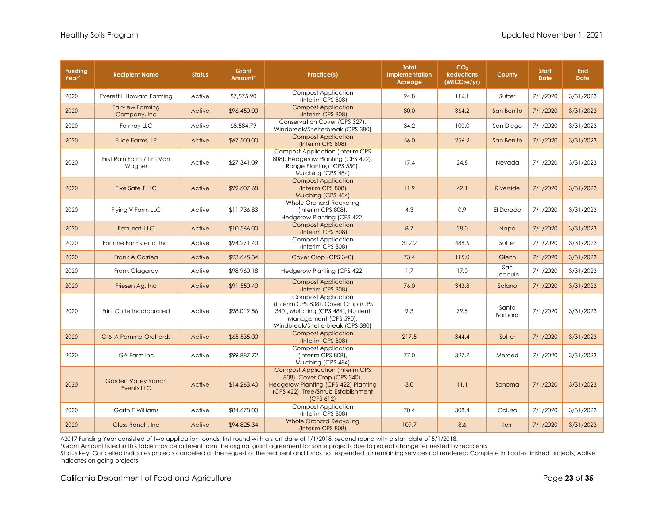| <b>Funding</b><br>Year^ | <b>Recipient Name</b>                    | <b>Status</b> | Grant<br>Amount* | Practice(s)                                                                                                                                                         | <b>Total</b><br><b>Implementation</b><br>Acreage | CO <sub>2</sub><br><b>Reductions</b><br>(MTCO <sub>2</sub> e/yr) | County                  | <b>Start</b><br><b>Date</b> | <b>End</b><br><b>Date</b> |
|-------------------------|------------------------------------------|---------------|------------------|---------------------------------------------------------------------------------------------------------------------------------------------------------------------|--------------------------------------------------|------------------------------------------------------------------|-------------------------|-----------------------------|---------------------------|
| 2020                    | Everett L Howard Farming                 | Active        | \$7,575.90       | <b>Compost Application</b><br>(Interim CPS 808)                                                                                                                     | 24.8                                             | 116.1                                                            | Sutter                  | 7/1/2020                    | 3/31/2023                 |
| 2020                    | <b>Fairview Farming</b><br>Company, Inc. | Active        | \$96,450.00      | <b>Compost Application</b><br>(Interim CPS 808)                                                                                                                     | 80.0                                             | 364.2                                                            | San Benito              | 7/1/2020                    | 3/31/2023                 |
| 2020                    | Fernray LLC                              | Active        | \$8,584.79       | Conservation Cover (CPS 327),<br>Windbreak/Shelterbreak (CPS 380)                                                                                                   | 34.2                                             | 100.0                                                            | San Diego               | 7/1/2020                    | 3/31/2023                 |
| 2020                    | Filice Farms, LP                         | Active        | \$67,500.00      | <b>Compost Application</b><br>(Interim CPS 808)                                                                                                                     | 56.0                                             | 256.2                                                            | San Benito              | 7/1/2020                    | 3/31/2023                 |
| 2020                    | First Rain Farm / Tim Van<br>Wagner      | Active        | \$27,341.09      | <b>Compost Application (Interim CPS)</b><br>808), Hedgerow Planting (CPS 422),<br>Range Planting (CPS 550),<br>Mulching (CPS 484)                                   | 17.4                                             | 24.8                                                             | Nevada                  | 7/1/2020                    | 3/31/2023                 |
| 2020                    | <b>Five Safe TLLC</b>                    | Active        | \$99,607.68      | <b>Compost Application</b><br>(Interim CPS 808),<br>Mulching (CPS 484)                                                                                              | 11.9                                             | 42.1                                                             | Riverside               | 7/1/2020                    | 3/31/2023                 |
| 2020                    | Flying V Farm LLC                        | Active        | \$11,736.83      | Whole Orchard Recycling<br>(Interim CPS 808),<br>Hedgerow Planting (CPS 422)                                                                                        | 4.3                                              | 0.9                                                              | El Dorado               | 7/1/2020                    | 3/31/2023                 |
| 2020                    | Fortunati LLC                            | Active        | \$10,566.00      | <b>Compost Application</b><br>(Interim CPS 808)                                                                                                                     | 8.7                                              | 38.0                                                             | Napa                    | 7/1/2020                    | 3/31/2023                 |
| 2020                    | Fortune Farmstead, Inc.                  | Active        | \$94,271.40      | <b>Compost Application</b><br>(Interim CPS 808)                                                                                                                     | 312.2                                            | 488.6                                                            | Sutter                  | 7/1/2020                    | 3/31/2023                 |
| 2020                    | <b>Frank A Corriea</b>                   | Active        | \$23,645.34      | Cover Crop (CPS 340)                                                                                                                                                | 73.4                                             | 115.0                                                            | Glenn                   | 7/1/2020                    | 3/31/2023                 |
| 2020                    | Frank Olagaray                           | Active        | \$98,960.18      | Hedgerow Planting (CPS 422)                                                                                                                                         | 1.7                                              | 17.0                                                             | San<br>Joaquin          | 7/1/2020                    | 3/31/2023                 |
| 2020                    | Friesen Ag, Inc                          | Active        | \$91,550.40      | <b>Compost Application</b><br>(Interim CPS 808)                                                                                                                     | 76.0                                             | 343.8                                                            | Solano                  | 7/1/2020                    | 3/31/2023                 |
| 2020                    | Frinj Coffe Incorporated                 | Active        | \$98,019.56      | <b>Compost Application</b><br>(Interim CPS 808), Cover Crop (CPS<br>340), Mulching (CPS 484), Nutrient<br>Management (CPS 590),<br>Windbreak/Shelterbreak (CPS 380) | 9.3                                              | 79.5                                                             | Santa<br><b>Barbara</b> | 7/1/2020                    | 3/31/2023                 |
| 2020                    | G & A Pamma Orchards                     | Active        | \$65,535.00      | <b>Compost Application</b><br>(Interim CPS 808)                                                                                                                     | 217.5                                            | 344.4                                                            | Sutter                  | 7/1/2020                    | 3/31/2023                 |
| 2020                    | GA Farm Inc                              | Active        | \$99,887.72      | <b>Compost Application</b><br>(Interim CPS 808),<br>Mulching (CPS 484)                                                                                              | 77.0                                             | 327.7                                                            | Merced                  | 7/1/2020                    | 3/31/2023                 |
| 2020                    | <b>Garden Valley Ranch</b><br>Events LLC | Active        | \$14,263.40      | <b>Compost Application (Interim CPS</b><br>808), Cover Crop (CPS 340),<br>Hedgerow Planting (CPS 422) Planting<br>(CPS 422), Tree/Shrub Establishment<br>(CPS 612)  | 3.0                                              | 11.1                                                             | Sonoma                  | 7/1/2020                    | 3/31/2023                 |
| 2020                    | Garth E Williams                         | Active        | \$84,678.00      | <b>Compost Application</b><br>(Interim CPS 808)                                                                                                                     | 70.4                                             | 308.4                                                            | Colusa                  | 7/1/2020                    | 3/31/2023                 |
| 2020                    | Gless Ranch, Inc.                        | Active        | \$94,825.34      | <b>Whole Orchard Recycling</b><br>(Interim CPS 808)                                                                                                                 | 109.7                                            | 8.6                                                              | Kern                    | 7/1/2020                    | 3/31/2023                 |

\*Grant Amount listed in this table may be different from the original grant agreement for some projects due to project change requested by recipients

Status Key: Cancelled indicates projects cancelled at the request of the recipient and funds not expended for remaining services not rendered; Complete indicates finished projects; Active indicates on-going projects

California Department of Food and Agriculture **Page 23** of **35** Or **Page 23** of **35**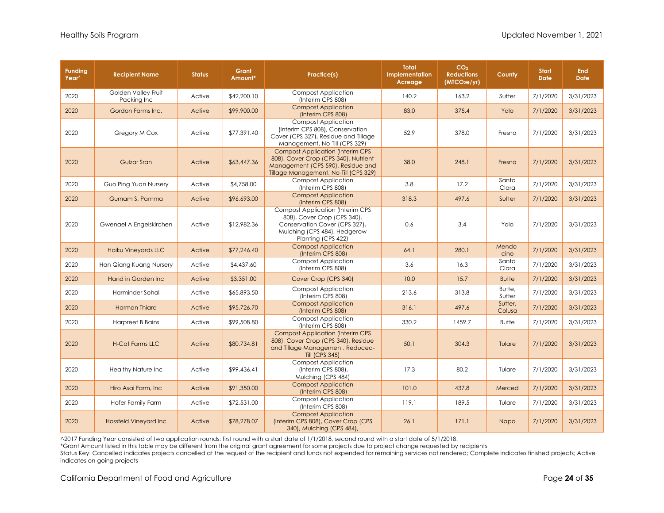| <b>Funding</b><br>Year <sup>^</sup> | <b>Recipient Name</b>              | <b>Status</b> | Grant<br>Amount* | Practice(s)                                                                                                                                                    | <b>Total</b><br><b>Implementation</b><br>Acreage | CO <sub>2</sub><br><b>Reductions</b><br>(MTCO <sub>2</sub> e/yr) | County            | <b>Start</b><br><b>Date</b> | <b>End</b><br><b>Date</b> |
|-------------------------------------|------------------------------------|---------------|------------------|----------------------------------------------------------------------------------------------------------------------------------------------------------------|--------------------------------------------------|------------------------------------------------------------------|-------------------|-----------------------------|---------------------------|
| 2020                                | Golden Valley Fruit<br>Packing Inc | Active        | \$42,200.10      | <b>Compost Application</b><br>(Interim CPS 808)                                                                                                                | 140.2                                            | 163.2                                                            | Sutter            | 7/1/2020                    | 3/31/2023                 |
| 2020                                | Gordon Farms Inc.                  | Active        | \$99,900.00      | <b>Compost Application</b><br>(Interim CPS 808)                                                                                                                | 83.0                                             | 375.4                                                            | Yolo              | 7/1/2020                    | 3/31/2023                 |
| 2020                                | Gregory M Cox                      | Active        | \$77,391.40      | <b>Compost Application</b><br>(Interim CPS 808), Conservation<br>Cover (CPS 327), Residue and Tillage<br>Management, No-Till (CPS 329)                         | 52.9                                             | 378.0                                                            | Fresno            | 7/1/2020                    | 3/31/2023                 |
| 2020                                | <b>Gulzar Sran</b>                 | Active        | \$63,447.36      | <b>Compost Application (Interim CPS)</b><br>808), Cover Crop (CPS 340), Nutrient<br>Management (CPS 590), Residue and<br>Tillage Management, No-Till (CPS 329) | 38.0                                             | 248.1                                                            | Fresno            | 7/1/2020                    | 3/31/2023                 |
| 2020                                | Guo Ping Yuan Nursery              | Active        | \$4,758.00       | <b>Compost Application</b><br>(Interim CPS 808)                                                                                                                | 3.8                                              | 17.2                                                             | Santa<br>Clara    | 7/1/2020                    | 3/31/2023                 |
| 2020                                | Gurnam S. Pamma                    | Active        | \$96,693.00      | <b>Compost Application</b><br>(Interim CPS 808)                                                                                                                | 318.3                                            | 497.6                                                            | Sutter            | 7/1/2020                    | 3/31/2023                 |
| 2020                                | Gwenael A Engelskirchen            | Active        | \$12,982.36      | <b>Compost Application (Interim CPS</b><br>808), Cover Crop (CPS 340),<br>Conservation Cover (CPS 327),<br>Mulching (CPS 484), Hedgerow<br>Planting (CPS 422)  | 0.6                                              | 3.4                                                              | Yolo              | 7/1/2020                    | 3/31/2023                 |
| 2020                                | <b>Haiku Vineyards LLC</b>         | Active        | \$77,246.40      | <b>Compost Application</b><br>(Interim CPS 808)                                                                                                                | 64.1                                             | 280.1                                                            | Mendo-<br>cino    | 7/1/2020                    | 3/31/2023                 |
| 2020                                | Han Qiang Kuang Nursery            | Active        | \$4,437.60       | Compost Application<br>(Interim CPS 808)                                                                                                                       | 3.6                                              | 16.3                                                             | Santa<br>Clara    | 7/1/2020                    | 3/31/2023                 |
| 2020                                | Hand in Garden Inc.                | Active        | \$3,351.00       | Cover Crop (CPS 340)                                                                                                                                           | 10.0                                             | 15.7                                                             | <b>Butte</b>      | 7/1/2020                    | 3/31/2023                 |
| 2020                                | Harminder Sohal                    | Active        | \$65,893.50      | <b>Compost Application</b><br>(Interim CPS 808)                                                                                                                | 213.6                                            | 313.8                                                            | Butte,<br>Sutter  | 7/1/2020                    | 3/31/2023                 |
| 2020                                | Harmon Thiara                      | Active        | \$95,726.70      | <b>Compost Application</b><br>(Interim CPS 808)                                                                                                                | 316.1                                            | 497.6                                                            | Sutter,<br>Colusa | 7/1/2020                    | 3/31/2023                 |
| 2020                                | <b>Harpreet B Bains</b>            | Active        | \$99,508.80      | <b>Compost Application</b><br>(Interim CPS 808)                                                                                                                | 330.2                                            | 1459.7                                                           | <b>Butte</b>      | 7/1/2020                    | 3/31/2023                 |
| 2020                                | <b>H-Cat Farms LLC</b>             | Active        | \$80,734.81      | <b>Compost Application (Interim CPS</b><br>808), Cover Crop (CPS 340), Residue<br>and Tillage Management, Reduced-<br><b>Till (CPS 345)</b>                    | 50.1                                             | 304.3                                                            | Tulare            | 7/1/2020                    | 3/31/2023                 |
| 2020                                | <b>Healthy Nature Inc</b>          | Active        | \$99,436.41      | <b>Compost Application</b><br>(Interim CPS 808),<br>Mulching (CPS 484)                                                                                         | 17.3                                             | 80.2                                                             | Tulare            | 7/1/2020                    | 3/31/2023                 |
| 2020                                | Hiro Asai Farm, Inc.               | Active        | \$91,350.00      | <b>Compost Application</b><br>(Interim CPS 808)                                                                                                                | 101.0                                            | 437.8                                                            | Merced            | 7/1/2020                    | 3/31/2023                 |
| 2020                                | Hofer Family Farm                  | Active        | \$72,531.00      | <b>Compost Application</b><br>(Interim CPS 808)                                                                                                                | 119.1                                            | 189.5                                                            | Tulare            | 7/1/2020                    | 3/31/2023                 |
| 2020                                | <b>Hossfeld Vineyard Inc</b>       | Active        | \$78,278.07      | <b>Compost Application</b><br>(Interim CPS 808), Cover Crop (CPS<br>340), Mulching (CPS 484),                                                                  | 26.1                                             | 171.1                                                            | Napa              | 7/1/2020                    | 3/31/2023                 |

\*Grant Amount listed in this table may be different from the original grant agreement for some projects due to project change requested by recipients

Status Key: Cancelled indicates projects cancelled at the request of the recipient and funds not expended for remaining services not rendered; Complete indicates finished projects; Active indicates on-going projects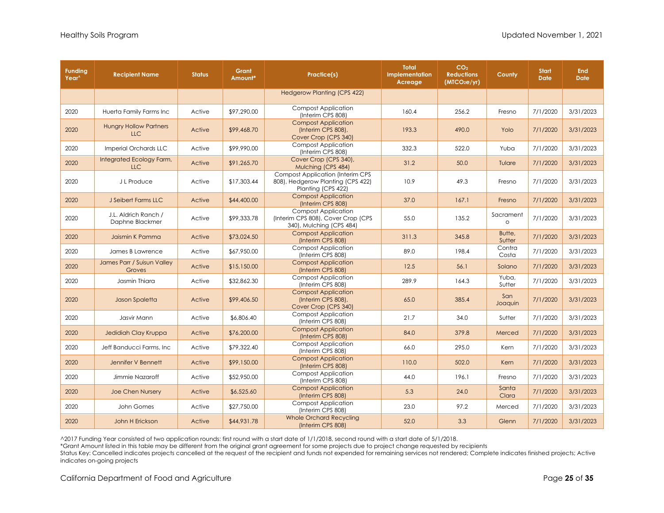| <b>Funding</b><br>Year <sup>^</sup> | <b>Recipient Name</b>                       | <b>Status</b> | Grant<br>Amount* | Practice(s)                                                                                        | <b>Total</b><br><b>Implementation</b><br>Acreage | CO <sub>2</sub><br><b>Reductions</b><br>(MICO <sub>2</sub> e/yr) | County               | <b>Start</b><br><b>Date</b> | <b>End</b><br><b>Date</b> |
|-------------------------------------|---------------------------------------------|---------------|------------------|----------------------------------------------------------------------------------------------------|--------------------------------------------------|------------------------------------------------------------------|----------------------|-----------------------------|---------------------------|
|                                     |                                             |               |                  | <b>Hedgerow Planting (CPS 422)</b>                                                                 |                                                  |                                                                  |                      |                             |                           |
| 2020                                | Huerta Family Farms Inc                     | Active        | \$97,290.00      | <b>Compost Application</b><br>(Interim CPS 808)                                                    | 160.4                                            | 256.2                                                            | Fresno               | 7/1/2020                    | 3/31/2023                 |
| 2020                                | <b>Hungry Hollow Partners</b><br><b>LLC</b> | Active        | \$99,468.70      | <b>Compost Application</b><br>(Interim CPS 808),<br>Cover Crop (CPS 340)                           | 193.3                                            | 490.0                                                            | Yolo                 | 7/1/2020                    | 3/31/2023                 |
| 2020                                | Imperial Orchards LLC                       | Active        | \$99,990.00      | <b>Compost Application</b><br>(Interim CPS 808)                                                    | 332.3                                            | 522.0                                                            | Yuba                 | 7/1/2020                    | 3/31/2023                 |
| 2020                                | Integrated Ecology Farm,<br><b>LLC</b>      | Active        | \$91,265.70      | Cover Crop (CPS 340),<br>Mulching (CPS 484)                                                        | 31.2                                             | 50.0                                                             | Tulare               | 7/1/2020                    | 3/31/2023                 |
| 2020                                | J L Produce                                 | Active        | \$17,303.44      | <b>Compost Application (Interim CPS</b><br>808), Hedgerow Planting (CPS 422)<br>Planting (CPS 422) | 10.9                                             | 49.3                                                             | Fresno               | 7/1/2020                    | 3/31/2023                 |
| 2020                                | J Seibert Farms LLC                         | Active        | \$44,400.00      | <b>Compost Application</b><br>(Interim CPS 808)                                                    | 37.0                                             | 167.1                                                            | Fresno               | 7/1/2020                    | 3/31/2023                 |
| 2020                                | J.L. Aldrich Ranch /<br>Daphne Blackmer     | Active        | \$99,333.78      | <b>Compost Application</b><br>(Interim CPS 808), Cover Crop (CPS<br>340), Mulching (CPS 484)       | 55.0                                             | 135.2                                                            | Sacrament<br>$\circ$ | 7/1/2020                    | 3/31/2023                 |
| 2020                                | Jaismin K Pamma                             | Active        | \$73,024.50      | <b>Compost Application</b><br>(Interim CPS 808)                                                    | 311.3                                            | 345.8                                                            | Butte,<br>Sutter     | 7/1/2020                    | 3/31/2023                 |
| 2020                                | James B Lawrence                            | Active        | \$67,950.00      | <b>Compost Application</b><br>(Interim CPS 808)                                                    | 89.0                                             | 198.4                                                            | Contra<br>Costa      | 7/1/2020                    | 3/31/2023                 |
| 2020                                | James Parr / Suisun Valley<br>Groves        | Active        | \$15,150.00      | <b>Compost Application</b><br>(Interim CPS 808)                                                    | 12.5                                             | 56.1                                                             | Solano               | 7/1/2020                    | 3/31/2023                 |
| 2020                                | Jasmin Thiara                               | Active        | \$32,862.30      | <b>Compost Application</b><br>(Interim CPS 808)                                                    | 289.9                                            | 164.3                                                            | Yuba,<br>Sutter      | 7/1/2020                    | 3/31/2023                 |
| 2020                                | Jason Spaletta                              | Active        | \$99,406.50      | <b>Compost Application</b><br>(Interim CPS 808),<br>Cover Crop (CPS 340)                           | 65.0                                             | 385.4                                                            | San<br>Joaquin       | 7/1/2020                    | 3/31/2023                 |
| 2020                                | Jasvir Mann                                 | Active        | \$6,806.40       | <b>Compost Application</b><br>(Interim CPS 808)                                                    | 21.7                                             | 34.0                                                             | Sutter               | 7/1/2020                    | 3/31/2023                 |
| 2020                                | Jedidiah Clay Kruppa                        | Active        | \$76,200.00      | <b>Compost Application</b><br>(Interim CPS 808)                                                    | 84.0                                             | 379.8                                                            | Merced               | 7/1/2020                    | 3/31/2023                 |
| 2020                                | Jeff Banducci Farms, Inc.                   | Active        | \$79,322.40      | <b>Compost Application</b><br>(Interim CPS 808)                                                    | 66.0                                             | 295.0                                                            | Kern                 | 7/1/2020                    | 3/31/2023                 |
| 2020                                | Jennifer V Bennett                          | Active        | \$99,150.00      | <b>Compost Application</b><br>(Interim CPS 808)                                                    | 110.0                                            | 502.0                                                            | Kern                 | 7/1/2020                    | 3/31/2023                 |
| 2020                                | Jimmie Nazaroff                             | Active        | \$52,950.00      | <b>Compost Application</b><br>(Interim CPS 808)                                                    | 44.0                                             | 196.1                                                            | Fresno               | 7/1/2020                    | 3/31/2023                 |
| 2020                                | <b>Joe Chen Nursery</b>                     | Active        | \$6,525.60       | <b>Compost Application</b><br>(Interim CPS 808)                                                    | 5.3                                              | 24.0                                                             | Santa<br>Clara       | 7/1/2020                    | 3/31/2023                 |
| 2020                                | John Gomes                                  | Active        | \$27,750.00      | <b>Compost Application</b><br>(Interim CPS 808)                                                    | 23.0                                             | 97.2                                                             | Merced               | 7/1/2020                    | 3/31/2023                 |
| 2020                                | John H Erickson                             | Active        | \$44,931.78      | <b>Whole Orchard Recycling</b><br>(Interim CPS 808)                                                | 52.0                                             | 3.3                                                              | Glenn                | 7/1/2020                    | 3/31/2023                 |

\*Grant Amount listed in this table may be different from the original grant agreement for some projects due to project change requested by recipients

Status Key: Cancelled indicates projects cancelled at the request of the recipient and funds not expended for remaining services not rendered; Complete indicates finished projects; Active indicates on-going projects

California Department of Food and Agriculture **Page 25** of **35** Of **35**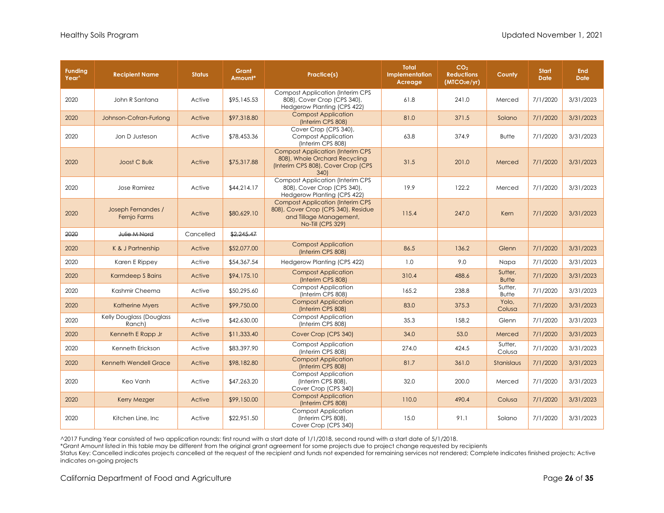| <b>Funding</b><br>Year <sup>^</sup> | <b>Recipient Name</b>              | <b>Status</b> | Grant<br>Amount* | Practice(s)                                                                                                                            | <b>Total</b><br>Implementation<br>Acreage | CO <sub>2</sub><br><b>Reductions</b><br>(MTCO <sub>2</sub> e/yr) | County                  | <b>Start</b><br><b>Date</b> | <b>End</b><br>Date |
|-------------------------------------|------------------------------------|---------------|------------------|----------------------------------------------------------------------------------------------------------------------------------------|-------------------------------------------|------------------------------------------------------------------|-------------------------|-----------------------------|--------------------|
| 2020                                | John R Santana                     | Active        | \$95,145.53      | <b>Compost Application (Interim CPS)</b><br>808), Cover Crop (CPS 340),<br>Hedgerow Planting (CPS 422)                                 | 61.8                                      | 241.0                                                            | Merced                  | 7/1/2020                    | 3/31/2023          |
| 2020                                | Johnson-Cofran-Furlong             | Active        | \$97,318.80      | <b>Compost Application</b><br>(Interim CPS 808)                                                                                        | 81.0                                      | 371.5                                                            | Solano                  | 7/1/2020                    | 3/31/2023          |
| 2020                                | Jon D Justeson                     | Active        | \$78,453.36      | Cover Crop (CPS 340),<br><b>Compost Application</b><br>(Interim CPS 808)                                                               | 63.8                                      | 374.9                                                            | <b>Butte</b>            | 7/1/2020                    | 3/31/2023          |
| 2020                                | Joost C Bulk                       | Active        | \$75,317.88      | <b>Compost Application (Interim CPS</b><br>808), Whole Orchard Recycling<br>(Interim CPS 808), Cover Crop (CPS<br>340)                 | 31.5                                      | 201.0                                                            | Merced                  | 7/1/2020                    | 3/31/2023          |
| 2020                                | Jose Ramirez                       | Active        | \$44,214.17      | <b>Compost Application (Interim CPS)</b><br>808), Cover Crop (CPS 340),<br>Hedgerow Planting (CPS 422)                                 | 19.9                                      | 122.2                                                            | Merced                  | 7/1/2020                    | 3/31/2023          |
| 2020                                | Joseph Fernandes /<br>Fernjo Farms | Active        | \$80,629.10      | <b>Compost Application (Interim CPS)</b><br>808), Cover Crop (CPS 340), Residue<br>and Tillage Management,<br><b>No-Till (CPS 329)</b> | 115.4                                     | 247.0                                                            | Kern                    | 7/1/2020                    | 3/31/2023          |
| 2020                                | Julie M Nord                       | Cancelled     | \$2,245.47       |                                                                                                                                        |                                           |                                                                  |                         |                             |                    |
| 2020                                | K & J Partnership                  | Active        | \$52,077.00      | <b>Compost Application</b><br>(Interim CPS 808)                                                                                        | 86.5                                      | 136.2                                                            | Glenn                   | 7/1/2020                    | 3/31/2023          |
| 2020                                | Karen E Rippey                     | Active        | \$54,367.54      | Hedgerow Planting (CPS 422)                                                                                                            | 1.0                                       | 9.0                                                              | Napa                    | 7/1/2020                    | 3/31/2023          |
| 2020                                | Karmdeep S Bains                   | Active        | \$94,175.10      | <b>Compost Application</b><br>(Interim CPS 808)                                                                                        | 310.4                                     | 488.6                                                            | Sutter,<br><b>Butte</b> | 7/1/2020                    | 3/31/2023          |
| 2020                                | Kashmir Cheema                     | Active        | \$50,295.60      | <b>Compost Application</b><br>(Interim CPS 808)                                                                                        | 165.2                                     | 238.8                                                            | Sutter,<br><b>Butte</b> | 7/1/2020                    | 3/31/2023          |
| 2020                                | <b>Katherine Myers</b>             | Active        | \$99,750.00      | <b>Compost Application</b><br>(Interim CPS 808)                                                                                        | 83.0                                      | 375.3                                                            | Yolo,<br>Colusa         | 7/1/2020                    | 3/31/2023          |
| 2020                                | Kelly Douglass (Douglass<br>Ranch) | Active        | \$42,630.00      | <b>Compost Application</b><br>(Interim CPS 808)                                                                                        | 35.3                                      | 158.2                                                            | Glenn                   | 7/1/2020                    | 3/31/2023          |
| 2020                                | Kenneth E Rapp Jr                  | Active        | \$11,333.40      | Cover Crop (CPS 340)                                                                                                                   | 34.0                                      | 53.0                                                             | Merced                  | 7/1/2020                    | 3/31/2023          |
| 2020                                | Kenneth Erickson                   | Active        | \$83,397.90      | <b>Compost Application</b><br>(Interim CPS 808)                                                                                        | 274.0                                     | 424.5                                                            | Sutter,<br>Colusa       | 7/1/2020                    | 3/31/2023          |
| 2020                                | <b>Kenneth Wendell Grace</b>       | Active        | \$98,182.80      | <b>Compost Application</b><br>(Interim CPS 808)                                                                                        | 81.7                                      | 361.0                                                            | Stanislaus              | 7/1/2020                    | 3/31/2023          |
| 2020                                | Keo Vanh                           | Active        | \$47,263.20      | <b>Compost Application</b><br>(Interim CPS 808),<br>Cover Crop (CPS 340)                                                               | 32.0                                      | 200.0                                                            | Merced                  | 7/1/2020                    | 3/31/2023          |
| 2020                                | <b>Kerry Mezger</b>                | Active        | \$99,150.00      | <b>Compost Application</b><br>(Interim CPS 808)                                                                                        | 110.0                                     | 490.4                                                            | Colusa                  | 7/1/2020                    | 3/31/2023          |
| 2020                                | Kitchen Line, Inc.                 | Active        | \$22,951.50      | <b>Compost Application</b><br>(Interim CPS 808),<br>Cover Crop (CPS 340)                                                               | 15.0                                      | 91.1                                                             | Solano                  | 7/1/2020                    | 3/31/2023          |

\*Grant Amount listed in this table may be different from the original grant agreement for some projects due to project change requested by recipients

Status Key: Cancelled indicates projects cancelled at the request of the recipient and funds not expended for remaining services not rendered; Complete indicates finished projects; Active indicates on-going projects

California Department of Food and Agriculture **Page 26** of **35** and **Page 26** of **35** and **Page 26** of **35**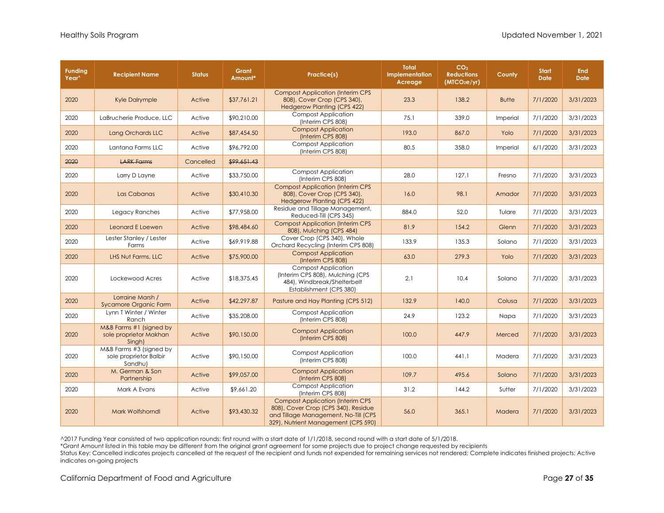| <b>Funding</b><br>Year <sup>^</sup> | <b>Recipient Name</b>                                        | <b>Status</b> | Grant<br>Amount* | Practice(s)                                                                                                                                                    | Total<br><b>Implementation</b><br>Acreage | CO <sub>2</sub><br><b>Reductions</b><br>(MICO <sub>2</sub> e/yr) | County       | <b>Start</b><br><b>Date</b> | <b>End</b><br><b>Date</b> |
|-------------------------------------|--------------------------------------------------------------|---------------|------------------|----------------------------------------------------------------------------------------------------------------------------------------------------------------|-------------------------------------------|------------------------------------------------------------------|--------------|-----------------------------|---------------------------|
| 2020                                | <b>Kyle Dalrymple</b>                                        | Active        | \$37,761.21      | <b>Compost Application (Interim CPS</b><br>808), Cover Crop (CPS 340),<br><b>Hedgerow Planting (CPS 422)</b>                                                   | 23.3                                      | 138.2                                                            | <b>Butte</b> | 7/1/2020                    | 3/31/2023                 |
| 2020                                | LaBrucherie Produce, LLC                                     | Active        | \$90,210.00      | <b>Compost Application</b><br>(Interim CPS 808)                                                                                                                | 75.1                                      | 339.0                                                            | Imperial     | 7/1/2020                    | 3/31/2023                 |
| 2020                                | Lang Orchards LLC                                            | Active        | \$87,454.50      | <b>Compost Application</b><br>(Interim CPS 808)                                                                                                                | 193.0                                     | 867.0                                                            | Yolo         | 7/1/2020                    | 3/31/2023                 |
| 2020                                | Lantana Farms LLC                                            | Active        | \$96,792.00      | <b>Compost Application</b><br>(Interim CPS 808)                                                                                                                | 80.5                                      | 358.0                                                            | Imperial     | 6/1/2020                    | 3/31/2023                 |
| 2020                                | <b>LARK Farms</b>                                            | Cancelled     | \$99,651.43      |                                                                                                                                                                |                                           |                                                                  |              |                             |                           |
| 2020                                | Larry D Layne                                                | Active        | \$33,750.00      | <b>Compost Application</b><br>(Interim CPS 808)                                                                                                                | 28.0                                      | 127.1                                                            | Fresno       | 7/1/2020                    | 3/31/2023                 |
| 2020                                | Las Cabanas                                                  | Active        | \$30,410.30      | <b>Compost Application (Interim CPS)</b><br>808), Cover Crop (CPS 340),<br><b>Hedgerow Planting (CPS 422)</b>                                                  | 16.0                                      | 98.1                                                             | Amador       | 7/1/2020                    | 3/31/2023                 |
| 2020                                | Legacy Ranches                                               | Active        | \$77,958.00      | Residue and Tillage Management,<br>Reduced-Till (CPS 345)                                                                                                      | 884.0                                     | 52.0                                                             | Tulare       | 7/1/2020                    | 3/31/2023                 |
| 2020                                | Leonard E Loewen                                             | Active        | \$98,484.60      | <b>Compost Application (Interim CPS</b><br>808), Mulching (CPS 484)                                                                                            | 81.9                                      | 154.2                                                            | Glenn        | 7/1/2020                    | 3/31/2023                 |
| 2020                                | Lester Stanley / Lester<br>Farms                             | Active        | \$69,919.88      | Cover Crop (CPS 340), Whole<br>Orchard Recycling (Interim CPS 808)                                                                                             | 133.9                                     | 135.3                                                            | Solano       | 7/1/2020                    | 3/31/2023                 |
| 2020                                | LHS Nut Farms, LLC                                           | Active        | \$75,900.00      | <b>Compost Application</b><br>(Interim CPS 808)                                                                                                                | 63.0                                      | 279.3                                                            | Yolo         | 7/1/2020                    | 3/31/2023                 |
| 2020                                | Lockewood Acres                                              | Active        | \$18,375.45      | <b>Compost Application</b><br>(Interim CPS 808), Mulching (CPS<br>484), Windbreak/Shelterbelt<br>Establishment (CPS 380)                                       | 2.1                                       | 10.4                                                             | Solano       | 7/1/2020                    | 3/31/2023                 |
| 2020                                | Lorraine Marsh /<br><b>Sycamore Organic Farm</b>             | Active        | \$42,297.87      | Pasture and Hay Planting (CPS 512)                                                                                                                             | 132.9                                     | 140.0                                                            | Colusa       | 7/1/2020                    | 3/31/2023                 |
| 2020                                | Lynn T Winter / Winter<br>Ranch                              | Active        | \$35,208.00      | <b>Compost Application</b><br>(Interim CPS 808)                                                                                                                | 24.9                                      | 123.2                                                            | Napa         | 7/1/2020                    | 3/31/2023                 |
| 2020                                | M&B Farms #1 (signed by<br>sole proprietor Makhan<br>Singh)  | Active        | \$90,150.00      | <b>Compost Application</b><br>(Interim CPS 808)                                                                                                                | 100.0                                     | 447.9                                                            | Merced       | 7/1/2020                    | 3/31/2023                 |
| 2020                                | M&B Farms #3 (signed by<br>sole proprietor Balbir<br>Sandhu) | Active        | \$90,150.00      | <b>Compost Application</b><br>(Interim CPS 808)                                                                                                                | 100.0                                     | 441.1                                                            | Madera       | 7/1/2020                    | 3/31/2023                 |
| 2020                                | M. German & Son<br>Partnership                               | Active        | \$99,057.00      | <b>Compost Application</b><br>(Interim CPS 808)                                                                                                                | 109.7                                     | 495.6                                                            | Solano       | 7/1/2020                    | 3/31/2023                 |
| 2020                                | Mark A Evans                                                 | Active        | \$9,661.20       | <b>Compost Application</b><br>(Interim CPS 808)                                                                                                                | 31.2                                      | 144.2                                                            | Sutter       | 7/1/2020                    | 3/31/2023                 |
| 2020                                | Mark Wolfshorndl                                             | Active        | \$93,430.32      | <b>Compost Application (Interim CPS)</b><br>808), Cover Crop (CPS 340), Residue<br>and Tillage Management, No-Till (CPS<br>329), Nutrient Management (CPS 590) | 56.0                                      | 365.1                                                            | Madera       | 7/1/2020                    | 3/31/2023                 |

\*Grant Amount listed in this table may be different from the original grant agreement for some projects due to project change requested by recipients

Status Key: Cancelled indicates projects cancelled at the request of the recipient and funds not expended for remaining services not rendered; Complete indicates finished projects; Active indicates on-going projects

California Department of Food and Agriculture **Page 27** of **35 Page 27** of **35**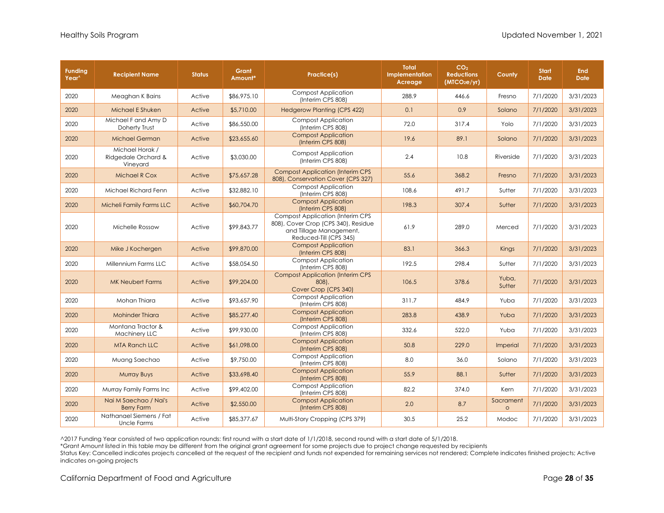| <b>Funding</b><br>Year <sup>^</sup> | <b>Recipient Name</b>                              | <b>Status</b> | Grant<br>Amount* | Practice(s)                                                                                                                         | <b>Total</b><br><b>Implementation</b><br>Acreage | CO <sub>2</sub><br><b>Reductions</b><br>(MTCO <sub>2</sub> e/yr) | County               | <b>Start</b><br><b>Date</b> | <b>End</b><br><b>Date</b> |
|-------------------------------------|----------------------------------------------------|---------------|------------------|-------------------------------------------------------------------------------------------------------------------------------------|--------------------------------------------------|------------------------------------------------------------------|----------------------|-----------------------------|---------------------------|
| 2020                                | Meaghan K Bains                                    | Active        | \$86,975.10      | <b>Compost Application</b><br>(Interim CPS 808)                                                                                     | 288.9                                            | 446.6                                                            | Fresno               | 7/1/2020                    | 3/31/2023                 |
| 2020                                | Michael E Shuken                                   | Active        | \$5,710.00       | <b>Hedgerow Planting (CPS 422)</b>                                                                                                  | 0.1                                              | 0.9                                                              | Solano               | 7/1/2020                    | 3/31/2023                 |
| 2020                                | Michael F and Amy D<br>Doherty Trust               | Active        | \$86,550.00      | <b>Compost Application</b><br>(Interim CPS 808)                                                                                     | 72.0                                             | 317.4                                                            | Yolo                 | 7/1/2020                    | 3/31/2023                 |
| 2020                                | <b>Michael German</b>                              | Active        | \$23,655.60      | <b>Compost Application</b><br>(Interim CPS 808)                                                                                     | 19.6                                             | 89.1                                                             | Solano               | 7/1/2020                    | 3/31/2023                 |
| 2020                                | Michael Horak /<br>Ridgedale Orchard &<br>Vineyard | Active        | \$3,030.00       | <b>Compost Application</b><br>(Interim CPS 808)                                                                                     | 2.4                                              | 10.8                                                             | Riverside            | 7/1/2020                    | 3/31/2023                 |
| 2020                                | <b>Michael R Cox</b>                               | Active        | \$75,657.28      | <b>Compost Application (Interim CPS)</b><br>808), Conservation Cover (CPS 327)                                                      | 55.6                                             | 368.2                                                            | Fresno               | 7/1/2020                    | 3/31/2023                 |
| 2020                                | Michael Richard Fenn                               | Active        | \$32,882.10      | <b>Compost Application</b><br>(Interim CPS 808)                                                                                     | 108.6                                            | 491.7                                                            | Sutter               | 7/1/2020                    | 3/31/2023                 |
| 2020                                | Micheli Family Farms LLC                           | Active        | \$60,704.70      | <b>Compost Application</b><br>(Interim CPS 808)                                                                                     | 198.3                                            | 307.4                                                            | Sutter               | 7/1/2020                    | 3/31/2023                 |
| 2020                                | Michelle Rossow                                    | Active        | \$99,843.77      | <b>Compost Application (Interim CPS</b><br>808), Cover Crop (CPS 340), Residue<br>and Tillage Management,<br>Reduced-Till (CPS 345) | 61.9                                             | 289.0                                                            | Merced               | 7/1/2020                    | 3/31/2023                 |
| 2020                                | Mike J Kochergen                                   | Active        | \$99,870.00      | <b>Compost Application</b><br>(Interim CPS 808)                                                                                     | 83.1                                             | 366.3                                                            | Kings                | 7/1/2020                    | 3/31/2023                 |
| 2020                                | Millennium Farms LLC                               | Active        | \$58,054.50      | <b>Compost Application</b><br>(Interim CPS 808)                                                                                     | 192.5                                            | 298.4                                                            | Sutter               | 7/1/2020                    | 3/31/2023                 |
| 2020                                | <b>MK Neubert Farms</b>                            | Active        | \$99,204.00      | <b>Compost Application (Interim CPS</b><br>$808$ ),<br>Cover Crop (CPS 340)                                                         | 106.5                                            | 378.6                                                            | Yuba,<br>Sutter      | 7/1/2020                    | 3/31/2023                 |
| 2020                                | Mohan Thiara                                       | Active        | \$93,657.90      | <b>Compost Application</b><br>(Interim CPS 808)                                                                                     | 311.7                                            | 484.9                                                            | Yuba                 | 7/1/2020                    | 3/31/2023                 |
| 2020                                | <b>Mohinder Thiara</b>                             | Active        | \$85,277.40      | <b>Compost Application</b><br>(Interim CPS 808)                                                                                     | 283.8                                            | 438.9                                                            | Yuba                 | 7/1/2020                    | 3/31/2023                 |
| 2020                                | Montana Tractor &<br>Machinery LLC                 | Active        | \$99,930.00      | <b>Compost Application</b><br>(Interim CPS 808)                                                                                     | 332.6                                            | 522.0                                                            | Yuba                 | 7/1/2020                    | 3/31/2023                 |
| 2020                                | <b>MTA Ranch LLC</b>                               | Active        | \$61,098.00      | <b>Compost Application</b><br>(Interim CPS 808)                                                                                     | 50.8                                             | 229.0                                                            | Imperial             | 7/1/2020                    | 3/31/2023                 |
| 2020                                | Muang Saechao                                      | Active        | \$9,750.00       | <b>Compost Application</b><br>(Interim CPS 808)                                                                                     | 8.0                                              | 36.0                                                             | Solano               | 7/1/2020                    | 3/31/2023                 |
| 2020                                | <b>Murray Buys</b>                                 | Active        | \$33,698.40      | <b>Compost Application</b><br>(Interim CPS 808)                                                                                     | 55.9                                             | 88.1                                                             | Sutter               | 7/1/2020                    | 3/31/2023                 |
| 2020                                | Murray Family Farms Inc                            | Active        | \$99,402.00      | <b>Compost Application</b><br>(Interim CPS 808)                                                                                     | 82.2                                             | 374.0                                                            | Kern                 | 7/1/2020                    | 3/31/2023                 |
| 2020                                | Nai M Saechao / Nai's<br><b>Berry Farm</b>         | Active        | \$2,550.00       | <b>Compost Application</b><br>(Interim CPS 808)                                                                                     | 2.0                                              | 8.7                                                              | Sacrament<br>$\circ$ | 7/1/2020                    | 3/31/2023                 |
| 2020                                | Nathanael Siemens / Fat<br>Uncle Farms             | Active        | \$85,377.67      | Multi-Story Cropping (CPS 379)                                                                                                      | 30.5                                             | 25.2                                                             | Modoc                | 7/1/2020                    | 3/31/2023                 |

\*Grant Amount listed in this table may be different from the original grant agreement for some projects due to project change requested by recipients

Status Key: Cancelled indicates projects cancelled at the request of the recipient and funds not expended for remaining services not rendered; Complete indicates finished projects; Active indicates on-going projects

California Department of Food and Agriculture **Page 28** of **35 Page 28** of **35**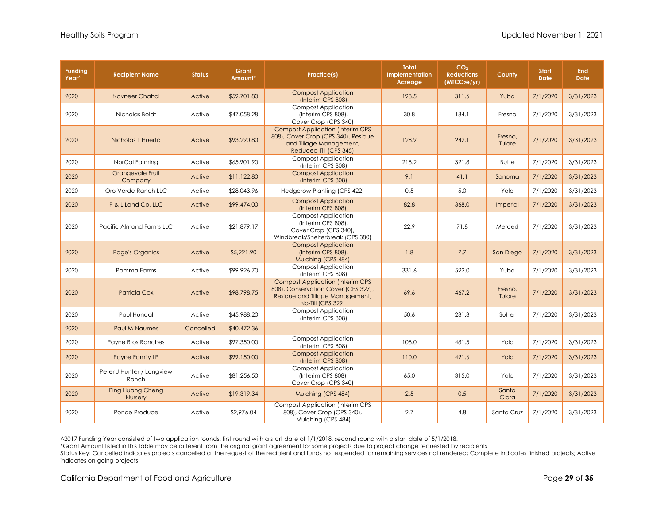| <b>Funding</b><br>Year <sup>^</sup> | <b>Recipient Name</b>                     | <b>Status</b> | Grant<br>Amount* | Practice(s)                                                                                                                            | <b>Total</b><br>Implementation<br>Acreage | CO <sub>2</sub><br><b>Reductions</b><br>(MTCO <sub>2</sub> e/yr) | County            | <b>Start</b><br><b>Date</b> | <b>End</b><br><b>Date</b> |
|-------------------------------------|-------------------------------------------|---------------|------------------|----------------------------------------------------------------------------------------------------------------------------------------|-------------------------------------------|------------------------------------------------------------------|-------------------|-----------------------------|---------------------------|
| 2020                                | Navneer Chahal                            | Active        | \$59,701.80      | <b>Compost Application</b><br>(Interim CPS 808)                                                                                        | 198.5                                     | 311.6                                                            | Yuba              | 7/1/2020                    | 3/31/2023                 |
| 2020                                | Nicholas Boldt                            | Active        | \$47,058.28      | <b>Compost Application</b><br>(Interim CPS 808),<br>Cover Crop (CPS 340)                                                               | 30.8                                      | 184.1                                                            | Fresno            | 7/1/2020                    | 3/31/2023                 |
| 2020                                | Nicholas L Huerta                         | Active        | \$93,290.80      | <b>Compost Application (Interim CPS</b><br>808), Cover Crop (CPS 340), Residue<br>and Tillage Management,<br>Reduced-Till (CPS 345)    | 128.9                                     | 242.1                                                            | Fresno,<br>Tulare | 7/1/2020                    | 3/31/2023                 |
| 2020                                | NorCal Farming                            | Active        | \$65,901.90      | <b>Compost Application</b><br>(Interim CPS 808)                                                                                        | 218.2                                     | 321.8                                                            | <b>Butte</b>      | 7/1/2020                    | 3/31/2023                 |
| 2020                                | Orangevale Fruit<br>Company               | Active        | \$11,122.80      | <b>Compost Application</b><br>(Interim CPS 808)                                                                                        | 9.1                                       | 41.1                                                             | Sonoma            | 7/1/2020                    | 3/31/2023                 |
| 2020                                | Oro Verde Ranch LLC                       | Active        | \$28,043.96      | Hedgerow Planting (CPS 422)                                                                                                            | 0.5                                       | 5.0                                                              | Yolo              | 7/1/2020                    | 3/31/2023                 |
| 2020                                | P & L Land Co, LLC                        | Active        | \$99,474.00      | <b>Compost Application</b><br>(Interim CPS 808)                                                                                        | 82.8                                      | 368.0                                                            | Imperial          | 7/1/2020                    | 3/31/2023                 |
| 2020                                | Pacific Almond Farms LLC                  | Active        | \$21,879.17      | <b>Compost Application</b><br>(Interim CPS 808),<br>Cover Crop (CPS 340)<br>Windbreak/Shelterbreak (CPS 380)                           | 22.9                                      | 71.8                                                             | Merced            | 7/1/2020                    | 3/31/2023                 |
| 2020                                | <b>Page's Organics</b>                    | Active        | \$5,221.90       | <b>Compost Application</b><br>(Interim CPS 808),<br>Mulching (CPS 484)                                                                 | 1.8                                       | 7.7                                                              | San Diego         | 7/1/2020                    | 3/31/2023                 |
| 2020                                | Pamma Farms                               | Active        | \$99,926.70      | <b>Compost Application</b><br>(Interim CPS 808)                                                                                        | 331.6                                     | 522.0                                                            | Yuba              | 7/1/2020                    | 3/31/2023                 |
| 2020                                | Patricia Cox                              | Active        | \$98,798.75      | <b>Compost Application (Interim CPS</b><br>808), Conservation Cover (CPS 327),<br>Residue and Tillage Management,<br>No-Till (CPS 329) | 69.6                                      | 467.2                                                            | Fresno,<br>Tulare | 7/1/2020                    | 3/31/2023                 |
| 2020                                | Paul Hundal                               | Active        | \$45,988.20      | Compost Application<br>(Interim CPS 808)                                                                                               | 50.6                                      | 231.3                                                            | Sutter            | 7/1/2020                    | 3/31/2023                 |
| 2020                                | <b>Paul M Naumes</b>                      | Cancelled     | \$40,472.36      |                                                                                                                                        |                                           |                                                                  |                   |                             |                           |
| 2020                                | Payne Bros Ranches                        | Active        | \$97,350.00      | <b>Compost Application</b><br>(Interim CPS 808)                                                                                        | 108.0                                     | 481.5                                                            | Yolo              | 7/1/2020                    | 3/31/2023                 |
| 2020                                | Payne Family LP                           | Active        | \$99,150.00      | <b>Compost Application</b><br>(Interim CPS 808)                                                                                        | 110.0                                     | 491.6                                                            | Yolo              | 7/1/2020                    | 3/31/2023                 |
| 2020                                | Peter J Hunter / Longview<br>Ranch        | Active        | \$81,256.50      | <b>Compost Application</b><br>(Interim CPS 808),<br>Cover Crop (CPS 340)                                                               | 65.0                                      | 315.0                                                            | Yolo              | 7/1/2020                    | 3/31/2023                 |
| 2020                                | <b>Ping Huang Cheng</b><br><b>Nursery</b> | Active        | \$19,319.34      | Mulching (CPS 484)                                                                                                                     | 2.5                                       | 0.5                                                              | Santa<br>Clara    | 7/1/2020                    | 3/31/2023                 |
| 2020                                | Ponce Produce                             | Active        | \$2,976.04       | <b>Compost Application (Interim CPS)</b><br>808), Cover Crop (CPS 340),<br>Mulching (CPS 484)                                          | 2.7                                       | 4.8                                                              | Santa Cruz        | 7/1/2020                    | 3/31/2023                 |

\*Grant Amount listed in this table may be different from the original grant agreement for some projects due to project change requested by recipients

Status Key: Cancelled indicates projects cancelled at the request of the recipient and funds not expended for remaining services not rendered; Complete indicates finished projects; Active indicates on-going projects

California Department of Food and Agriculture **Page 29 of 35** and the Page 29 of 35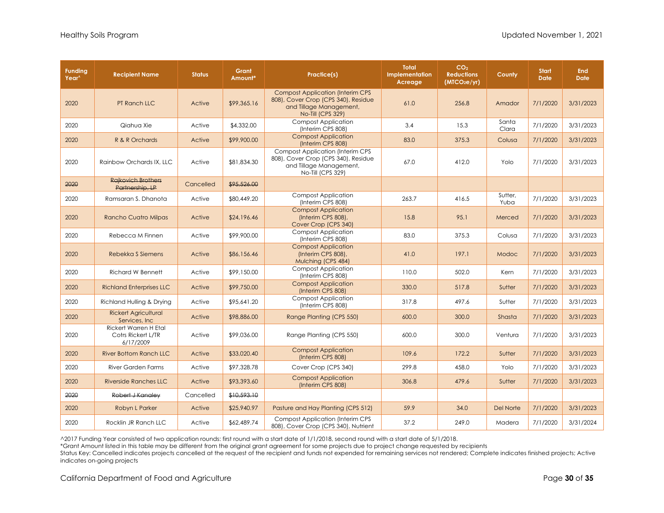| <b>Funding</b><br>Year <sup>^</sup> | <b>Recipient Name</b>                                    | <b>Status</b> | Grant<br>Amount* | Practice(s)                                                                                                                            | <b>Total</b><br>Implementation<br>Acreage | CO <sub>2</sub><br><b>Reductions</b><br>(MTCO <sub>2</sub> e/yr) | County           | <b>Start</b><br><b>Date</b> | <b>End</b><br><b>Date</b> |
|-------------------------------------|----------------------------------------------------------|---------------|------------------|----------------------------------------------------------------------------------------------------------------------------------------|-------------------------------------------|------------------------------------------------------------------|------------------|-----------------------------|---------------------------|
| 2020                                | PT Ranch LLC                                             | Active        | \$99,365.16      | <b>Compost Application (Interim CPS)</b><br>808), Cover Crop (CPS 340), Residue<br>and Tillage Management,<br><b>No-Till (CPS 329)</b> | 61.0                                      | 256.8                                                            | Amador           | 7/1/2020                    | 3/31/2023                 |
| 2020                                | Qiahua Xie                                               | Active        | \$4,332.00       | <b>Compost Application</b><br>(Interim CPS 808)                                                                                        | 3.4                                       | 15.3                                                             | Santa<br>Clara   | 7/1/2020                    | 3/31/2023                 |
| 2020                                | R & R Orchards                                           | Active        | \$99,900.00      | <b>Compost Application</b><br>(Interim CPS 808)                                                                                        | 83.0                                      | 375.3                                                            | Colusa           | 7/1/2020                    | 3/31/2023                 |
| 2020                                | Rainbow Orchards IX, LLC                                 | Active        | \$81,834.30      | <b>Compost Application (Interim CPS)</b><br>808), Cover Crop (CPS 340), Residue<br>and Tillage Management,<br>No-Till (CPS 329)        | 67.0                                      | 412.0                                                            | Yolo             | 7/1/2020                    | 3/31/2023                 |
| 2020                                | <b>Rajkovich Brothers</b><br>Partnership, LP             | Cancelled     | \$95,526.00      |                                                                                                                                        |                                           |                                                                  |                  |                             |                           |
| 2020                                | Ramsaran S. Dhanota                                      | Active        | \$80,449.20      | <b>Compost Application</b><br>(Interim CPS 808)                                                                                        | 263.7                                     | 416.5                                                            | Sutter,<br>Yuba  | 7/1/2020                    | 3/31/2023                 |
| 2020                                | <b>Rancho Cuatro Milpas</b>                              | Active        | \$24,196.46      | <b>Compost Application</b><br>(Interim CPS 808),<br>Cover Crop (CPS 340)                                                               | 15.8                                      | 95.1                                                             | Merced           | 7/1/2020                    | 3/31/2023                 |
| 2020                                | Rebecca M Finnen                                         | Active        | \$99,900.00      | <b>Compost Application</b><br>(Interim CPS 808)                                                                                        | 83.0                                      | 375.3                                                            | Colusa           | 7/1/2020                    | 3/31/2023                 |
| 2020                                | Rebekka S Siemens                                        | Active        | \$86,156.46      | <b>Compost Application</b><br>(Interim CPS 808),<br>Mulching (CPS 484)                                                                 | 41.0                                      | 197.1                                                            | Modoc            | 7/1/2020                    | 3/31/2023                 |
| 2020                                | <b>Richard W Bennett</b>                                 | Active        | \$99,150.00      | <b>Compost Application</b><br>(Interim CPS 808)                                                                                        | 110.0                                     | 502.0                                                            | Kern             | 7/1/2020                    | 3/31/2023                 |
| 2020                                | <b>Richland Enterprises LLC</b>                          | Active        | \$99,750.00      | <b>Compost Application</b><br>(Interim CPS 808)                                                                                        | 330.0                                     | 517.8                                                            | Sutter           | 7/1/2020                    | 3/31/2023                 |
| 2020                                | Richland Hulling & Drying                                | Active        | \$95,641.20      | <b>Compost Application</b><br>(Interim CPS 808)                                                                                        | 317.8                                     | 497.6                                                            | Sutter           | 7/1/2020                    | 3/31/2023                 |
| 2020                                | <b>Rickert Agricultural</b><br>Services, Inc.            | Active        | \$98,886.00      | Range Planting (CPS 550)                                                                                                               | 600.0                                     | 300.0                                                            | Shasta           | 7/1/2020                    | 3/31/2023                 |
| 2020                                | Rickert Warren H Etal<br>Cotrs Rickert L/TR<br>6/17/2009 | Active        | \$99,036.00      | Range Planting (CPS 550)                                                                                                               | 600.0                                     | 300.0                                                            | Ventura          | 7/1/2020                    | 3/31/2023                 |
| 2020                                | <b>River Bottom Ranch LLC</b>                            | Active        | \$33,020.40      | <b>Compost Application</b><br>(Interim CPS 808)                                                                                        | 109.6                                     | 172.2                                                            | Sutter           | 7/1/2020                    | 3/31/2023                 |
| 2020                                | <b>River Garden Farms</b>                                | Active        | \$97,328.78      | Cover Crop (CPS 340)                                                                                                                   | 299.8                                     | 458.0                                                            | Yolo             | 7/1/2020                    | 3/31/2023                 |
| 2020                                | <b>Riverside Ranches LLC</b>                             | Active        | \$93,393.60      | <b>Compost Application</b><br>(Interim CPS 808)                                                                                        | 306.8                                     | 479.6                                                            | Sutter           | 7/1/2020                    | 3/31/2023                 |
| 2020                                | Robert J Kanaley                                         | Cancelled     | \$10,593.10      |                                                                                                                                        |                                           |                                                                  |                  |                             |                           |
| 2020                                | Robyn L Parker                                           | Active        | \$25,940.97      | Pasture and Hay Planting (CPS 512)                                                                                                     | 59.9                                      | 34.0                                                             | <b>Del Norte</b> | 7/1/2020                    | 3/31/2023                 |
| 2020                                | Rocklin JR Ranch LLC                                     | Active        | \$62,489.74      | <b>Compost Application (Interim CPS)</b><br>808), Cover Crop (CPS 340), Nutrient                                                       | 37.2                                      | 249.0                                                            | Madera           | 7/1/2020                    | 3/31/2024                 |

\*Grant Amount listed in this table may be different from the original grant agreement for some projects due to project change requested by recipients

Status Key: Cancelled indicates projects cancelled at the request of the recipient and funds not expended for remaining services not rendered; Complete indicates finished projects; Active indicates on-going projects

California Department of Food and Agriculture **Page 30** of **35 Page 30** of **35**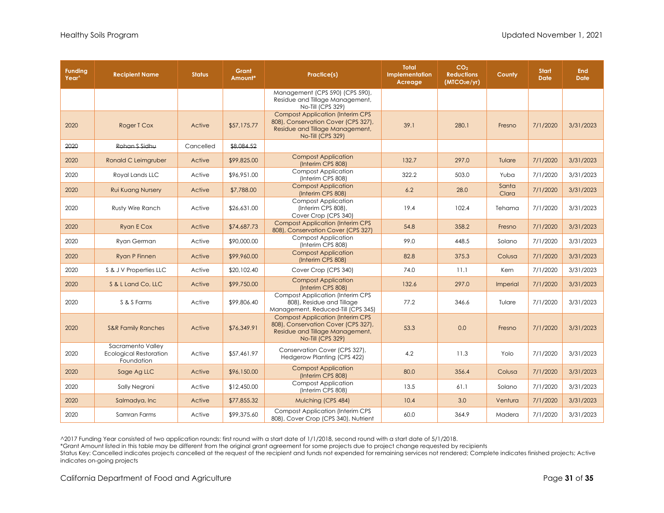| <b>Funding</b><br>Year <sup>^</sup> | <b>Recipient Name</b>                                            | <b>Status</b> | Grant<br>Amount* | Practice(s)                                                                                                                             | <b>Total</b><br>Implementation<br>Acreage | CO <sub>2</sub><br><b>Reductions</b><br>(MTCO <sub>2</sub> e/yr) | County         | <b>Start</b><br><b>Date</b> | <b>End</b><br><b>Date</b> |
|-------------------------------------|------------------------------------------------------------------|---------------|------------------|-----------------------------------------------------------------------------------------------------------------------------------------|-------------------------------------------|------------------------------------------------------------------|----------------|-----------------------------|---------------------------|
|                                     |                                                                  |               |                  | Management (CPS 590) (CPS 590),<br>Residue and Tillage Management,<br>No-Till (CPS 329)                                                 |                                           |                                                                  |                |                             |                           |
| 2020                                | Roger T Cox                                                      | Active        | \$57,175.77      | <b>Compost Application (Interim CPS</b><br>808), Conservation Cover (CPS 327),<br>Residue and Tillage Management,<br>No-Till (CPS 329)  | 39.1                                      | 280.1                                                            | Fresno         | 7/1/2020                    | 3/31/2023                 |
| 2020                                | Rohan S Sidhu                                                    | Cancelled     | \$8,084.52       |                                                                                                                                         |                                           |                                                                  |                |                             |                           |
| 2020                                | Ronald C Leimgruber                                              | Active        | \$99,825.00      | <b>Compost Application</b><br>(Interim CPS 808)                                                                                         | 132.7                                     | 297.0                                                            | Tulare         | 7/1/2020                    | 3/31/2023                 |
| 2020                                | Royal Lands LLC                                                  | Active        | \$96,951.00      | <b>Compost Application</b><br>(Interim CPS 808)                                                                                         | 322.2                                     | 503.0                                                            | Yuba           | 7/1/2020                    | 3/31/2023                 |
| 2020                                | <b>Rui Kuang Nursery</b>                                         | Active        | \$7,788.00       | <b>Compost Application</b><br>(Interim CPS 808)                                                                                         | 6.2                                       | 28.0                                                             | Santa<br>Clara | 7/1/2020                    | 3/31/2023                 |
| 2020                                | Rusty Wire Ranch                                                 | Active        | \$26,631.00      | <b>Compost Application</b><br>(Interim CPS 808),<br>Cover Crop (CPS 340)                                                                | 19.4                                      | 102.4                                                            | Tehama         | 7/1/2020                    | 3/31/2023                 |
| 2020                                | <b>Ryan E Cox</b>                                                | Active        | \$74,687.73      | <b>Compost Application (Interim CPS</b><br>808), Conservation Cover (CPS 327)                                                           | 54.8                                      | 358.2                                                            | Fresno         | 7/1/2020                    | 3/31/2023                 |
| 2020                                | <b>Rvan German</b>                                               | Active        | \$90,000.00      | <b>Compost Application</b><br>(Interim CPS 808)                                                                                         | 99.0                                      | 448.5                                                            | Solano         | 7/1/2020                    | 3/31/2023                 |
| 2020                                | <b>Ryan P Finnen</b>                                             | Active        | \$99,960.00      | <b>Compost Application</b><br>(Interim CPS 808)                                                                                         | 82.8                                      | 375.3                                                            | Colusa         | 7/1/2020                    | 3/31/2023                 |
| 2020                                | S & J V Properties LLC                                           | Active        | \$20,102.40      | Cover Crop (CPS 340)                                                                                                                    | 74.0                                      | 11.1                                                             | Kern           | 7/1/2020                    | 3/31/2023                 |
| 2020                                | S & L Land Co, LLC                                               | Active        | \$99,750.00      | <b>Compost Application</b><br>(Interim CPS 808)                                                                                         | 132.6                                     | 297.0                                                            | Imperial       | 7/1/2020                    | 3/31/2023                 |
| 2020                                | S & S Farms                                                      | Active        | \$99,806.40      | <b>Compost Application (Interim CPS</b><br>808), Residue and Tillage<br>Management, Reduced-Till (CPS 345)                              | 77.2                                      | 346.6                                                            | Tulare         | 7/1/2020                    | 3/31/2023                 |
| 2020                                | <b>S&amp;R Family Ranches</b>                                    | Active        | \$76,349.91      | <b>Compost Application (Interim CPS)</b><br>808), Conservation Cover (CPS 327),<br>Residue and Tillage Management,<br>No-Till (CPS 329) | 53.3                                      | 0.0                                                              | Fresno         | 7/1/2020                    | 3/31/2023                 |
| 2020                                | Sacramento Valley<br><b>Ecological Restoration</b><br>Foundation | Active        | \$57,461.97      | Conservation Cover (CPS 327),<br>Hedgerow Planting (CPS 422)                                                                            | 4.2                                       | 11.3                                                             | Yolo           | 7/1/2020                    | 3/31/2023                 |
| 2020                                | Sage Ag LLC                                                      | Active        | \$96,150.00      | <b>Compost Application</b><br>(Interim CPS 808)                                                                                         | 80.0                                      | 356.4                                                            | Colusa         | 7/1/2020                    | 3/31/2023                 |
| 2020                                | Sally Negroni                                                    | Active        | \$12,450.00      | <b>Compost Application</b><br>(Interim CPS 808)                                                                                         | 13.5                                      | 61.1                                                             | Solano         | 7/1/2020                    | 3/31/2023                 |
| 2020                                | Salmadya, Inc.                                                   | Active        | \$77,855.32      | Mulching (CPS 484)                                                                                                                      | 10.4                                      | 3.0                                                              | Ventura        | 7/1/2020                    | 3/31/2023                 |
| 2020                                | Samran Farms                                                     | Active        | \$99,375.60      | <b>Compost Application (Interim CPS</b><br>808), Cover Crop (CPS 340), Nutrient                                                         | 60.0                                      | 364.9                                                            | Madera         | 7/1/2020                    | 3/31/2023                 |

\*Grant Amount listed in this table may be different from the original grant agreement for some projects due to project change requested by recipients

Status Key: Cancelled indicates projects cancelled at the request of the recipient and funds not expended for remaining services not rendered; Complete indicates finished projects; Active indicates on-going projects

California Department of Food and Agriculture **Page 31** of **35** and **Page 31** of **35** and **Page 31** of **35** and **Page 31** of **35** and **Page 31** of **35** and **Page 31** of **35** and **Page 31** of **35** and **Page 31** of **35** and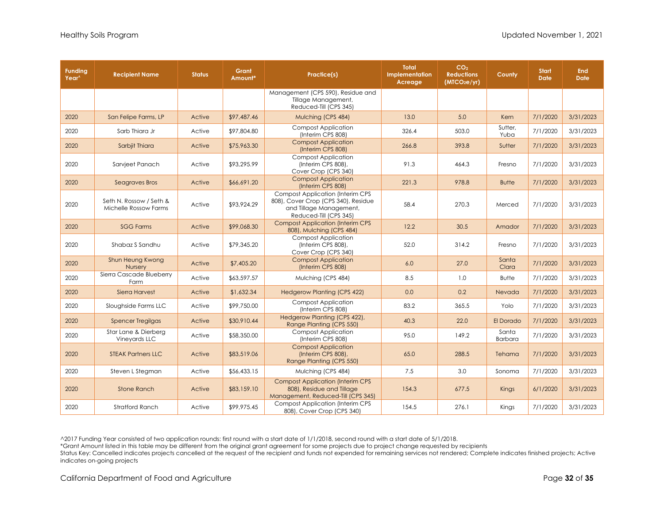| <b>Funding</b><br>Year <sup>^</sup> | <b>Recipient Name</b>                            | <b>Status</b> | Grant<br>Amount* | Practice(s)                                                                                                                         | Total<br>Implementation<br>Acreage | CO <sub>2</sub><br><b>Reductions</b><br>(MICO <sub>2</sub> e/yr) | County                  | <b>Start</b><br><b>Date</b> | <b>End</b><br><b>Date</b> |
|-------------------------------------|--------------------------------------------------|---------------|------------------|-------------------------------------------------------------------------------------------------------------------------------------|------------------------------------|------------------------------------------------------------------|-------------------------|-----------------------------|---------------------------|
|                                     |                                                  |               |                  | Management (CPS 590), Residue and<br>Tillage Management,<br>Reduced-Till (CPS 345)                                                  |                                    |                                                                  |                         |                             |                           |
| 2020                                | San Felipe Farms, LP                             | Active        | \$97,487.46      | Mulching (CPS 484)                                                                                                                  | 13.0                               | 5.0                                                              | Kern                    | 7/1/2020                    | 3/31/2023                 |
| 2020                                | Sarb Thiara Jr                                   | Active        | \$97,804.80      | <b>Compost Application</b><br>(Interim CPS 808)                                                                                     | 326.4                              | 503.0                                                            | Sutter,<br>Yuba         | 7/1/2020                    | 3/31/2023                 |
| 2020                                | Sarbjit Thiara                                   | Active        | \$75,963.30      | <b>Compost Application</b><br>(Interim CPS 808)                                                                                     | 266.8                              | 393.8                                                            | Sutter                  | 7/1/2020                    | 3/31/2023                 |
| 2020                                | Sarvjeet Panach                                  | Active        | \$93,295.99      | <b>Compost Application</b><br>(Interim CPS 808),<br>Cover Crop (CPS 340)                                                            | 91.3                               | 464.3                                                            | Fresno                  | 7/1/2020                    | 3/31/2023                 |
| 2020                                | Seagraves Bros                                   | Active        | \$66,691.20      | <b>Compost Application</b><br>(Interim CPS 808)                                                                                     | 221.3                              | 978.8                                                            | <b>Butte</b>            | 7/1/2020                    | 3/31/2023                 |
| 2020                                | Seth N. Rossow / Seth &<br>Michelle Rossow Farms | Active        | \$93,924.29      | <b>Compost Application (Interim CPS</b><br>808), Cover Crop (CPS 340), Residue<br>and Tillage Management,<br>Reduced-Till (CPS 345) | 58.4                               | 270.3                                                            | Merced                  | 7/1/2020                    | 3/31/2023                 |
| 2020                                | <b>SGG Farms</b>                                 | Active        | \$99,068.30      | <b>Compost Application (Interim CPS)</b><br>808), Mulching (CPS 484)                                                                | 12.2                               | 30.5                                                             | Amador                  | 7/1/2020                    | 3/31/2023                 |
| 2020                                | Shabaz S Sandhu                                  | Active        | \$79,345.20      | <b>Compost Application</b><br>(Interim CPS 808),<br>Cover Crop (CPS 340)                                                            | 52.0                               | 314.2                                                            | Fresno                  | 7/1/2020                    | 3/31/2023                 |
| 2020                                | Shun Heung Kwong<br><b>Nursery</b>               | Active        | \$7,405.20       | <b>Compost Application</b><br>(Interim CPS 808)                                                                                     | 6.0                                | 27.0                                                             | Santa<br>Clara          | 7/1/2020                    | 3/31/2023                 |
| 2020                                | Sierra Cascade Blueberry<br>Farm                 | Active        | \$63,597.57      | Mulching (CPS 484)                                                                                                                  | 8.5                                | 1.0                                                              | <b>Butte</b>            | 7/1/2020                    | 3/31/2023                 |
| 2020                                | <b>Sierra Harvest</b>                            | Active        | \$1,632.34       | <b>Hedgerow Planting (CPS 422)</b>                                                                                                  | 0.0                                | 0.2                                                              | Nevada                  | 7/1/2020                    | 3/31/2023                 |
| 2020                                | Sloughside Farms LLC                             | Active        | \$99,750.00      | <b>Compost Application</b><br>(Interim CPS 808)                                                                                     | 83.2                               | 365.5                                                            | Yolo                    | 7/1/2020                    | 3/31/2023                 |
| 2020                                | <b>Spencer Tregilgas</b>                         | Active        | \$30,910.44      | Hedgerow Planting (CPS 422),<br>Range Planting (CPS 550)                                                                            | 40.3                               | 22.0                                                             | El Dorado               | 7/1/2020                    | 3/31/2023                 |
| 2020                                | Star Lane & Dierberg<br>Vineyards LLC            | Active        | \$58,350.00      | <b>Compost Application</b><br>(Interim CPS 808)                                                                                     | 95.0                               | 149.2                                                            | Santa<br><b>Barbara</b> | 7/1/2020                    | 3/31/2023                 |
| 2020                                | <b>STEAK Partners LLC</b>                        | Active        | \$83,519.06      | <b>Compost Application</b><br>(Interim CPS 808),<br>Range Planting (CPS 550)                                                        | 65.0                               | 288.5                                                            | Tehama                  | 7/1/2020                    | 3/31/2023                 |
| 2020                                | Steven L Stegman                                 | Active        | \$56,433.15      | Mulching (CPS 484)                                                                                                                  | 7.5                                | 3.0                                                              | Sonoma                  | 7/1/2020                    | 3/31/2023                 |
| 2020                                | <b>Stone Ranch</b>                               | Active        | \$83,159.10      | <b>Compost Application (Interim CPS</b><br>808), Residue and Tillage<br>Management, Reduced-Till (CPS 345)                          | 154.3                              | 677.5                                                            | <b>Kings</b>            | 6/1/2020                    | 3/31/2023                 |
| 2020                                | <b>Stratford Ranch</b>                           | Active        | \$99,975.45      | <b>Compost Application (Interim CPS</b><br>808), Cover Crop (CPS 340)                                                               | 154.5                              | 276.1                                                            | Kings                   | 7/1/2020                    | 3/31/2023                 |

\*Grant Amount listed in this table may be different from the original grant agreement for some projects due to project change requested by recipients

Status Key: Cancelled indicates projects cancelled at the request of the recipient and funds not expended for remaining services not rendered; Complete indicates finished projects; Active indicates on-going projects

California Department of Food and Agriculture **Page 32** of **35 Page 32** of **35**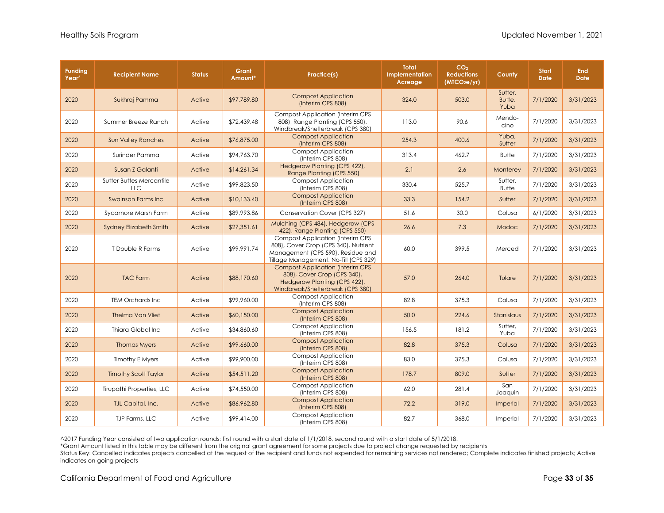| <b>Funding</b><br>Year <sup>^</sup> | <b>Recipient Name</b>                  | <b>Status</b> | Grant<br>Amount* | Practice(s)                                                                                                                                                    | <b>Total</b><br>Implementation<br>Acreage | CO <sub>2</sub><br><b>Reductions</b><br>(MICO <sub>2</sub> e/yr) | County                    | <b>Start</b><br><b>Date</b> | <b>End</b><br><b>Date</b> |
|-------------------------------------|----------------------------------------|---------------|------------------|----------------------------------------------------------------------------------------------------------------------------------------------------------------|-------------------------------------------|------------------------------------------------------------------|---------------------------|-----------------------------|---------------------------|
| 2020                                | Sukhraj Pamma                          | Active        | \$97,789.80      | <b>Compost Application</b><br>(Interim CPS 808)                                                                                                                | 324.0                                     | 503.0                                                            | Sutter,<br>Butte,<br>Yuba | 7/1/2020                    | 3/31/2023                 |
| 2020                                | Summer Breeze Ranch                    | Active        | \$72,439.48      | <b>Compost Application (Interim CPS</b><br>808), Range Planting (CPS 550),<br>Windbreak/Shelterbreak (CPS 380)                                                 | 113.0                                     | 90.6                                                             | Mendo-<br>cino            | 7/1/2020                    | 3/31/2023                 |
| 2020                                | <b>Sun Valley Ranches</b>              | Active        | \$76,875.00      | <b>Compost Application</b><br>(Interim CPS 808)                                                                                                                | 254.3                                     | 400.6                                                            | Yuba,<br>Sutter           | 7/1/2020                    | 3/31/2023                 |
| 2020                                | Surinder Pamma                         | Active        | \$94,763.70      | <b>Compost Application</b><br>(Interim CPS 808)                                                                                                                | 313.4                                     | 462.7                                                            | <b>Butte</b>              | 7/1/2020                    | 3/31/2023                 |
| 2020                                | Susan Z Galanti                        | Active        | \$14,261.34      | Hedgerow Planting (CPS 422),<br>Range Planting (CPS 550)                                                                                                       | 2.1                                       | 2.6                                                              | Monterey                  | 7/1/2020                    | 3/31/2023                 |
| 2020                                | Sutter Buttes Mercantile<br><b>LLC</b> | Active        | \$99,823.50      | Compost Application<br>(Interim CPS 808)                                                                                                                       | 330.4                                     | 525.7                                                            | Sutter,<br><b>Butte</b>   | 7/1/2020                    | 3/31/2023                 |
| 2020                                | <b>Swainson Farms Inc.</b>             | Active        | \$10,133.40      | <b>Compost Application</b><br>(Interim CPS 808)                                                                                                                | 33.3                                      | 154.2                                                            | Sutter                    | 7/1/2020                    | 3/31/2023                 |
| 2020                                | Sycamore Marsh Farm                    | Active        | \$89,993.86      | Conservation Cover (CPS 327)                                                                                                                                   | 51.6                                      | 30.0                                                             | Colusa                    | 6/1/2020                    | 3/31/2023                 |
| 2020                                | <b>Sydney Elizabeth Smith</b>          | Active        | \$27,351.61      | Mulching (CPS 484), Hedgerow (CPS<br>422), Range Planting (CPS 550)                                                                                            | 26.6                                      | 7.3                                                              | Modoc                     | 7/1/2020                    | 3/31/2023                 |
| 2020                                | T Double R Farms                       | Active        | \$99.991.74      | <b>Compost Application (Interim CPS)</b><br>808), Cover Crop (CPS 340), Nutrient<br>Management (CPS 590), Residue and<br>Tillage Management, No-Till (CPS 329) | 60.0                                      | 399.5                                                            | Merced                    | 7/1/2020                    | 3/31/2023                 |
| 2020                                | <b>TAC Farm</b>                        | Active        | \$88,170.60      | <b>Compost Application (Interim CPS)</b><br>808), Cover Crop (CPS 340),<br>Hedgerow Planting (CPS 422),<br>Windbreak/Shelterbreak (CPS 380)                    | 57.0                                      | 264.0                                                            | Tulare                    | 7/1/2020                    | 3/31/2023                 |
| 2020                                | <b>TEM Orchards Inc.</b>               | Active        | \$99,960.00      | <b>Compost Application</b><br>(Interim CPS 808)                                                                                                                | 82.8                                      | 375.3                                                            | Colusa                    | 7/1/2020                    | 3/31/2023                 |
| 2020                                | <b>Thelma Van Vliet</b>                | Active        | \$60,150.00      | <b>Compost Application</b><br>(Interim CPS 808)                                                                                                                | 50.0                                      | 224.6                                                            | Stanislaus                | 7/1/2020                    | 3/31/2023                 |
| 2020                                | Thiara Global Inc                      | Active        | \$34,860.60      | <b>Compost Application</b><br>(Interim CPS 808)                                                                                                                | 156.5                                     | 181.2                                                            | Sutter,<br>Yuba           | 7/1/2020                    | 3/31/2023                 |
| 2020                                | <b>Thomas Myers</b>                    | Active        | \$99,660.00      | <b>Compost Application</b><br>(Interim CPS 808)                                                                                                                | 82.8                                      | 375.3                                                            | Colusa                    | 7/1/2020                    | 3/31/2023                 |
| 2020                                | <b>Timothy E Myers</b>                 | Active        | \$99,900.00      | <b>Compost Application</b><br>(Interim CPS 808)                                                                                                                | 83.0                                      | 375.3                                                            | Colusa                    | 7/1/2020                    | 3/31/2023                 |
| 2020                                | <b>Timothy Scott Taylor</b>            | Active        | \$54,511.20      | <b>Compost Application</b><br>(Interim CPS 808)                                                                                                                | 178.7                                     | 809.0                                                            | Sutter                    | 7/1/2020                    | 3/31/2023                 |
| 2020                                | Tirupathi Properties, LLC              | Active        | \$74,550.00      | <b>Compost Application</b><br>(Interim CPS 808)                                                                                                                | 62.0                                      | 281.4                                                            | San<br>Joaquin            | 7/1/2020                    | 3/31/2023                 |
| 2020                                | TJL Capital, Inc.                      | Active        | \$86,962.80      | <b>Compost Application</b><br>(Interim CPS 808)                                                                                                                | 72.2                                      | 319.0                                                            | Imperial                  | 7/1/2020                    | 3/31/2023                 |
| 2020                                | TJP Farms, LLC                         | Active        | \$99,414.00      | <b>Compost Application</b><br>(Interim CPS 808)                                                                                                                | 82.7                                      | 368.0                                                            | Imperial                  | 7/1/2020                    | 3/31/2023                 |

\*Grant Amount listed in this table may be different from the original grant agreement for some projects due to project change requested by recipients

Status Key: Cancelled indicates projects cancelled at the request of the recipient and funds not expended for remaining services not rendered; Complete indicates finished projects; Active indicates on-going projects

California Department of Food and Agriculture **Page 33** of **35** Of **35** Of **37** Order Page **33** of **35** Order Page **33** of **35** Order Page **33** of **35** Order Page **33** of **35** Order Page **33** Of **35** Order Page **33** Of **35**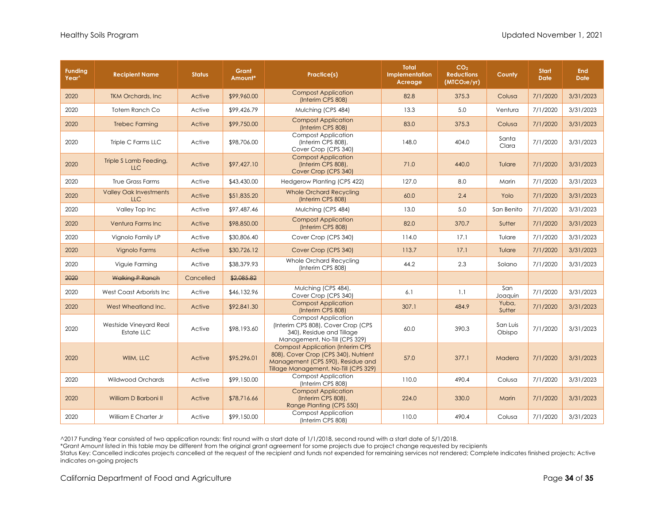| <b>Funding</b><br>Year <sup>^</sup> | <b>Recipient Name</b>                       | <b>Status</b> | Grant<br>Amount* | Practice(s)                                                                                                                                                   | <b>Total</b><br>Implementation<br>Acreage | CO <sub>2</sub><br><b>Reductions</b><br>(MTCO <sub>2</sub> e/yr) | County             | <b>Start</b><br><b>Date</b> | <b>End</b><br><b>Date</b> |
|-------------------------------------|---------------------------------------------|---------------|------------------|---------------------------------------------------------------------------------------------------------------------------------------------------------------|-------------------------------------------|------------------------------------------------------------------|--------------------|-----------------------------|---------------------------|
| 2020                                | <b>TKM Orchards, Inc.</b>                   | Active        | \$99,960.00      | <b>Compost Application</b><br>(Interim CPS 808)                                                                                                               | 82.8                                      | 375.3                                                            | Colusa             | 7/1/2020                    | 3/31/2023                 |
| 2020                                | Totem Ranch Co                              | Active        | \$99,426.79      | Mulching (CPS 484)                                                                                                                                            | 13.3                                      | 5.0                                                              | Ventura            | 7/1/2020                    | 3/31/2023                 |
| 2020                                | <b>Trebec Farming</b>                       | Active        | \$99,750.00      | <b>Compost Application</b><br>(Interim CPS 808)                                                                                                               | 83.0                                      | 375.3                                                            | Colusa             | 7/1/2020                    | 3/31/2023                 |
| 2020                                | Triple C Farms LLC                          | Active        | \$98,706.00      | <b>Compost Application</b><br>(Interim CPS 808),<br>Cover Crop (CPS 340)                                                                                      | 148.0                                     | 404.0                                                            | Santa<br>Clara     | 7/1/2020                    | 3/31/2023                 |
| 2020                                | Triple S Lamb Feeding,<br><b>LLC</b>        | Active        | \$97,427.10      | <b>Compost Application</b><br>(Interim CPS 808),<br>Cover Crop (CPS 340)                                                                                      | 71.0                                      | 440.0                                                            | Tulare             | 7/1/2020                    | 3/31/2023                 |
| 2020                                | True Grass Farms                            | Active        | \$43,430.00      | Hedgerow Planting (CPS 422)                                                                                                                                   | 127.0                                     | 8.0                                                              | Marin              | 7/1/2020                    | 3/31/2023                 |
| 2020                                | <b>Valley Oak Investments</b><br><b>LLC</b> | Active        | \$51,835.20      | <b>Whole Orchard Recycling</b><br>(Interim CPS 808)                                                                                                           | 60.0                                      | 2.4                                                              | Yolo               | 7/1/2020                    | 3/31/2023                 |
| 2020                                | Valley Top Inc                              | Active        | \$97,487.46      | Mulching (CPS 484)                                                                                                                                            | 13.0                                      | 5.0                                                              | San Benito         | 7/1/2020                    | 3/31/2023                 |
| 2020                                | Ventura Farms Inc                           | Active        | \$98,850.00      | <b>Compost Application</b><br>(Interim CPS 808)                                                                                                               | 82.0                                      | 370.7                                                            | Sutter             | 7/1/2020                    | 3/31/2023                 |
| 2020                                | Vianolo Family LP                           | Active        | \$30,806.40      | Cover Crop (CPS 340)                                                                                                                                          | 114.0                                     | 17.1                                                             | Tulare             | 7/1/2020                    | 3/31/2023                 |
| 2020                                | <b>Vignolo Farms</b>                        | Active        | \$30,726.12      | Cover Crop (CPS 340)                                                                                                                                          | 113.7                                     | 17.1                                                             | Tulare             | 7/1/2020                    | 3/31/2023                 |
| 2020                                | Viguie Farming                              | Active        | \$38,379.93      | Whole Orchard Recycling<br>(Interim CPS 808)                                                                                                                  | 44.2                                      | 2.3                                                              | Solano             | 7/1/2020                    | 3/31/2023                 |
| 2020                                | <b>Walking P Ranch</b>                      | Cancelled     | \$2,085.82       |                                                                                                                                                               |                                           |                                                                  |                    |                             |                           |
| 2020                                | West Coast Arborists Inc                    | Active        | \$46,132.96      | Mulching (CPS 484),<br>Cover Crop (CPS 340)                                                                                                                   | 6.1                                       | 1.1                                                              | San<br>Joaquin     | 7/1/2020                    | 3/31/2023                 |
| 2020                                | West Wheatland Inc.                         | Active        | \$92,841.30      | <b>Compost Application</b><br>(Interim CPS 808)                                                                                                               | 307.1                                     | 484.9                                                            | Yuba,<br>Sutter    | 7/1/2020                    | 3/31/2023                 |
| 2020                                | Westside Vineyard Real<br>Estate LLC        | Active        | \$98,193.60      | Compost Application<br>(Interim CPS 808), Cover Crop (CPS<br>340), Residue and Tillage<br>Management, No-Till (CPS 329)                                       | 60.0                                      | 390.3                                                            | San Luis<br>Obispo | 7/1/2020                    | 3/31/2023                 |
| 2020                                | WIIM, LLC                                   | Active        | \$95,296.01      | <b>Compost Application (Interim CPS</b><br>808), Cover Crop (CPS 340), Nutrient<br>Management (CPS 590), Residue and<br>Tillage Management, No-Till (CPS 329) | 57.0                                      | 377.1                                                            | Madera             | 7/1/2020                    | 3/31/2023                 |
| 2020                                | Wildwood Orchards                           | Active        | \$99,150.00      | <b>Compost Application</b><br>(Interim CPS 808)                                                                                                               | 110.0                                     | 490.4                                                            | Colusa             | 7/1/2020                    | 3/31/2023                 |
| 2020                                | William D Barboni II                        | Active        | \$78,716.66      | <b>Compost Application</b><br>(Interim CPS 808),<br>Range Planting (CPS 550)                                                                                  | 224.0                                     | 330.0                                                            | Marin              | 7/1/2020                    | 3/31/2023                 |
| 2020                                | William E Charter Jr                        | Active        | \$99,150.00      | <b>Compost Application</b><br>(Interim CPS 808)                                                                                                               | 110.0                                     | 490.4                                                            | Colusa             | 7/1/2020                    | 3/31/2023                 |

\*Grant Amount listed in this table may be different from the original grant agreement for some projects due to project change requested by recipients

Status Key: Cancelled indicates projects cancelled at the request of the recipient and funds not expended for remaining services not rendered; Complete indicates finished projects; Active indicates on-going projects

California Department of Food and Agriculture **Page 34** of **35 Page 34** of **35**